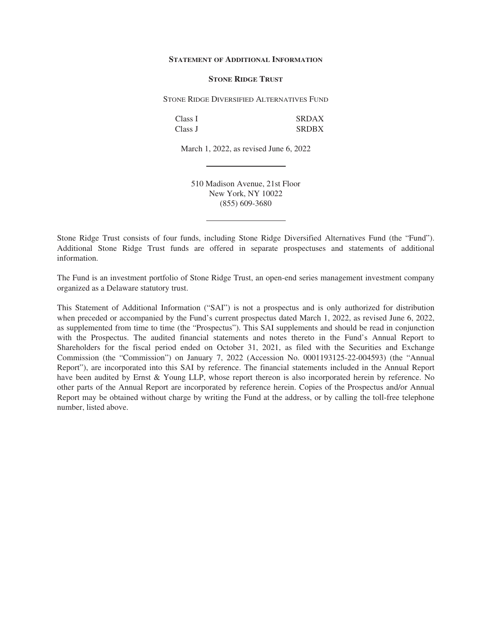#### **STATEMENT OF ADDITIONAL INFORMATION**

### **STONE RIDGE TRUST**

STONE RIDGE DIVERSIFIED ALTERNATIVES FUND

| Class I | <b>SRDAX</b> |
|---------|--------------|
| Class J | <b>SRDBX</b> |

March 1, 2022, as revised June 6, 2022

510 Madison Avenue, 21st Floor New York, NY 10022 (855) 609-3680

Stone Ridge Trust consists of four funds, including Stone Ridge Diversified Alternatives Fund (the "Fund"). Additional Stone Ridge Trust funds are offered in separate prospectuses and statements of additional information.

The Fund is an investment portfolio of Stone Ridge Trust, an open-end series management investment company organized as a Delaware statutory trust.

This Statement of Additional Information ("SAI") is not a prospectus and is only authorized for distribution when preceded or accompanied by the Fund's current prospectus dated March 1, 2022, as revised June 6, 2022, as supplemented from time to time (the "Prospectus"). This SAI supplements and should be read in conjunction with the Prospectus. The audited financial statements and notes thereto in the Fund's Annual Report to Shareholders for the fiscal period ended on October 31, 2021, as filed with the Securities and Exchange Commission (the "Commission") on January 7, 2022 (Accession No. 0001193125-22-004593) (the "Annual Report"), are incorporated into this SAI by reference. The financial statements included in the Annual Report have been audited by Ernst & Young LLP, whose report thereon is also incorporated herein by reference. No other parts of the Annual Report are incorporated by reference herein. Copies of the Prospectus and/or Annual Report may be obtained without charge by writing the Fund at the address, or by calling the toll-free telephone number, listed above.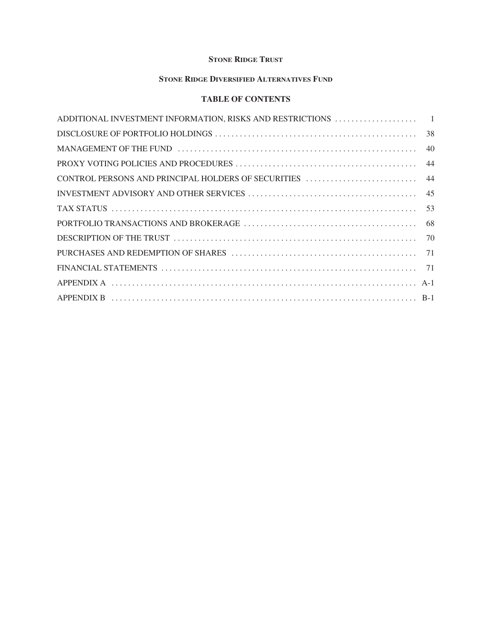# **STONE RIDGE TRUST**

# **STONE RIDGE DIVERSIFIED ALTERNATIVES FUND**

# **TABLE OF CONTENTS**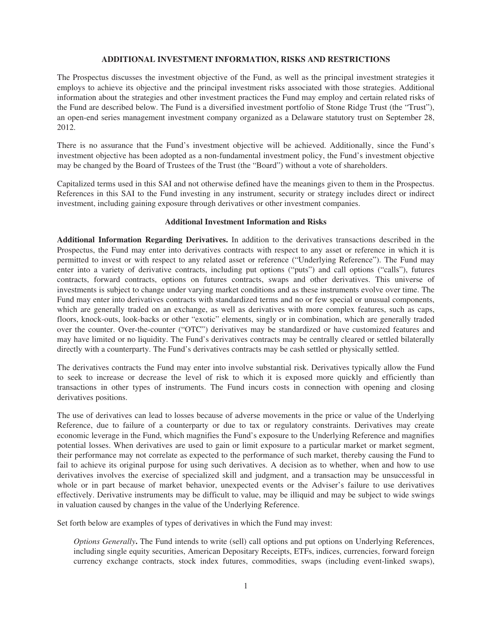## **ADDITIONAL INVESTMENT INFORMATION, RISKS AND RESTRICTIONS**

The Prospectus discusses the investment objective of the Fund, as well as the principal investment strategies it employs to achieve its objective and the principal investment risks associated with those strategies. Additional information about the strategies and other investment practices the Fund may employ and certain related risks of the Fund are described below. The Fund is a diversified investment portfolio of Stone Ridge Trust (the "Trust"), an open-end series management investment company organized as a Delaware statutory trust on September 28, 2012.

There is no assurance that the Fund's investment objective will be achieved. Additionally, since the Fund's investment objective has been adopted as a non-fundamental investment policy, the Fund's investment objective may be changed by the Board of Trustees of the Trust (the "Board") without a vote of shareholders.

Capitalized terms used in this SAI and not otherwise defined have the meanings given to them in the Prospectus. References in this SAI to the Fund investing in any instrument, security or strategy includes direct or indirect investment, including gaining exposure through derivatives or other investment companies.

# **Additional Investment Information and Risks**

**Additional Information Regarding Derivatives.** In addition to the derivatives transactions described in the Prospectus, the Fund may enter into derivatives contracts with respect to any asset or reference in which it is permitted to invest or with respect to any related asset or reference ("Underlying Reference"). The Fund may enter into a variety of derivative contracts, including put options ("puts") and call options ("calls"), futures contracts, forward contracts, options on futures contracts, swaps and other derivatives. This universe of investments is subject to change under varying market conditions and as these instruments evolve over time. The Fund may enter into derivatives contracts with standardized terms and no or few special or unusual components, which are generally traded on an exchange, as well as derivatives with more complex features, such as caps, floors, knock-outs, look-backs or other "exotic" elements, singly or in combination, which are generally traded over the counter. Over-the-counter ("OTC") derivatives may be standardized or have customized features and may have limited or no liquidity. The Fund's derivatives contracts may be centrally cleared or settled bilaterally directly with a counterparty. The Fund's derivatives contracts may be cash settled or physically settled.

The derivatives contracts the Fund may enter into involve substantial risk. Derivatives typically allow the Fund to seek to increase or decrease the level of risk to which it is exposed more quickly and efficiently than transactions in other types of instruments. The Fund incurs costs in connection with opening and closing derivatives positions.

The use of derivatives can lead to losses because of adverse movements in the price or value of the Underlying Reference, due to failure of a counterparty or due to tax or regulatory constraints. Derivatives may create economic leverage in the Fund, which magnifies the Fund's exposure to the Underlying Reference and magnifies potential losses. When derivatives are used to gain or limit exposure to a particular market or market segment, their performance may not correlate as expected to the performance of such market, thereby causing the Fund to fail to achieve its original purpose for using such derivatives. A decision as to whether, when and how to use derivatives involves the exercise of specialized skill and judgment, and a transaction may be unsuccessful in whole or in part because of market behavior, unexpected events or the Adviser's failure to use derivatives effectively. Derivative instruments may be difficult to value, may be illiquid and may be subject to wide swings in valuation caused by changes in the value of the Underlying Reference.

Set forth below are examples of types of derivatives in which the Fund may invest:

*Options Generally***.** The Fund intends to write (sell) call options and put options on Underlying References, including single equity securities, American Depositary Receipts, ETFs, indices, currencies, forward foreign currency exchange contracts, stock index futures, commodities, swaps (including event-linked swaps),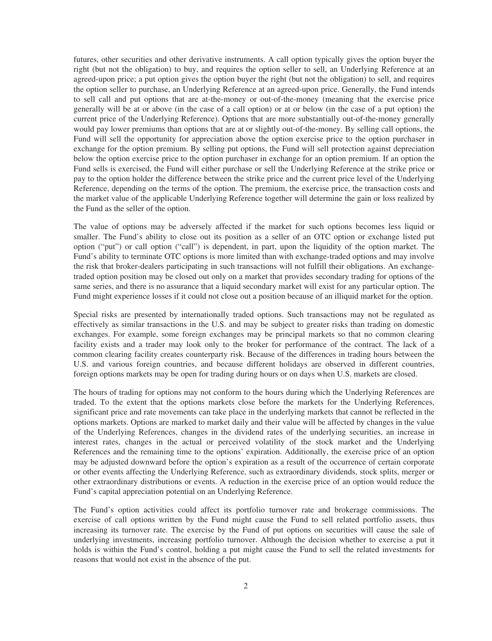futures, other securities and other derivative instruments. A call option typically gives the option buyer the right (but not the obligation) to buy, and requires the option seller to sell, an Underlying Reference at an agreed-upon price; a put option gives the option buyer the right (but not the obligation) to sell, and requires the option seller to purchase, an Underlying Reference at an agreed-upon price. Generally, the Fund intends to sell call and put options that are at-the-money or out-of-the-money (meaning that the exercise price generally will be at or above (in the case of a call option) or at or below (in the case of a put option) the current price of the Underlying Reference). Options that are more substantially out-of-the-money generally would pay lower premiums than options that are at or slightly out-of-the-money. By selling call options, the Fund will sell the opportunity for appreciation above the option exercise price to the option purchaser in exchange for the option premium. By selling put options, the Fund will sell protection against depreciation below the option exercise price to the option purchaser in exchange for an option premium. If an option the Fund sells is exercised, the Fund will either purchase or sell the Underlying Reference at the strike price or pay to the option holder the difference between the strike price and the current price level of the Underlying Reference, depending on the terms of the option. The premium, the exercise price, the transaction costs and the market value of the applicable Underlying Reference together will determine the gain or loss realized by the Fund as the seller of the option.

The value of options may be adversely affected if the market for such options becomes less liquid or smaller. The Fund's ability to close out its position as a seller of an OTC option or exchange listed put option ("put") or call option ("call") is dependent, in part, upon the liquidity of the option market. The Fund's ability to terminate OTC options is more limited than with exchange-traded options and may involve the risk that broker-dealers participating in such transactions will not fulfill their obligations. An exchangetraded option position may be closed out only on a market that provides secondary trading for options of the same series, and there is no assurance that a liquid secondary market will exist for any particular option. The Fund might experience losses if it could not close out a position because of an illiquid market for the option.

Special risks are presented by internationally traded options. Such transactions may not be regulated as effectively as similar transactions in the U.S. and may be subject to greater risks than trading on domestic exchanges. For example, some foreign exchanges may be principal markets so that no common clearing facility exists and a trader may look only to the broker for performance of the contract. The lack of a common clearing facility creates counterparty risk. Because of the differences in trading hours between the U.S. and various foreign countries, and because different holidays are observed in different countries, foreign options markets may be open for trading during hours or on days when U.S. markets are closed.

The hours of trading for options may not conform to the hours during which the Underlying References are traded. To the extent that the options markets close before the markets for the Underlying References, significant price and rate movements can take place in the underlying markets that cannot be reflected in the options markets. Options are marked to market daily and their value will be affected by changes in the value of the Underlying References, changes in the dividend rates of the underlying securities, an increase in interest rates, changes in the actual or perceived volatility of the stock market and the Underlying References and the remaining time to the options' expiration. Additionally, the exercise price of an option may be adjusted downward before the option's expiration as a result of the occurrence of certain corporate or other events affecting the Underlying Reference, such as extraordinary dividends, stock splits, merger or other extraordinary distributions or events. A reduction in the exercise price of an option would reduce the Fund's capital appreciation potential on an Underlying Reference.

The Fund's option activities could affect its portfolio turnover rate and brokerage commissions. The exercise of call options written by the Fund might cause the Fund to sell related portfolio assets, thus increasing its turnover rate. The exercise by the Fund of put options on securities will cause the sale of underlying investments, increasing portfolio turnover. Although the decision whether to exercise a put it holds is within the Fund's control, holding a put might cause the Fund to sell the related investments for reasons that would not exist in the absence of the put.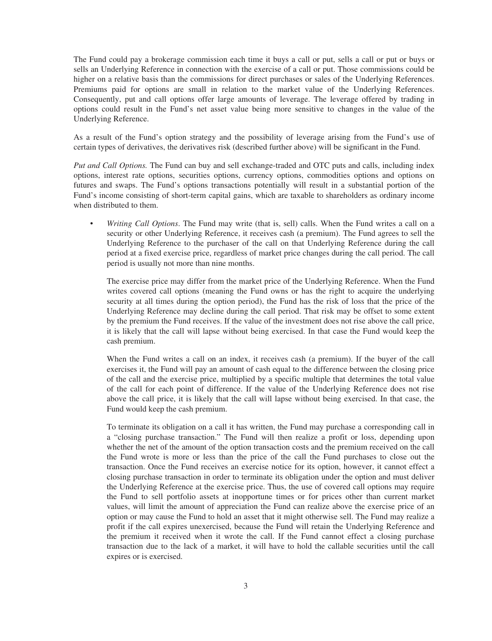The Fund could pay a brokerage commission each time it buys a call or put, sells a call or put or buys or sells an Underlying Reference in connection with the exercise of a call or put. Those commissions could be higher on a relative basis than the commissions for direct purchases or sales of the Underlying References. Premiums paid for options are small in relation to the market value of the Underlying References. Consequently, put and call options offer large amounts of leverage. The leverage offered by trading in options could result in the Fund's net asset value being more sensitive to changes in the value of the Underlying Reference.

As a result of the Fund's option strategy and the possibility of leverage arising from the Fund's use of certain types of derivatives, the derivatives risk (described further above) will be significant in the Fund.

*Put and Call Options.* The Fund can buy and sell exchange-traded and OTC puts and calls, including index options, interest rate options, securities options, currency options, commodities options and options on futures and swaps. The Fund's options transactions potentially will result in a substantial portion of the Fund's income consisting of short-term capital gains, which are taxable to shareholders as ordinary income when distributed to them.

• *Writing Call Options*. The Fund may write (that is, sell) calls. When the Fund writes a call on a security or other Underlying Reference, it receives cash (a premium). The Fund agrees to sell the Underlying Reference to the purchaser of the call on that Underlying Reference during the call period at a fixed exercise price, regardless of market price changes during the call period. The call period is usually not more than nine months.

The exercise price may differ from the market price of the Underlying Reference. When the Fund writes covered call options (meaning the Fund owns or has the right to acquire the underlying security at all times during the option period), the Fund has the risk of loss that the price of the Underlying Reference may decline during the call period. That risk may be offset to some extent by the premium the Fund receives. If the value of the investment does not rise above the call price, it is likely that the call will lapse without being exercised. In that case the Fund would keep the cash premium.

When the Fund writes a call on an index, it receives cash (a premium). If the buyer of the call exercises it, the Fund will pay an amount of cash equal to the difference between the closing price of the call and the exercise price, multiplied by a specific multiple that determines the total value of the call for each point of difference. If the value of the Underlying Reference does not rise above the call price, it is likely that the call will lapse without being exercised. In that case, the Fund would keep the cash premium.

To terminate its obligation on a call it has written, the Fund may purchase a corresponding call in a "closing purchase transaction." The Fund will then realize a profit or loss, depending upon whether the net of the amount of the option transaction costs and the premium received on the call the Fund wrote is more or less than the price of the call the Fund purchases to close out the transaction. Once the Fund receives an exercise notice for its option, however, it cannot effect a closing purchase transaction in order to terminate its obligation under the option and must deliver the Underlying Reference at the exercise price. Thus, the use of covered call options may require the Fund to sell portfolio assets at inopportune times or for prices other than current market values, will limit the amount of appreciation the Fund can realize above the exercise price of an option or may cause the Fund to hold an asset that it might otherwise sell. The Fund may realize a profit if the call expires unexercised, because the Fund will retain the Underlying Reference and the premium it received when it wrote the call. If the Fund cannot effect a closing purchase transaction due to the lack of a market, it will have to hold the callable securities until the call expires or is exercised.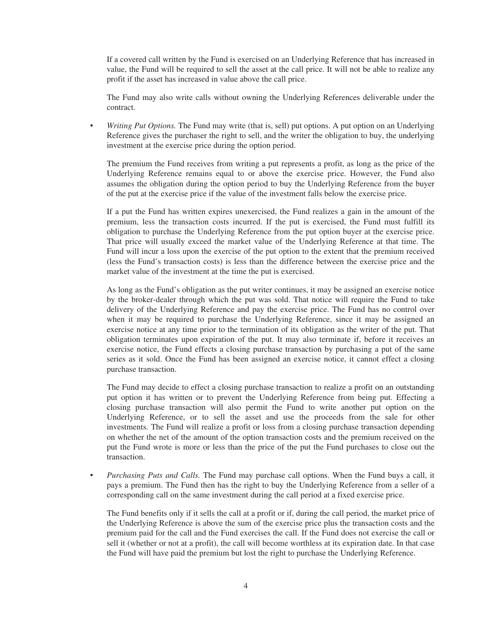If a covered call written by the Fund is exercised on an Underlying Reference that has increased in value, the Fund will be required to sell the asset at the call price. It will not be able to realize any profit if the asset has increased in value above the call price.

The Fund may also write calls without owning the Underlying References deliverable under the contract.

• *Writing Put Options.* The Fund may write (that is, sell) put options. A put option on an Underlying Reference gives the purchaser the right to sell, and the writer the obligation to buy, the underlying investment at the exercise price during the option period.

The premium the Fund receives from writing a put represents a profit, as long as the price of the Underlying Reference remains equal to or above the exercise price. However, the Fund also assumes the obligation during the option period to buy the Underlying Reference from the buyer of the put at the exercise price if the value of the investment falls below the exercise price.

If a put the Fund has written expires unexercised, the Fund realizes a gain in the amount of the premium, less the transaction costs incurred. If the put is exercised, the Fund must fulfill its obligation to purchase the Underlying Reference from the put option buyer at the exercise price. That price will usually exceed the market value of the Underlying Reference at that time. The Fund will incur a loss upon the exercise of the put option to the extent that the premium received (less the Fund's transaction costs) is less than the difference between the exercise price and the market value of the investment at the time the put is exercised.

As long as the Fund's obligation as the put writer continues, it may be assigned an exercise notice by the broker-dealer through which the put was sold. That notice will require the Fund to take delivery of the Underlying Reference and pay the exercise price. The Fund has no control over when it may be required to purchase the Underlying Reference, since it may be assigned an exercise notice at any time prior to the termination of its obligation as the writer of the put. That obligation terminates upon expiration of the put. It may also terminate if, before it receives an exercise notice, the Fund effects a closing purchase transaction by purchasing a put of the same series as it sold. Once the Fund has been assigned an exercise notice, it cannot effect a closing purchase transaction.

The Fund may decide to effect a closing purchase transaction to realize a profit on an outstanding put option it has written or to prevent the Underlying Reference from being put. Effecting a closing purchase transaction will also permit the Fund to write another put option on the Underlying Reference, or to sell the asset and use the proceeds from the sale for other investments. The Fund will realize a profit or loss from a closing purchase transaction depending on whether the net of the amount of the option transaction costs and the premium received on the put the Fund wrote is more or less than the price of the put the Fund purchases to close out the transaction.

• *Purchasing Puts and Calls.* The Fund may purchase call options. When the Fund buys a call, it pays a premium. The Fund then has the right to buy the Underlying Reference from a seller of a corresponding call on the same investment during the call period at a fixed exercise price.

The Fund benefits only if it sells the call at a profit or if, during the call period, the market price of the Underlying Reference is above the sum of the exercise price plus the transaction costs and the premium paid for the call and the Fund exercises the call. If the Fund does not exercise the call or sell it (whether or not at a profit), the call will become worthless at its expiration date. In that case the Fund will have paid the premium but lost the right to purchase the Underlying Reference.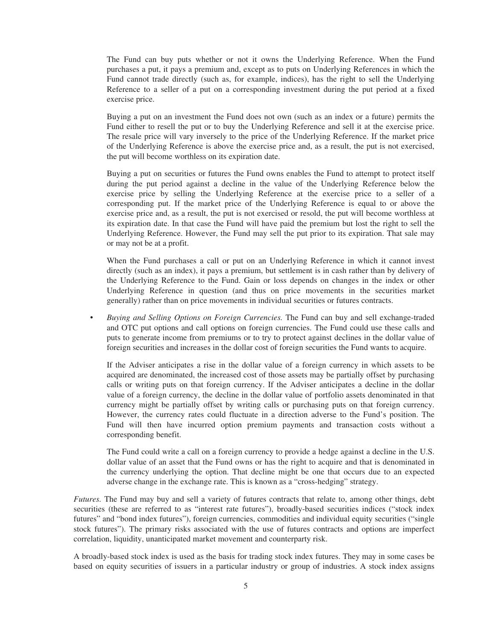The Fund can buy puts whether or not it owns the Underlying Reference. When the Fund purchases a put, it pays a premium and, except as to puts on Underlying References in which the Fund cannot trade directly (such as, for example, indices), has the right to sell the Underlying Reference to a seller of a put on a corresponding investment during the put period at a fixed exercise price.

Buying a put on an investment the Fund does not own (such as an index or a future) permits the Fund either to resell the put or to buy the Underlying Reference and sell it at the exercise price. The resale price will vary inversely to the price of the Underlying Reference. If the market price of the Underlying Reference is above the exercise price and, as a result, the put is not exercised, the put will become worthless on its expiration date.

Buying a put on securities or futures the Fund owns enables the Fund to attempt to protect itself during the put period against a decline in the value of the Underlying Reference below the exercise price by selling the Underlying Reference at the exercise price to a seller of a corresponding put. If the market price of the Underlying Reference is equal to or above the exercise price and, as a result, the put is not exercised or resold, the put will become worthless at its expiration date. In that case the Fund will have paid the premium but lost the right to sell the Underlying Reference. However, the Fund may sell the put prior to its expiration. That sale may or may not be at a profit.

When the Fund purchases a call or put on an Underlying Reference in which it cannot invest directly (such as an index), it pays a premium, but settlement is in cash rather than by delivery of the Underlying Reference to the Fund. Gain or loss depends on changes in the index or other Underlying Reference in question (and thus on price movements in the securities market generally) rather than on price movements in individual securities or futures contracts.

• *Buying and Selling Options on Foreign Currencies.* The Fund can buy and sell exchange-traded and OTC put options and call options on foreign currencies. The Fund could use these calls and puts to generate income from premiums or to try to protect against declines in the dollar value of foreign securities and increases in the dollar cost of foreign securities the Fund wants to acquire.

If the Adviser anticipates a rise in the dollar value of a foreign currency in which assets to be acquired are denominated, the increased cost of those assets may be partially offset by purchasing calls or writing puts on that foreign currency. If the Adviser anticipates a decline in the dollar value of a foreign currency, the decline in the dollar value of portfolio assets denominated in that currency might be partially offset by writing calls or purchasing puts on that foreign currency. However, the currency rates could fluctuate in a direction adverse to the Fund's position. The Fund will then have incurred option premium payments and transaction costs without a corresponding benefit.

The Fund could write a call on a foreign currency to provide a hedge against a decline in the U.S. dollar value of an asset that the Fund owns or has the right to acquire and that is denominated in the currency underlying the option. That decline might be one that occurs due to an expected adverse change in the exchange rate. This is known as a "cross-hedging" strategy.

*Futures.* The Fund may buy and sell a variety of futures contracts that relate to, among other things, debt securities (these are referred to as "interest rate futures"), broadly-based securities indices ("stock index futures" and "bond index futures"), foreign currencies, commodities and individual equity securities ("single stock futures"). The primary risks associated with the use of futures contracts and options are imperfect correlation, liquidity, unanticipated market movement and counterparty risk.

A broadly-based stock index is used as the basis for trading stock index futures. They may in some cases be based on equity securities of issuers in a particular industry or group of industries. A stock index assigns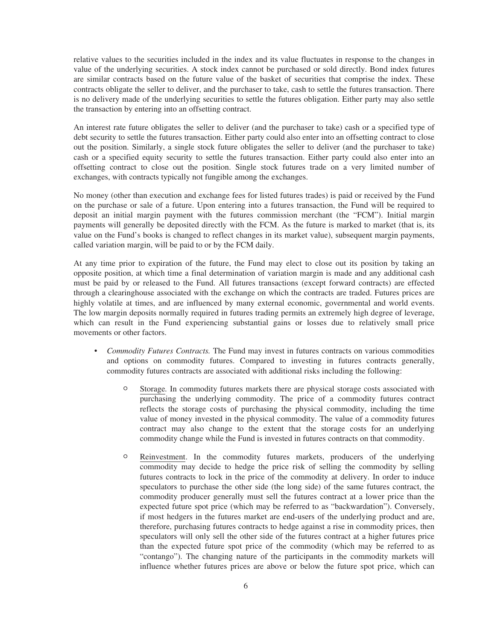relative values to the securities included in the index and its value fluctuates in response to the changes in value of the underlying securities. A stock index cannot be purchased or sold directly. Bond index futures are similar contracts based on the future value of the basket of securities that comprise the index. These contracts obligate the seller to deliver, and the purchaser to take, cash to settle the futures transaction. There is no delivery made of the underlying securities to settle the futures obligation. Either party may also settle the transaction by entering into an offsetting contract.

An interest rate future obligates the seller to deliver (and the purchaser to take) cash or a specified type of debt security to settle the futures transaction. Either party could also enter into an offsetting contract to close out the position. Similarly, a single stock future obligates the seller to deliver (and the purchaser to take) cash or a specified equity security to settle the futures transaction. Either party could also enter into an offsetting contract to close out the position. Single stock futures trade on a very limited number of exchanges, with contracts typically not fungible among the exchanges.

No money (other than execution and exchange fees for listed futures trades) is paid or received by the Fund on the purchase or sale of a future. Upon entering into a futures transaction, the Fund will be required to deposit an initial margin payment with the futures commission merchant (the "FCM"). Initial margin payments will generally be deposited directly with the FCM. As the future is marked to market (that is, its value on the Fund's books is changed to reflect changes in its market value), subsequent margin payments, called variation margin, will be paid to or by the FCM daily.

At any time prior to expiration of the future, the Fund may elect to close out its position by taking an opposite position, at which time a final determination of variation margin is made and any additional cash must be paid by or released to the Fund. All futures transactions (except forward contracts) are effected through a clearinghouse associated with the exchange on which the contracts are traded. Futures prices are highly volatile at times, and are influenced by many external economic, governmental and world events. The low margin deposits normally required in futures trading permits an extremely high degree of leverage, which can result in the Fund experiencing substantial gains or losses due to relatively small price movements or other factors.

- *Commodity Futures Contracts.* The Fund may invest in futures contracts on various commodities and options on commodity futures. Compared to investing in futures contracts generally, commodity futures contracts are associated with additional risks including the following:
	- <sup>O</sup> Storage*.* In commodity futures markets there are physical storage costs associated with purchasing the underlying commodity. The price of a commodity futures contract reflects the storage costs of purchasing the physical commodity, including the time value of money invested in the physical commodity. The value of a commodity futures contract may also change to the extent that the storage costs for an underlying commodity change while the Fund is invested in futures contracts on that commodity.
	- <sup>O</sup> Reinvestment. In the commodity futures markets, producers of the underlying commodity may decide to hedge the price risk of selling the commodity by selling futures contracts to lock in the price of the commodity at delivery. In order to induce speculators to purchase the other side (the long side) of the same futures contract, the commodity producer generally must sell the futures contract at a lower price than the expected future spot price (which may be referred to as "backwardation"). Conversely, if most hedgers in the futures market are end-users of the underlying product and are, therefore, purchasing futures contracts to hedge against a rise in commodity prices, then speculators will only sell the other side of the futures contract at a higher futures price than the expected future spot price of the commodity (which may be referred to as "contango"). The changing nature of the participants in the commodity markets will influence whether futures prices are above or below the future spot price, which can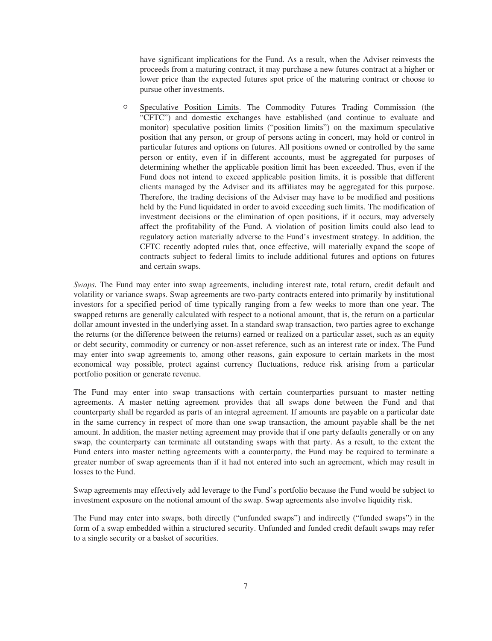have significant implications for the Fund. As a result, when the Adviser reinvests the proceeds from a maturing contract, it may purchase a new futures contract at a higher or lower price than the expected futures spot price of the maturing contract or choose to pursue other investments.

<sup>O</sup> Speculative Position Limits. The Commodity Futures Trading Commission (the "CFTC") and domestic exchanges have established (and continue to evaluate and monitor) speculative position limits ("position limits") on the maximum speculative position that any person, or group of persons acting in concert, may hold or control in particular futures and options on futures. All positions owned or controlled by the same person or entity, even if in different accounts, must be aggregated for purposes of determining whether the applicable position limit has been exceeded. Thus, even if the Fund does not intend to exceed applicable position limits, it is possible that different clients managed by the Adviser and its affiliates may be aggregated for this purpose. Therefore, the trading decisions of the Adviser may have to be modified and positions held by the Fund liquidated in order to avoid exceeding such limits. The modification of investment decisions or the elimination of open positions, if it occurs, may adversely affect the profitability of the Fund. A violation of position limits could also lead to regulatory action materially adverse to the Fund's investment strategy. In addition, the CFTC recently adopted rules that, once effective, will materially expand the scope of contracts subject to federal limits to include additional futures and options on futures and certain swaps.

*Swaps.* The Fund may enter into swap agreements, including interest rate, total return, credit default and volatility or variance swaps. Swap agreements are two-party contracts entered into primarily by institutional investors for a specified period of time typically ranging from a few weeks to more than one year. The swapped returns are generally calculated with respect to a notional amount, that is, the return on a particular dollar amount invested in the underlying asset. In a standard swap transaction, two parties agree to exchange the returns (or the difference between the returns) earned or realized on a particular asset, such as an equity or debt security, commodity or currency or non-asset reference, such as an interest rate or index. The Fund may enter into swap agreements to, among other reasons, gain exposure to certain markets in the most economical way possible, protect against currency fluctuations, reduce risk arising from a particular portfolio position or generate revenue.

The Fund may enter into swap transactions with certain counterparties pursuant to master netting agreements. A master netting agreement provides that all swaps done between the Fund and that counterparty shall be regarded as parts of an integral agreement. If amounts are payable on a particular date in the same currency in respect of more than one swap transaction, the amount payable shall be the net amount. In addition, the master netting agreement may provide that if one party defaults generally or on any swap, the counterparty can terminate all outstanding swaps with that party. As a result, to the extent the Fund enters into master netting agreements with a counterparty, the Fund may be required to terminate a greater number of swap agreements than if it had not entered into such an agreement, which may result in losses to the Fund.

Swap agreements may effectively add leverage to the Fund's portfolio because the Fund would be subject to investment exposure on the notional amount of the swap. Swap agreements also involve liquidity risk.

The Fund may enter into swaps, both directly ("unfunded swaps") and indirectly ("funded swaps") in the form of a swap embedded within a structured security. Unfunded and funded credit default swaps may refer to a single security or a basket of securities.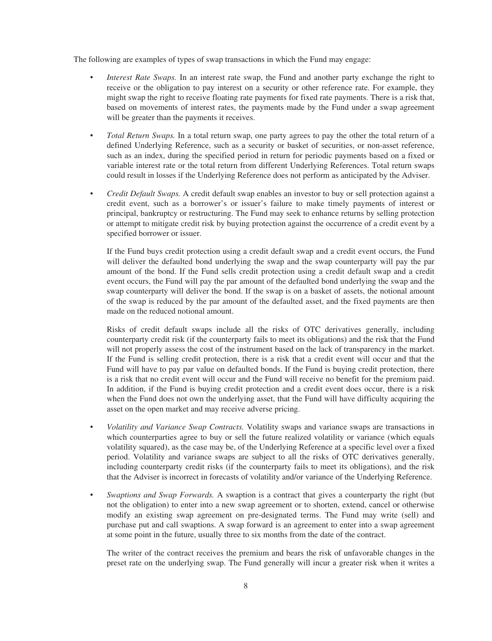The following are examples of types of swap transactions in which the Fund may engage:

- *Interest Rate Swaps.* In an interest rate swap, the Fund and another party exchange the right to receive or the obligation to pay interest on a security or other reference rate. For example, they might swap the right to receive floating rate payments for fixed rate payments. There is a risk that, based on movements of interest rates, the payments made by the Fund under a swap agreement will be greater than the payments it receives.
- *Total Return Swaps.* In a total return swap, one party agrees to pay the other the total return of a defined Underlying Reference, such as a security or basket of securities, or non-asset reference, such as an index, during the specified period in return for periodic payments based on a fixed or variable interest rate or the total return from different Underlying References. Total return swaps could result in losses if the Underlying Reference does not perform as anticipated by the Adviser.
- *Credit Default Swaps.* A credit default swap enables an investor to buy or sell protection against a credit event, such as a borrower's or issuer's failure to make timely payments of interest or principal, bankruptcy or restructuring. The Fund may seek to enhance returns by selling protection or attempt to mitigate credit risk by buying protection against the occurrence of a credit event by a specified borrower or issuer.

If the Fund buys credit protection using a credit default swap and a credit event occurs, the Fund will deliver the defaulted bond underlying the swap and the swap counterparty will pay the par amount of the bond. If the Fund sells credit protection using a credit default swap and a credit event occurs, the Fund will pay the par amount of the defaulted bond underlying the swap and the swap counterparty will deliver the bond. If the swap is on a basket of assets, the notional amount of the swap is reduced by the par amount of the defaulted asset, and the fixed payments are then made on the reduced notional amount.

Risks of credit default swaps include all the risks of OTC derivatives generally, including counterparty credit risk (if the counterparty fails to meet its obligations) and the risk that the Fund will not properly assess the cost of the instrument based on the lack of transparency in the market. If the Fund is selling credit protection, there is a risk that a credit event will occur and that the Fund will have to pay par value on defaulted bonds. If the Fund is buying credit protection, there is a risk that no credit event will occur and the Fund will receive no benefit for the premium paid. In addition, if the Fund is buying credit protection and a credit event does occur, there is a risk when the Fund does not own the underlying asset, that the Fund will have difficulty acquiring the asset on the open market and may receive adverse pricing.

- *Volatility and Variance Swap Contracts.* Volatility swaps and variance swaps are transactions in which counterparties agree to buy or sell the future realized volatility or variance (which equals volatility squared), as the case may be, of the Underlying Reference at a specific level over a fixed period. Volatility and variance swaps are subject to all the risks of OTC derivatives generally, including counterparty credit risks (if the counterparty fails to meet its obligations), and the risk that the Adviser is incorrect in forecasts of volatility and/or variance of the Underlying Reference.
- *Swaptions and Swap Forwards.* A swaption is a contract that gives a counterparty the right (but not the obligation) to enter into a new swap agreement or to shorten, extend, cancel or otherwise modify an existing swap agreement on pre-designated terms. The Fund may write (sell) and purchase put and call swaptions. A swap forward is an agreement to enter into a swap agreement at some point in the future, usually three to six months from the date of the contract.

The writer of the contract receives the premium and bears the risk of unfavorable changes in the preset rate on the underlying swap. The Fund generally will incur a greater risk when it writes a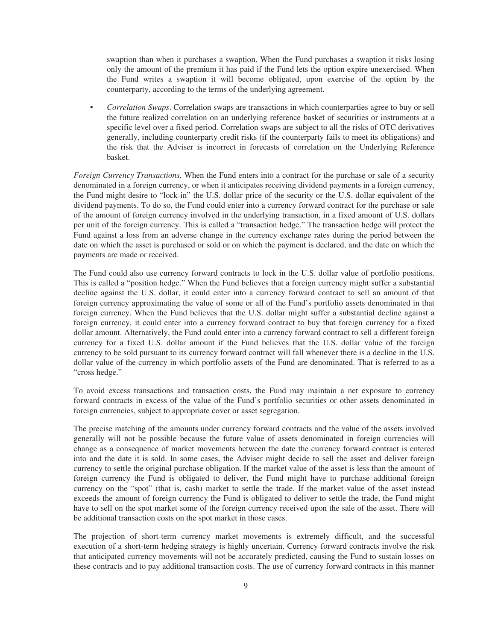swaption than when it purchases a swaption. When the Fund purchases a swaption it risks losing only the amount of the premium it has paid if the Fund lets the option expire unexercised. When the Fund writes a swaption it will become obligated, upon exercise of the option by the counterparty, according to the terms of the underlying agreement.

• *Correlation Swaps*. Correlation swaps are transactions in which counterparties agree to buy or sell the future realized correlation on an underlying reference basket of securities or instruments at a specific level over a fixed period. Correlation swaps are subject to all the risks of OTC derivatives generally, including counterparty credit risks (if the counterparty fails to meet its obligations) and the risk that the Adviser is incorrect in forecasts of correlation on the Underlying Reference basket.

*Foreign Currency Transactions.* When the Fund enters into a contract for the purchase or sale of a security denominated in a foreign currency, or when it anticipates receiving dividend payments in a foreign currency, the Fund might desire to "lock-in" the U.S. dollar price of the security or the U.S. dollar equivalent of the dividend payments. To do so, the Fund could enter into a currency forward contract for the purchase or sale of the amount of foreign currency involved in the underlying transaction, in a fixed amount of U.S. dollars per unit of the foreign currency. This is called a "transaction hedge." The transaction hedge will protect the Fund against a loss from an adverse change in the currency exchange rates during the period between the date on which the asset is purchased or sold or on which the payment is declared, and the date on which the payments are made or received.

The Fund could also use currency forward contracts to lock in the U.S. dollar value of portfolio positions. This is called a "position hedge." When the Fund believes that a foreign currency might suffer a substantial decline against the U.S. dollar, it could enter into a currency forward contract to sell an amount of that foreign currency approximating the value of some or all of the Fund's portfolio assets denominated in that foreign currency. When the Fund believes that the U.S. dollar might suffer a substantial decline against a foreign currency, it could enter into a currency forward contract to buy that foreign currency for a fixed dollar amount. Alternatively, the Fund could enter into a currency forward contract to sell a different foreign currency for a fixed U.S. dollar amount if the Fund believes that the U.S. dollar value of the foreign currency to be sold pursuant to its currency forward contract will fall whenever there is a decline in the U.S. dollar value of the currency in which portfolio assets of the Fund are denominated. That is referred to as a "cross hedge."

To avoid excess transactions and transaction costs, the Fund may maintain a net exposure to currency forward contracts in excess of the value of the Fund's portfolio securities or other assets denominated in foreign currencies, subject to appropriate cover or asset segregation.

The precise matching of the amounts under currency forward contracts and the value of the assets involved generally will not be possible because the future value of assets denominated in foreign currencies will change as a consequence of market movements between the date the currency forward contract is entered into and the date it is sold. In some cases, the Adviser might decide to sell the asset and deliver foreign currency to settle the original purchase obligation. If the market value of the asset is less than the amount of foreign currency the Fund is obligated to deliver, the Fund might have to purchase additional foreign currency on the "spot" (that is, cash) market to settle the trade. If the market value of the asset instead exceeds the amount of foreign currency the Fund is obligated to deliver to settle the trade, the Fund might have to sell on the spot market some of the foreign currency received upon the sale of the asset. There will be additional transaction costs on the spot market in those cases.

The projection of short-term currency market movements is extremely difficult, and the successful execution of a short-term hedging strategy is highly uncertain. Currency forward contracts involve the risk that anticipated currency movements will not be accurately predicted, causing the Fund to sustain losses on these contracts and to pay additional transaction costs. The use of currency forward contracts in this manner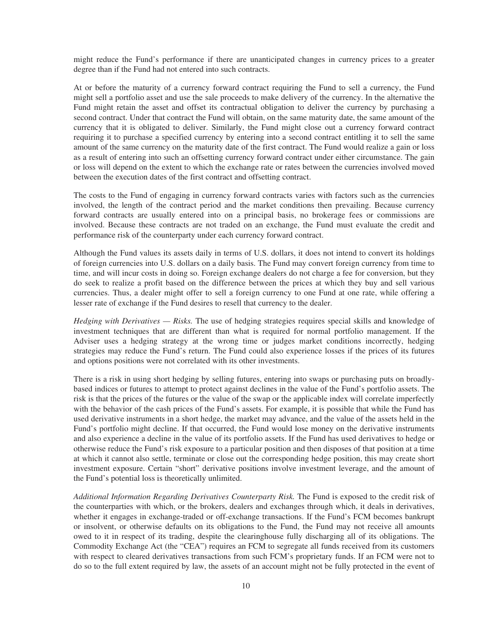might reduce the Fund's performance if there are unanticipated changes in currency prices to a greater degree than if the Fund had not entered into such contracts.

At or before the maturity of a currency forward contract requiring the Fund to sell a currency, the Fund might sell a portfolio asset and use the sale proceeds to make delivery of the currency. In the alternative the Fund might retain the asset and offset its contractual obligation to deliver the currency by purchasing a second contract. Under that contract the Fund will obtain, on the same maturity date, the same amount of the currency that it is obligated to deliver. Similarly, the Fund might close out a currency forward contract requiring it to purchase a specified currency by entering into a second contract entitling it to sell the same amount of the same currency on the maturity date of the first contract. The Fund would realize a gain or loss as a result of entering into such an offsetting currency forward contract under either circumstance. The gain or loss will depend on the extent to which the exchange rate or rates between the currencies involved moved between the execution dates of the first contract and offsetting contract.

The costs to the Fund of engaging in currency forward contracts varies with factors such as the currencies involved, the length of the contract period and the market conditions then prevailing. Because currency forward contracts are usually entered into on a principal basis, no brokerage fees or commissions are involved. Because these contracts are not traded on an exchange, the Fund must evaluate the credit and performance risk of the counterparty under each currency forward contract.

Although the Fund values its assets daily in terms of U.S. dollars, it does not intend to convert its holdings of foreign currencies into U.S. dollars on a daily basis. The Fund may convert foreign currency from time to time, and will incur costs in doing so. Foreign exchange dealers do not charge a fee for conversion, but they do seek to realize a profit based on the difference between the prices at which they buy and sell various currencies. Thus, a dealer might offer to sell a foreign currency to one Fund at one rate, while offering a lesser rate of exchange if the Fund desires to resell that currency to the dealer.

*Hedging with Derivatives — Risks.* The use of hedging strategies requires special skills and knowledge of investment techniques that are different than what is required for normal portfolio management. If the Adviser uses a hedging strategy at the wrong time or judges market conditions incorrectly, hedging strategies may reduce the Fund's return. The Fund could also experience losses if the prices of its futures and options positions were not correlated with its other investments.

There is a risk in using short hedging by selling futures, entering into swaps or purchasing puts on broadlybased indices or futures to attempt to protect against declines in the value of the Fund's portfolio assets. The risk is that the prices of the futures or the value of the swap or the applicable index will correlate imperfectly with the behavior of the cash prices of the Fund's assets. For example, it is possible that while the Fund has used derivative instruments in a short hedge, the market may advance, and the value of the assets held in the Fund's portfolio might decline. If that occurred, the Fund would lose money on the derivative instruments and also experience a decline in the value of its portfolio assets. If the Fund has used derivatives to hedge or otherwise reduce the Fund's risk exposure to a particular position and then disposes of that position at a time at which it cannot also settle, terminate or close out the corresponding hedge position, this may create short investment exposure. Certain "short" derivative positions involve investment leverage, and the amount of the Fund's potential loss is theoretically unlimited.

*Additional Information Regarding Derivatives Counterparty Risk.* The Fund is exposed to the credit risk of the counterparties with which, or the brokers, dealers and exchanges through which, it deals in derivatives, whether it engages in exchange-traded or off-exchange transactions. If the Fund's FCM becomes bankrupt or insolvent, or otherwise defaults on its obligations to the Fund, the Fund may not receive all amounts owed to it in respect of its trading, despite the clearinghouse fully discharging all of its obligations. The Commodity Exchange Act (the "CEA") requires an FCM to segregate all funds received from its customers with respect to cleared derivatives transactions from such FCM's proprietary funds. If an FCM were not to do so to the full extent required by law, the assets of an account might not be fully protected in the event of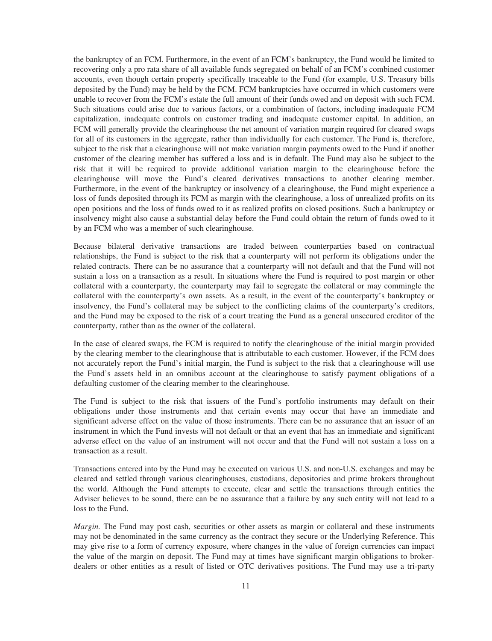the bankruptcy of an FCM. Furthermore, in the event of an FCM's bankruptcy, the Fund would be limited to recovering only a pro rata share of all available funds segregated on behalf of an FCM's combined customer accounts, even though certain property specifically traceable to the Fund (for example, U.S. Treasury bills deposited by the Fund) may be held by the FCM. FCM bankruptcies have occurred in which customers were unable to recover from the FCM's estate the full amount of their funds owed and on deposit with such FCM. Such situations could arise due to various factors, or a combination of factors, including inadequate FCM capitalization, inadequate controls on customer trading and inadequate customer capital. In addition, an FCM will generally provide the clearinghouse the net amount of variation margin required for cleared swaps for all of its customers in the aggregate, rather than individually for each customer. The Fund is, therefore, subject to the risk that a clearinghouse will not make variation margin payments owed to the Fund if another customer of the clearing member has suffered a loss and is in default. The Fund may also be subject to the risk that it will be required to provide additional variation margin to the clearinghouse before the clearinghouse will move the Fund's cleared derivatives transactions to another clearing member. Furthermore, in the event of the bankruptcy or insolvency of a clearinghouse, the Fund might experience a loss of funds deposited through its FCM as margin with the clearinghouse, a loss of unrealized profits on its open positions and the loss of funds owed to it as realized profits on closed positions. Such a bankruptcy or insolvency might also cause a substantial delay before the Fund could obtain the return of funds owed to it by an FCM who was a member of such clearinghouse.

Because bilateral derivative transactions are traded between counterparties based on contractual relationships, the Fund is subject to the risk that a counterparty will not perform its obligations under the related contracts. There can be no assurance that a counterparty will not default and that the Fund will not sustain a loss on a transaction as a result. In situations where the Fund is required to post margin or other collateral with a counterparty, the counterparty may fail to segregate the collateral or may commingle the collateral with the counterparty's own assets. As a result, in the event of the counterparty's bankruptcy or insolvency, the Fund's collateral may be subject to the conflicting claims of the counterparty's creditors, and the Fund may be exposed to the risk of a court treating the Fund as a general unsecured creditor of the counterparty, rather than as the owner of the collateral.

In the case of cleared swaps, the FCM is required to notify the clearinghouse of the initial margin provided by the clearing member to the clearinghouse that is attributable to each customer. However, if the FCM does not accurately report the Fund's initial margin, the Fund is subject to the risk that a clearinghouse will use the Fund's assets held in an omnibus account at the clearinghouse to satisfy payment obligations of a defaulting customer of the clearing member to the clearinghouse.

The Fund is subject to the risk that issuers of the Fund's portfolio instruments may default on their obligations under those instruments and that certain events may occur that have an immediate and significant adverse effect on the value of those instruments. There can be no assurance that an issuer of an instrument in which the Fund invests will not default or that an event that has an immediate and significant adverse effect on the value of an instrument will not occur and that the Fund will not sustain a loss on a transaction as a result.

Transactions entered into by the Fund may be executed on various U.S. and non-U.S. exchanges and may be cleared and settled through various clearinghouses, custodians, depositories and prime brokers throughout the world. Although the Fund attempts to execute, clear and settle the transactions through entities the Adviser believes to be sound, there can be no assurance that a failure by any such entity will not lead to a loss to the Fund.

*Margin.* The Fund may post cash, securities or other assets as margin or collateral and these instruments may not be denominated in the same currency as the contract they secure or the Underlying Reference. This may give rise to a form of currency exposure, where changes in the value of foreign currencies can impact the value of the margin on deposit. The Fund may at times have significant margin obligations to brokerdealers or other entities as a result of listed or OTC derivatives positions. The Fund may use a tri-party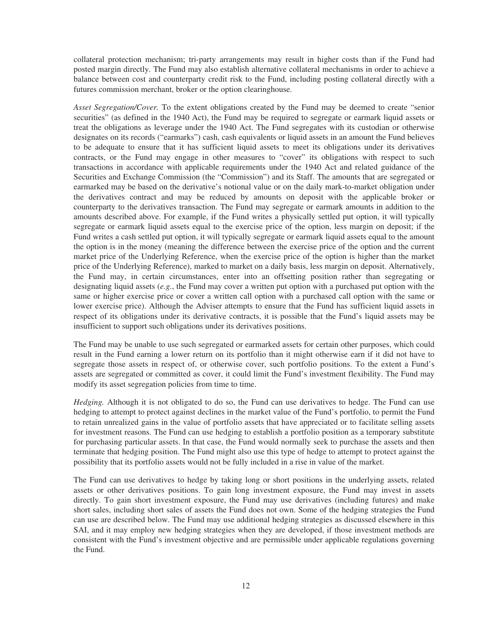collateral protection mechanism; tri-party arrangements may result in higher costs than if the Fund had posted margin directly. The Fund may also establish alternative collateral mechanisms in order to achieve a balance between cost and counterparty credit risk to the Fund, including posting collateral directly with a futures commission merchant, broker or the option clearinghouse.

*Asset Segregation/Cover.* To the extent obligations created by the Fund may be deemed to create "senior securities" (as defined in the 1940 Act), the Fund may be required to segregate or earmark liquid assets or treat the obligations as leverage under the 1940 Act. The Fund segregates with its custodian or otherwise designates on its records ("earmarks") cash, cash equivalents or liquid assets in an amount the Fund believes to be adequate to ensure that it has sufficient liquid assets to meet its obligations under its derivatives contracts, or the Fund may engage in other measures to "cover" its obligations with respect to such transactions in accordance with applicable requirements under the 1940 Act and related guidance of the Securities and Exchange Commission (the "Commission") and its Staff. The amounts that are segregated or earmarked may be based on the derivative's notional value or on the daily mark-to-market obligation under the derivatives contract and may be reduced by amounts on deposit with the applicable broker or counterparty to the derivatives transaction. The Fund may segregate or earmark amounts in addition to the amounts described above. For example, if the Fund writes a physically settled put option, it will typically segregate or earmark liquid assets equal to the exercise price of the option, less margin on deposit; if the Fund writes a cash settled put option, it will typically segregate or earmark liquid assets equal to the amount the option is in the money (meaning the difference between the exercise price of the option and the current market price of the Underlying Reference, when the exercise price of the option is higher than the market price of the Underlying Reference), marked to market on a daily basis, less margin on deposit. Alternatively, the Fund may, in certain circumstances, enter into an offsetting position rather than segregating or designating liquid assets (*e.g.*, the Fund may cover a written put option with a purchased put option with the same or higher exercise price or cover a written call option with a purchased call option with the same or lower exercise price). Although the Adviser attempts to ensure that the Fund has sufficient liquid assets in respect of its obligations under its derivative contracts, it is possible that the Fund's liquid assets may be insufficient to support such obligations under its derivatives positions.

The Fund may be unable to use such segregated or earmarked assets for certain other purposes, which could result in the Fund earning a lower return on its portfolio than it might otherwise earn if it did not have to segregate those assets in respect of, or otherwise cover, such portfolio positions. To the extent a Fund's assets are segregated or committed as cover, it could limit the Fund's investment flexibility. The Fund may modify its asset segregation policies from time to time.

*Hedging.* Although it is not obligated to do so, the Fund can use derivatives to hedge. The Fund can use hedging to attempt to protect against declines in the market value of the Fund's portfolio, to permit the Fund to retain unrealized gains in the value of portfolio assets that have appreciated or to facilitate selling assets for investment reasons. The Fund can use hedging to establish a portfolio position as a temporary substitute for purchasing particular assets. In that case, the Fund would normally seek to purchase the assets and then terminate that hedging position. The Fund might also use this type of hedge to attempt to protect against the possibility that its portfolio assets would not be fully included in a rise in value of the market.

The Fund can use derivatives to hedge by taking long or short positions in the underlying assets, related assets or other derivatives positions. To gain long investment exposure, the Fund may invest in assets directly. To gain short investment exposure, the Fund may use derivatives (including futures) and make short sales, including short sales of assets the Fund does not own. Some of the hedging strategies the Fund can use are described below. The Fund may use additional hedging strategies as discussed elsewhere in this SAI, and it may employ new hedging strategies when they are developed, if those investment methods are consistent with the Fund's investment objective and are permissible under applicable regulations governing the Fund.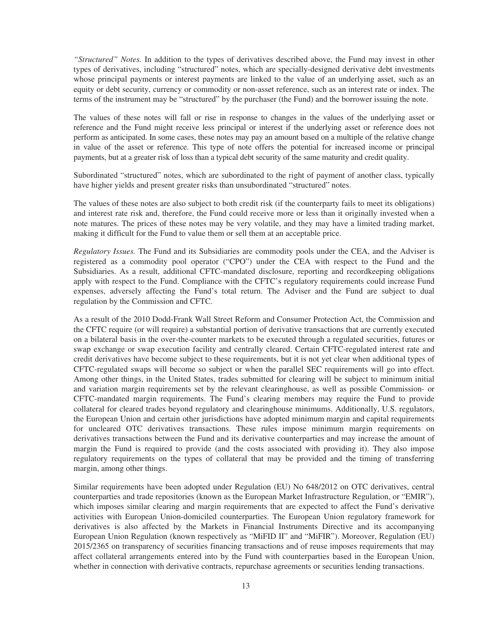*"Structured" Notes.* In addition to the types of derivatives described above, the Fund may invest in other types of derivatives, including "structured" notes, which are specially-designed derivative debt investments whose principal payments or interest payments are linked to the value of an underlying asset, such as an equity or debt security, currency or commodity or non-asset reference, such as an interest rate or index. The terms of the instrument may be "structured" by the purchaser (the Fund) and the borrower issuing the note.

The values of these notes will fall or rise in response to changes in the values of the underlying asset or reference and the Fund might receive less principal or interest if the underlying asset or reference does not perform as anticipated. In some cases, these notes may pay an amount based on a multiple of the relative change in value of the asset or reference. This type of note offers the potential for increased income or principal payments, but at a greater risk of loss than a typical debt security of the same maturity and credit quality.

Subordinated "structured" notes, which are subordinated to the right of payment of another class, typically have higher yields and present greater risks than unsubordinated "structured" notes.

The values of these notes are also subject to both credit risk (if the counterparty fails to meet its obligations) and interest rate risk and, therefore, the Fund could receive more or less than it originally invested when a note matures. The prices of these notes may be very volatile, and they may have a limited trading market, making it difficult for the Fund to value them or sell them at an acceptable price.

*Regulatory Issues.* The Fund and its Subsidiaries are commodity pools under the CEA, and the Adviser is registered as a commodity pool operator ("CPO") under the CEA with respect to the Fund and the Subsidiaries. As a result, additional CFTC-mandated disclosure, reporting and recordkeeping obligations apply with respect to the Fund. Compliance with the CFTC's regulatory requirements could increase Fund expenses, adversely affecting the Fund's total return. The Adviser and the Fund are subject to dual regulation by the Commission and CFTC.

As a result of the 2010 Dodd-Frank Wall Street Reform and Consumer Protection Act, the Commission and the CFTC require (or will require) a substantial portion of derivative transactions that are currently executed on a bilateral basis in the over-the-counter markets to be executed through a regulated securities, futures or swap exchange or swap execution facility and centrally cleared. Certain CFTC-regulated interest rate and credit derivatives have become subject to these requirements, but it is not yet clear when additional types of CFTC-regulated swaps will become so subject or when the parallel SEC requirements will go into effect. Among other things, in the United States, trades submitted for clearing will be subject to minimum initial and variation margin requirements set by the relevant clearinghouse, as well as possible Commission- or CFTC-mandated margin requirements. The Fund's clearing members may require the Fund to provide collateral for cleared trades beyond regulatory and clearinghouse minimums. Additionally, U.S. regulators, the European Union and certain other jurisdictions have adopted minimum margin and capital requirements for uncleared OTC derivatives transactions. These rules impose minimum margin requirements on derivatives transactions between the Fund and its derivative counterparties and may increase the amount of margin the Fund is required to provide (and the costs associated with providing it). They also impose regulatory requirements on the types of collateral that may be provided and the timing of transferring margin, among other things.

Similar requirements have been adopted under Regulation (EU) No 648/2012 on OTC derivatives, central counterparties and trade repositories (known as the European Market Infrastructure Regulation, or "EMIR"), which imposes similar clearing and margin requirements that are expected to affect the Fund's derivative activities with European Union-domiciled counterparties. The European Union regulatory framework for derivatives is also affected by the Markets in Financial Instruments Directive and its accompanying European Union Regulation (known respectively as "MiFID II" and "MiFIR"). Moreover, Regulation (EU) 2015/2365 on transparency of securities financing transactions and of reuse imposes requirements that may affect collateral arrangements entered into by the Fund with counterparties based in the European Union, whether in connection with derivative contracts, repurchase agreements or securities lending transactions.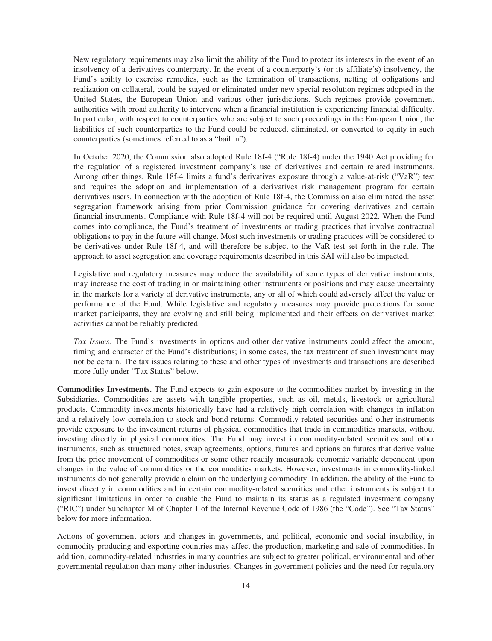New regulatory requirements may also limit the ability of the Fund to protect its interests in the event of an insolvency of a derivatives counterparty. In the event of a counterparty's (or its affiliate's) insolvency, the Fund's ability to exercise remedies, such as the termination of transactions, netting of obligations and realization on collateral, could be stayed or eliminated under new special resolution regimes adopted in the United States, the European Union and various other jurisdictions. Such regimes provide government authorities with broad authority to intervene when a financial institution is experiencing financial difficulty. In particular, with respect to counterparties who are subject to such proceedings in the European Union, the liabilities of such counterparties to the Fund could be reduced, eliminated, or converted to equity in such counterparties (sometimes referred to as a "bail in").

In October 2020, the Commission also adopted Rule 18f-4 ("Rule 18f-4) under the 1940 Act providing for the regulation of a registered investment company's use of derivatives and certain related instruments. Among other things, Rule 18f-4 limits a fund's derivatives exposure through a value-at-risk ("VaR") test and requires the adoption and implementation of a derivatives risk management program for certain derivatives users. In connection with the adoption of Rule 18f-4, the Commission also eliminated the asset segregation framework arising from prior Commission guidance for covering derivatives and certain financial instruments. Compliance with Rule 18f-4 will not be required until August 2022. When the Fund comes into compliance, the Fund's treatment of investments or trading practices that involve contractual obligations to pay in the future will change. Most such investments or trading practices will be considered to be derivatives under Rule 18f-4, and will therefore be subject to the VaR test set forth in the rule. The approach to asset segregation and coverage requirements described in this SAI will also be impacted.

Legislative and regulatory measures may reduce the availability of some types of derivative instruments, may increase the cost of trading in or maintaining other instruments or positions and may cause uncertainty in the markets for a variety of derivative instruments, any or all of which could adversely affect the value or performance of the Fund. While legislative and regulatory measures may provide protections for some market participants, they are evolving and still being implemented and their effects on derivatives market activities cannot be reliably predicted.

*Tax Issues.* The Fund's investments in options and other derivative instruments could affect the amount, timing and character of the Fund's distributions; in some cases, the tax treatment of such investments may not be certain. The tax issues relating to these and other types of investments and transactions are described more fully under "Tax Status" below.

**Commodities Investments.** The Fund expects to gain exposure to the commodities market by investing in the Subsidiaries. Commodities are assets with tangible properties, such as oil, metals, livestock or agricultural products. Commodity investments historically have had a relatively high correlation with changes in inflation and a relatively low correlation to stock and bond returns. Commodity-related securities and other instruments provide exposure to the investment returns of physical commodities that trade in commodities markets, without investing directly in physical commodities. The Fund may invest in commodity-related securities and other instruments, such as structured notes, swap agreements, options, futures and options on futures that derive value from the price movement of commodities or some other readily measurable economic variable dependent upon changes in the value of commodities or the commodities markets. However, investments in commodity-linked instruments do not generally provide a claim on the underlying commodity. In addition, the ability of the Fund to invest directly in commodities and in certain commodity-related securities and other instruments is subject to significant limitations in order to enable the Fund to maintain its status as a regulated investment company ("RIC") under Subchapter M of Chapter 1 of the Internal Revenue Code of 1986 (the "Code"). See "Tax Status" below for more information.

Actions of government actors and changes in governments, and political, economic and social instability, in commodity-producing and exporting countries may affect the production, marketing and sale of commodities. In addition, commodity-related industries in many countries are subject to greater political, environmental and other governmental regulation than many other industries. Changes in government policies and the need for regulatory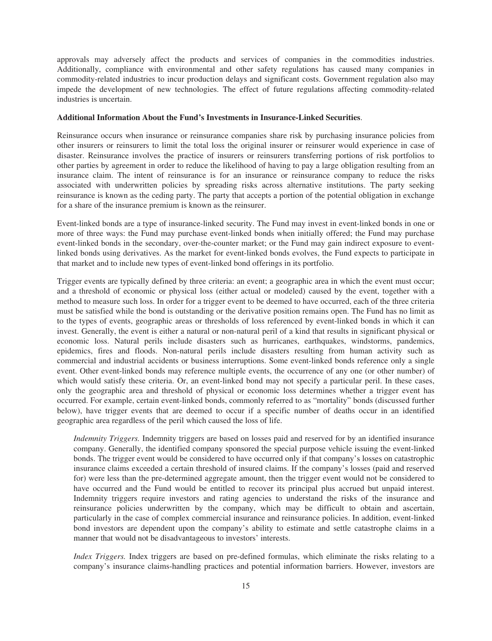approvals may adversely affect the products and services of companies in the commodities industries. Additionally, compliance with environmental and other safety regulations has caused many companies in commodity-related industries to incur production delays and significant costs. Government regulation also may impede the development of new technologies. The effect of future regulations affecting commodity-related industries is uncertain.

## **Additional Information About the Fund's Investments in Insurance-Linked Securities**.

Reinsurance occurs when insurance or reinsurance companies share risk by purchasing insurance policies from other insurers or reinsurers to limit the total loss the original insurer or reinsurer would experience in case of disaster. Reinsurance involves the practice of insurers or reinsurers transferring portions of risk portfolios to other parties by agreement in order to reduce the likelihood of having to pay a large obligation resulting from an insurance claim. The intent of reinsurance is for an insurance or reinsurance company to reduce the risks associated with underwritten policies by spreading risks across alternative institutions. The party seeking reinsurance is known as the ceding party. The party that accepts a portion of the potential obligation in exchange for a share of the insurance premium is known as the reinsurer.

Event-linked bonds are a type of insurance-linked security. The Fund may invest in event-linked bonds in one or more of three ways: the Fund may purchase event-linked bonds when initially offered; the Fund may purchase event-linked bonds in the secondary, over-the-counter market; or the Fund may gain indirect exposure to eventlinked bonds using derivatives. As the market for event-linked bonds evolves, the Fund expects to participate in that market and to include new types of event-linked bond offerings in its portfolio.

Trigger events are typically defined by three criteria: an event; a geographic area in which the event must occur; and a threshold of economic or physical loss (either actual or modeled) caused by the event, together with a method to measure such loss. In order for a trigger event to be deemed to have occurred, each of the three criteria must be satisfied while the bond is outstanding or the derivative position remains open. The Fund has no limit as to the types of events, geographic areas or thresholds of loss referenced by event-linked bonds in which it can invest. Generally, the event is either a natural or non-natural peril of a kind that results in significant physical or economic loss. Natural perils include disasters such as hurricanes, earthquakes, windstorms, pandemics, epidemics, fires and floods. Non-natural perils include disasters resulting from human activity such as commercial and industrial accidents or business interruptions. Some event-linked bonds reference only a single event. Other event-linked bonds may reference multiple events, the occurrence of any one (or other number) of which would satisfy these criteria. Or, an event-linked bond may not specify a particular peril. In these cases, only the geographic area and threshold of physical or economic loss determines whether a trigger event has occurred. For example, certain event-linked bonds, commonly referred to as "mortality" bonds (discussed further below), have trigger events that are deemed to occur if a specific number of deaths occur in an identified geographic area regardless of the peril which caused the loss of life.

*Indemnity Triggers.* Indemnity triggers are based on losses paid and reserved for by an identified insurance company. Generally, the identified company sponsored the special purpose vehicle issuing the event-linked bonds. The trigger event would be considered to have occurred only if that company's losses on catastrophic insurance claims exceeded a certain threshold of insured claims. If the company's losses (paid and reserved for) were less than the pre-determined aggregate amount, then the trigger event would not be considered to have occurred and the Fund would be entitled to recover its principal plus accrued but unpaid interest. Indemnity triggers require investors and rating agencies to understand the risks of the insurance and reinsurance policies underwritten by the company, which may be difficult to obtain and ascertain, particularly in the case of complex commercial insurance and reinsurance policies. In addition, event-linked bond investors are dependent upon the company's ability to estimate and settle catastrophe claims in a manner that would not be disadvantageous to investors' interests.

*Index Triggers.* Index triggers are based on pre-defined formulas, which eliminate the risks relating to a company's insurance claims-handling practices and potential information barriers. However, investors are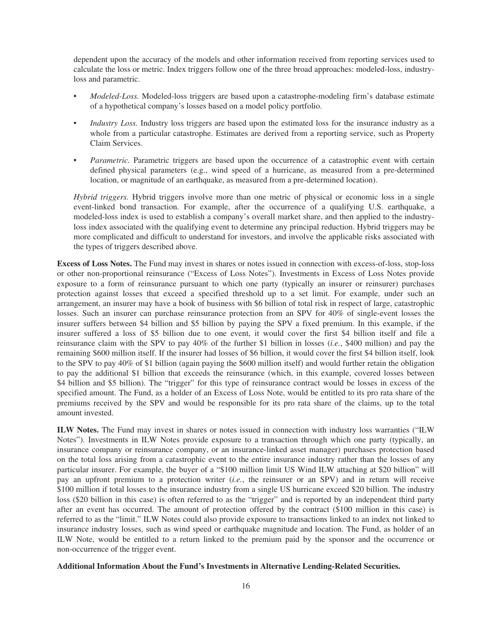dependent upon the accuracy of the models and other information received from reporting services used to calculate the loss or metric. Index triggers follow one of the three broad approaches: modeled-loss, industryloss and parametric.

- *Modeled-Loss.* Modeled-loss triggers are based upon a catastrophe-modeling firm's database estimate of a hypothetical company's losses based on a model policy portfolio.
- *Industry Loss.* Industry loss triggers are based upon the estimated loss for the insurance industry as a whole from a particular catastrophe. Estimates are derived from a reporting service, such as Property Claim Services.
- *Parametric.* Parametric triggers are based upon the occurrence of a catastrophic event with certain defined physical parameters (e.g., wind speed of a hurricane, as measured from a pre-determined location, or magnitude of an earthquake, as measured from a pre-determined location).

*Hybrid triggers.* Hybrid triggers involve more than one metric of physical or economic loss in a single event-linked bond transaction. For example, after the occurrence of a qualifying U.S. earthquake, a modeled-loss index is used to establish a company's overall market share, and then applied to the industryloss index associated with the qualifying event to determine any principal reduction. Hybrid triggers may be more complicated and difficult to understand for investors, and involve the applicable risks associated with the types of triggers described above.

**Excess of Loss Notes.** The Fund may invest in shares or notes issued in connection with excess-of-loss, stop-loss or other non-proportional reinsurance ("Excess of Loss Notes"). Investments in Excess of Loss Notes provide exposure to a form of reinsurance pursuant to which one party (typically an insurer or reinsurer) purchases protection against losses that exceed a specified threshold up to a set limit. For example, under such an arrangement, an insurer may have a book of business with \$6 billion of total risk in respect of large, catastrophic losses. Such an insurer can purchase reinsurance protection from an SPV for 40% of single-event losses the insurer suffers between \$4 billion and \$5 billion by paying the SPV a fixed premium. In this example, if the insurer suffered a loss of \$5 billion due to one event, it would cover the first \$4 billion itself and file a reinsurance claim with the SPV to pay 40% of the further \$1 billion in losses (*i.e.*, \$400 million) and pay the remaining \$600 million itself. If the insurer had losses of \$6 billion, it would cover the first \$4 billion itself, look to the SPV to pay 40% of \$1 billion (again paying the \$600 million itself) and would further retain the obligation to pay the additional \$1 billion that exceeds the reinsurance (which, in this example, covered losses between \$4 billion and \$5 billion). The "trigger" for this type of reinsurance contract would be losses in excess of the specified amount. The Fund, as a holder of an Excess of Loss Note, would be entitled to its pro rata share of the premiums received by the SPV and would be responsible for its pro rata share of the claims, up to the total amount invested.

**ILW Notes.** The Fund may invest in shares or notes issued in connection with industry loss warranties ("ILW Notes"). Investments in ILW Notes provide exposure to a transaction through which one party (typically, an insurance company or reinsurance company, or an insurance-linked asset manager) purchases protection based on the total loss arising from a catastrophic event to the entire insurance industry rather than the losses of any particular insurer. For example, the buyer of a "\$100 million limit US Wind ILW attaching at \$20 billion" will pay an upfront premium to a protection writer (*i.e.*, the reinsurer or an SPV) and in return will receive \$100 million if total losses to the insurance industry from a single US hurricane exceed \$20 billion. The industry loss (\$20 billion in this case) is often referred to as the "trigger" and is reported by an independent third party after an event has occurred. The amount of protection offered by the contract (\$100 million in this case) is referred to as the "limit." ILW Notes could also provide exposure to transactions linked to an index not linked to insurance industry losses, such as wind speed or earthquake magnitude and location. The Fund, as holder of an ILW Note, would be entitled to a return linked to the premium paid by the sponsor and the occurrence or non-occurrence of the trigger event.

## **Additional Information About the Fund's Investments in Alternative Lending-Related Securities.**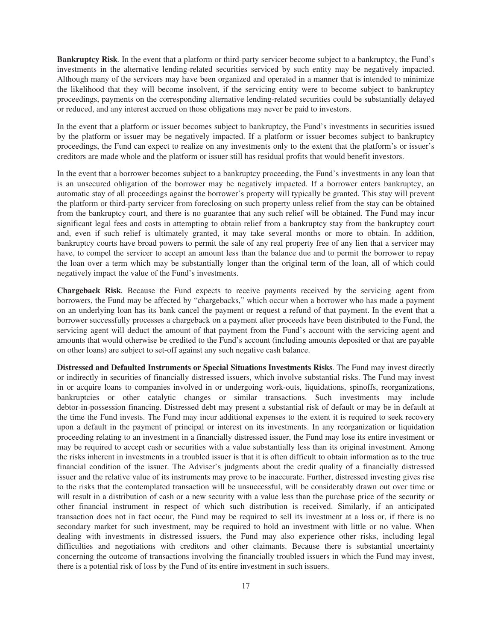**Bankruptcy Risk***.* In the event that a platform or third-party servicer become subject to a bankruptcy, the Fund's investments in the alternative lending-related securities serviced by such entity may be negatively impacted. Although many of the servicers may have been organized and operated in a manner that is intended to minimize the likelihood that they will become insolvent, if the servicing entity were to become subject to bankruptcy proceedings, payments on the corresponding alternative lending-related securities could be substantially delayed or reduced, and any interest accrued on those obligations may never be paid to investors.

In the event that a platform or issuer becomes subject to bankruptcy, the Fund's investments in securities issued by the platform or issuer may be negatively impacted. If a platform or issuer becomes subject to bankruptcy proceedings, the Fund can expect to realize on any investments only to the extent that the platform's or issuer's creditors are made whole and the platform or issuer still has residual profits that would benefit investors.

In the event that a borrower becomes subject to a bankruptcy proceeding, the Fund's investments in any loan that is an unsecured obligation of the borrower may be negatively impacted. If a borrower enters bankruptcy, an automatic stay of all proceedings against the borrower's property will typically be granted. This stay will prevent the platform or third-party servicer from foreclosing on such property unless relief from the stay can be obtained from the bankruptcy court, and there is no guarantee that any such relief will be obtained. The Fund may incur significant legal fees and costs in attempting to obtain relief from a bankruptcy stay from the bankruptcy court and, even if such relief is ultimately granted, it may take several months or more to obtain. In addition, bankruptcy courts have broad powers to permit the sale of any real property free of any lien that a servicer may have, to compel the servicer to accept an amount less than the balance due and to permit the borrower to repay the loan over a term which may be substantially longer than the original term of the loan, all of which could negatively impact the value of the Fund's investments.

**Chargeback Risk***.* Because the Fund expects to receive payments received by the servicing agent from borrowers, the Fund may be affected by "chargebacks," which occur when a borrower who has made a payment on an underlying loan has its bank cancel the payment or request a refund of that payment. In the event that a borrower successfully processes a chargeback on a payment after proceeds have been distributed to the Fund, the servicing agent will deduct the amount of that payment from the Fund's account with the servicing agent and amounts that would otherwise be credited to the Fund's account (including amounts deposited or that are payable on other loans) are subject to set-off against any such negative cash balance.

**Distressed and Defaulted Instruments or Special Situations Investments Risks***.* The Fund may invest directly or indirectly in securities of financially distressed issuers, which involve substantial risks. The Fund may invest in or acquire loans to companies involved in or undergoing work-outs, liquidations, spinoffs, reorganizations, bankruptcies or other catalytic changes or similar transactions. Such investments may include debtor-in-possession financing. Distressed debt may present a substantial risk of default or may be in default at the time the Fund invests. The Fund may incur additional expenses to the extent it is required to seek recovery upon a default in the payment of principal or interest on its investments. In any reorganization or liquidation proceeding relating to an investment in a financially distressed issuer, the Fund may lose its entire investment or may be required to accept cash or securities with a value substantially less than its original investment. Among the risks inherent in investments in a troubled issuer is that it is often difficult to obtain information as to the true financial condition of the issuer. The Adviser's judgments about the credit quality of a financially distressed issuer and the relative value of its instruments may prove to be inaccurate. Further, distressed investing gives rise to the risks that the contemplated transaction will be unsuccessful, will be considerably drawn out over time or will result in a distribution of cash or a new security with a value less than the purchase price of the security or other financial instrument in respect of which such distribution is received. Similarly, if an anticipated transaction does not in fact occur, the Fund may be required to sell its investment at a loss or, if there is no secondary market for such investment, may be required to hold an investment with little or no value. When dealing with investments in distressed issuers, the Fund may also experience other risks, including legal difficulties and negotiations with creditors and other claimants. Because there is substantial uncertainty concerning the outcome of transactions involving the financially troubled issuers in which the Fund may invest, there is a potential risk of loss by the Fund of its entire investment in such issuers.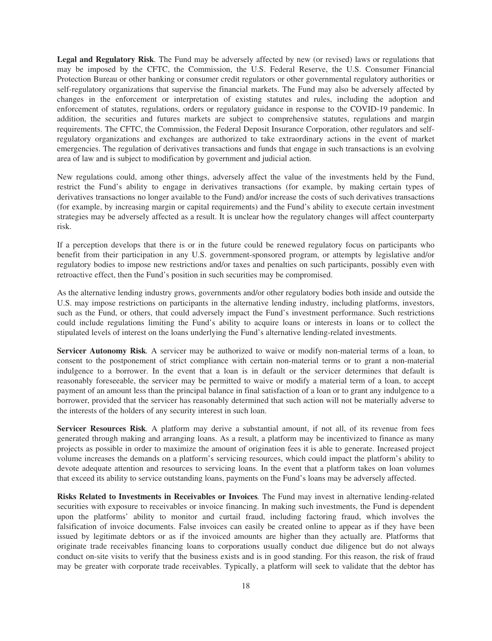**Legal and Regulatory Risk***.* The Fund may be adversely affected by new (or revised) laws or regulations that may be imposed by the CFTC, the Commission, the U.S. Federal Reserve, the U.S. Consumer Financial Protection Bureau or other banking or consumer credit regulators or other governmental regulatory authorities or self-regulatory organizations that supervise the financial markets. The Fund may also be adversely affected by changes in the enforcement or interpretation of existing statutes and rules, including the adoption and enforcement of statutes, regulations, orders or regulatory guidance in response to the COVID-19 pandemic. In addition, the securities and futures markets are subject to comprehensive statutes, regulations and margin requirements. The CFTC, the Commission, the Federal Deposit Insurance Corporation, other regulators and selfregulatory organizations and exchanges are authorized to take extraordinary actions in the event of market emergencies. The regulation of derivatives transactions and funds that engage in such transactions is an evolving area of law and is subject to modification by government and judicial action.

New regulations could, among other things, adversely affect the value of the investments held by the Fund, restrict the Fund's ability to engage in derivatives transactions (for example, by making certain types of derivatives transactions no longer available to the Fund) and/or increase the costs of such derivatives transactions (for example, by increasing margin or capital requirements) and the Fund's ability to execute certain investment strategies may be adversely affected as a result. It is unclear how the regulatory changes will affect counterparty risk.

If a perception develops that there is or in the future could be renewed regulatory focus on participants who benefit from their participation in any U.S. government-sponsored program, or attempts by legislative and/or regulatory bodies to impose new restrictions and/or taxes and penalties on such participants, possibly even with retroactive effect, then the Fund's position in such securities may be compromised.

As the alternative lending industry grows, governments and/or other regulatory bodies both inside and outside the U.S. may impose restrictions on participants in the alternative lending industry, including platforms, investors, such as the Fund, or others, that could adversely impact the Fund's investment performance. Such restrictions could include regulations limiting the Fund's ability to acquire loans or interests in loans or to collect the stipulated levels of interest on the loans underlying the Fund's alternative lending-related investments.

**Servicer Autonomy Risk***.* A servicer may be authorized to waive or modify non-material terms of a loan, to consent to the postponement of strict compliance with certain non-material terms or to grant a non-material indulgence to a borrower. In the event that a loan is in default or the servicer determines that default is reasonably foreseeable, the servicer may be permitted to waive or modify a material term of a loan, to accept payment of an amount less than the principal balance in final satisfaction of a loan or to grant any indulgence to a borrower, provided that the servicer has reasonably determined that such action will not be materially adverse to the interests of the holders of any security interest in such loan.

**Servicer Resources Risk***.* A platform may derive a substantial amount, if not all, of its revenue from fees generated through making and arranging loans. As a result, a platform may be incentivized to finance as many projects as possible in order to maximize the amount of origination fees it is able to generate. Increased project volume increases the demands on a platform's servicing resources, which could impact the platform's ability to devote adequate attention and resources to servicing loans. In the event that a platform takes on loan volumes that exceed its ability to service outstanding loans, payments on the Fund's loans may be adversely affected.

**Risks Related to Investments in Receivables or Invoices***.* The Fund may invest in alternative lending-related securities with exposure to receivables or invoice financing. In making such investments, the Fund is dependent upon the platforms' ability to monitor and curtail fraud, including factoring fraud, which involves the falsification of invoice documents. False invoices can easily be created online to appear as if they have been issued by legitimate debtors or as if the invoiced amounts are higher than they actually are. Platforms that originate trade receivables financing loans to corporations usually conduct due diligence but do not always conduct on-site visits to verify that the business exists and is in good standing. For this reason, the risk of fraud may be greater with corporate trade receivables. Typically, a platform will seek to validate that the debtor has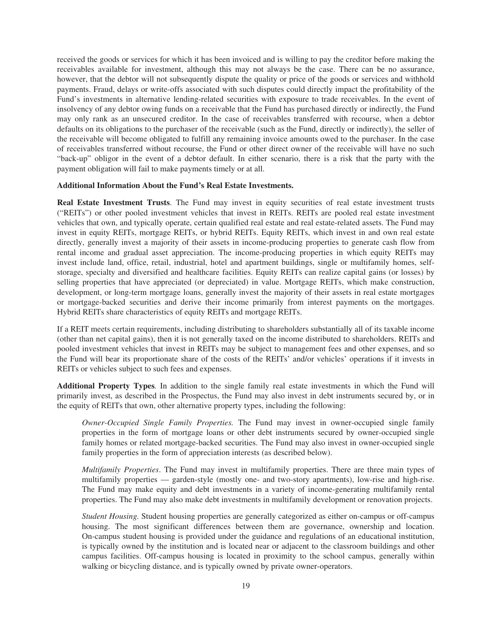received the goods or services for which it has been invoiced and is willing to pay the creditor before making the receivables available for investment, although this may not always be the case. There can be no assurance, however, that the debtor will not subsequently dispute the quality or price of the goods or services and withhold payments. Fraud, delays or write-offs associated with such disputes could directly impact the profitability of the Fund's investments in alternative lending-related securities with exposure to trade receivables. In the event of insolvency of any debtor owing funds on a receivable that the Fund has purchased directly or indirectly, the Fund may only rank as an unsecured creditor. In the case of receivables transferred with recourse, when a debtor defaults on its obligations to the purchaser of the receivable (such as the Fund, directly or indirectly), the seller of the receivable will become obligated to fulfill any remaining invoice amounts owed to the purchaser. In the case of receivables transferred without recourse, the Fund or other direct owner of the receivable will have no such "back-up" obligor in the event of a debtor default. In either scenario, there is a risk that the party with the payment obligation will fail to make payments timely or at all.

### **Additional Information About the Fund's Real Estate Investments.**

**Real Estate Investment Trusts**. The Fund may invest in equity securities of real estate investment trusts ("REITs") or other pooled investment vehicles that invest in REITs. REITs are pooled real estate investment vehicles that own, and typically operate, certain qualified real estate and real estate-related assets. The Fund may invest in equity REITs, mortgage REITs, or hybrid REITs. Equity REITs, which invest in and own real estate directly, generally invest a majority of their assets in income-producing properties to generate cash flow from rental income and gradual asset appreciation. The income-producing properties in which equity REITs may invest include land, office, retail, industrial, hotel and apartment buildings, single or multifamily homes, selfstorage, specialty and diversified and healthcare facilities. Equity REITs can realize capital gains (or losses) by selling properties that have appreciated (or depreciated) in value. Mortgage REITs, which make construction, development, or long-term mortgage loans, generally invest the majority of their assets in real estate mortgages or mortgage-backed securities and derive their income primarily from interest payments on the mortgages. Hybrid REITs share characteristics of equity REITs and mortgage REITs.

If a REIT meets certain requirements, including distributing to shareholders substantially all of its taxable income (other than net capital gains), then it is not generally taxed on the income distributed to shareholders. REITs and pooled investment vehicles that invest in REITs may be subject to management fees and other expenses, and so the Fund will bear its proportionate share of the costs of the REITs' and/or vehicles' operations if it invests in REITs or vehicles subject to such fees and expenses.

**Additional Property Types***.* In addition to the single family real estate investments in which the Fund will primarily invest, as described in the Prospectus, the Fund may also invest in debt instruments secured by, or in the equity of REITs that own, other alternative property types, including the following:

*Owner-Occupied Single Family Properties.* The Fund may invest in owner-occupied single family properties in the form of mortgage loans or other debt instruments secured by owner-occupied single family homes or related mortgage-backed securities. The Fund may also invest in owner-occupied single family properties in the form of appreciation interests (as described below).

*Multifamily Properties*. The Fund may invest in multifamily properties. There are three main types of multifamily properties — garden-style (mostly one- and two-story apartments), low-rise and high-rise. The Fund may make equity and debt investments in a variety of income-generating multifamily rental properties. The Fund may also make debt investments in multifamily development or renovation projects.

*Student Housing.* Student housing properties are generally categorized as either on-campus or off-campus housing. The most significant differences between them are governance, ownership and location. On-campus student housing is provided under the guidance and regulations of an educational institution, is typically owned by the institution and is located near or adjacent to the classroom buildings and other campus facilities. Off-campus housing is located in proximity to the school campus, generally within walking or bicycling distance, and is typically owned by private owner-operators.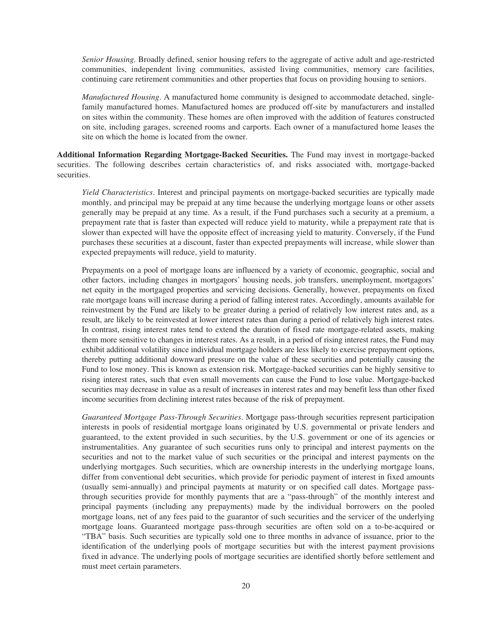*Senior Housing.* Broadly defined, senior housing refers to the aggregate of active adult and age-restricted communities, independent living communities, assisted living communities, memory care facilities, continuing care retirement communities and other properties that focus on providing housing to seniors.

*Manufactured Housing*. A manufactured home community is designed to accommodate detached, singlefamily manufactured homes. Manufactured homes are produced off-site by manufacturers and installed on sites within the community. These homes are often improved with the addition of features constructed on site, including garages, screened rooms and carports. Each owner of a manufactured home leases the site on which the home is located from the owner.

**Additional Information Regarding Mortgage-Backed Securities.** The Fund may invest in mortgage-backed securities. The following describes certain characteristics of, and risks associated with, mortgage-backed securities.

*Yield Characteristics*. Interest and principal payments on mortgage-backed securities are typically made monthly, and principal may be prepaid at any time because the underlying mortgage loans or other assets generally may be prepaid at any time. As a result, if the Fund purchases such a security at a premium, a prepayment rate that is faster than expected will reduce yield to maturity, while a prepayment rate that is slower than expected will have the opposite effect of increasing yield to maturity. Conversely, if the Fund purchases these securities at a discount, faster than expected prepayments will increase, while slower than expected prepayments will reduce, yield to maturity.

Prepayments on a pool of mortgage loans are influenced by a variety of economic, geographic, social and other factors, including changes in mortgagors' housing needs, job transfers, unemployment, mortgagors' net equity in the mortgaged properties and servicing decisions. Generally, however, prepayments on fixed rate mortgage loans will increase during a period of falling interest rates. Accordingly, amounts available for reinvestment by the Fund are likely to be greater during a period of relatively low interest rates and, as a result, are likely to be reinvested at lower interest rates than during a period of relatively high interest rates. In contrast, rising interest rates tend to extend the duration of fixed rate mortgage-related assets, making them more sensitive to changes in interest rates. As a result, in a period of rising interest rates, the Fund may exhibit additional volatility since individual mortgage holders are less likely to exercise prepayment options, thereby putting additional downward pressure on the value of these securities and potentially causing the Fund to lose money. This is known as extension risk. Mortgage-backed securities can be highly sensitive to rising interest rates, such that even small movements can cause the Fund to lose value. Mortgage-backed securities may decrease in value as a result of increases in interest rates and may benefit less than other fixed income securities from declining interest rates because of the risk of prepayment.

*Guaranteed Mortgage Pass-Through Securities*. Mortgage pass-through securities represent participation interests in pools of residential mortgage loans originated by U.S. governmental or private lenders and guaranteed, to the extent provided in such securities, by the U.S. government or one of its agencies or instrumentalities. Any guarantee of such securities runs only to principal and interest payments on the securities and not to the market value of such securities or the principal and interest payments on the underlying mortgages. Such securities, which are ownership interests in the underlying mortgage loans, differ from conventional debt securities, which provide for periodic payment of interest in fixed amounts (usually semi-annually) and principal payments at maturity or on specified call dates. Mortgage passthrough securities provide for monthly payments that are a "pass-through" of the monthly interest and principal payments (including any prepayments) made by the individual borrowers on the pooled mortgage loans, net of any fees paid to the guarantor of such securities and the servicer of the underlying mortgage loans. Guaranteed mortgage pass-through securities are often sold on a to-be-acquired or "TBA" basis. Such securities are typically sold one to three months in advance of issuance, prior to the identification of the underlying pools of mortgage securities but with the interest payment provisions fixed in advance. The underlying pools of mortgage securities are identified shortly before settlement and must meet certain parameters.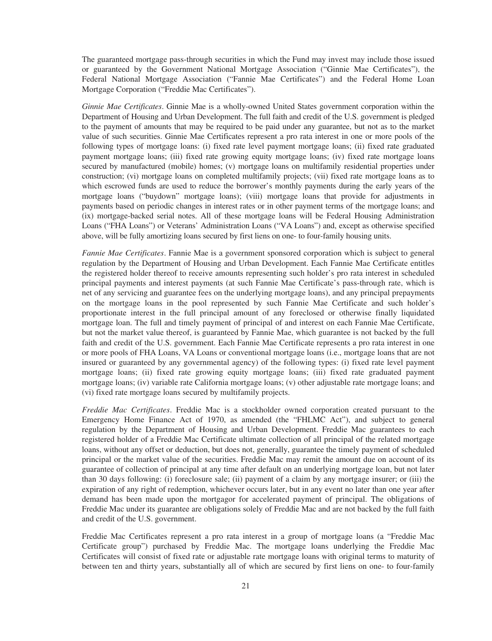The guaranteed mortgage pass-through securities in which the Fund may invest may include those issued or guaranteed by the Government National Mortgage Association ("Ginnie Mae Certificates"), the Federal National Mortgage Association ("Fannie Mae Certificates") and the Federal Home Loan Mortgage Corporation ("Freddie Mac Certificates").

*Ginnie Mae Certificates*. Ginnie Mae is a wholly-owned United States government corporation within the Department of Housing and Urban Development. The full faith and credit of the U.S. government is pledged to the payment of amounts that may be required to be paid under any guarantee, but not as to the market value of such securities. Ginnie Mae Certificates represent a pro rata interest in one or more pools of the following types of mortgage loans: (i) fixed rate level payment mortgage loans; (ii) fixed rate graduated payment mortgage loans; (iii) fixed rate growing equity mortgage loans; (iv) fixed rate mortgage loans secured by manufactured (mobile) homes; (v) mortgage loans on multifamily residential properties under construction; (vi) mortgage loans on completed multifamily projects; (vii) fixed rate mortgage loans as to which escrowed funds are used to reduce the borrower's monthly payments during the early years of the mortgage loans ("buydown" mortgage loans); (viii) mortgage loans that provide for adjustments in payments based on periodic changes in interest rates or in other payment terms of the mortgage loans; and (ix) mortgage-backed serial notes. All of these mortgage loans will be Federal Housing Administration Loans ("FHA Loans") or Veterans' Administration Loans ("VA Loans") and, except as otherwise specified above, will be fully amortizing loans secured by first liens on one- to four-family housing units.

*Fannie Mae Certificates*. Fannie Mae is a government sponsored corporation which is subject to general regulation by the Department of Housing and Urban Development. Each Fannie Mae Certificate entitles the registered holder thereof to receive amounts representing such holder's pro rata interest in scheduled principal payments and interest payments (at such Fannie Mae Certificate's pass-through rate, which is net of any servicing and guarantee fees on the underlying mortgage loans), and any principal prepayments on the mortgage loans in the pool represented by such Fannie Mae Certificate and such holder's proportionate interest in the full principal amount of any foreclosed or otherwise finally liquidated mortgage loan. The full and timely payment of principal of and interest on each Fannie Mae Certificate, but not the market value thereof, is guaranteed by Fannie Mae, which guarantee is not backed by the full faith and credit of the U.S. government. Each Fannie Mae Certificate represents a pro rata interest in one or more pools of FHA Loans, VA Loans or conventional mortgage loans (i.e., mortgage loans that are not insured or guaranteed by any governmental agency) of the following types: (i) fixed rate level payment mortgage loans; (ii) fixed rate growing equity mortgage loans; (iii) fixed rate graduated payment mortgage loans; (iv) variable rate California mortgage loans; (v) other adjustable rate mortgage loans; and (vi) fixed rate mortgage loans secured by multifamily projects.

*Freddie Mac Certificates*. Freddie Mac is a stockholder owned corporation created pursuant to the Emergency Home Finance Act of 1970, as amended (the "FHLMC Act"), and subject to general regulation by the Department of Housing and Urban Development. Freddie Mac guarantees to each registered holder of a Freddie Mac Certificate ultimate collection of all principal of the related mortgage loans, without any offset or deduction, but does not, generally, guarantee the timely payment of scheduled principal or the market value of the securities. Freddie Mac may remit the amount due on account of its guarantee of collection of principal at any time after default on an underlying mortgage loan, but not later than 30 days following: (i) foreclosure sale; (ii) payment of a claim by any mortgage insurer; or (iii) the expiration of any right of redemption, whichever occurs later, but in any event no later than one year after demand has been made upon the mortgagor for accelerated payment of principal. The obligations of Freddie Mac under its guarantee are obligations solely of Freddie Mac and are not backed by the full faith and credit of the U.S. government.

Freddie Mac Certificates represent a pro rata interest in a group of mortgage loans (a "Freddie Mac Certificate group") purchased by Freddie Mac. The mortgage loans underlying the Freddie Mac Certificates will consist of fixed rate or adjustable rate mortgage loans with original terms to maturity of between ten and thirty years, substantially all of which are secured by first liens on one- to four-family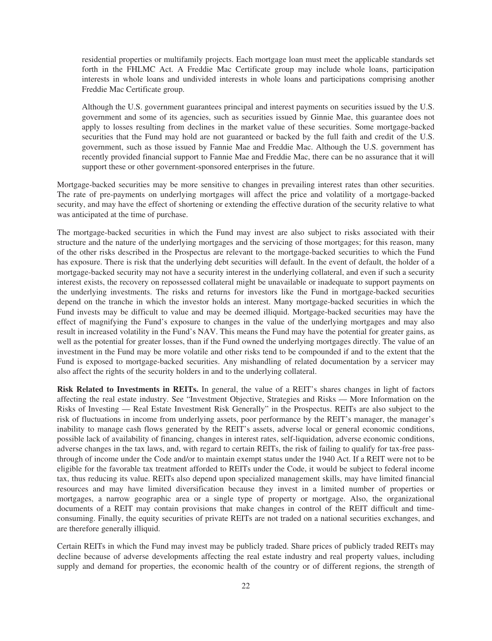residential properties or multifamily projects. Each mortgage loan must meet the applicable standards set forth in the FHLMC Act. A Freddie Mac Certificate group may include whole loans, participation interests in whole loans and undivided interests in whole loans and participations comprising another Freddie Mac Certificate group.

Although the U.S. government guarantees principal and interest payments on securities issued by the U.S. government and some of its agencies, such as securities issued by Ginnie Mae, this guarantee does not apply to losses resulting from declines in the market value of these securities. Some mortgage-backed securities that the Fund may hold are not guaranteed or backed by the full faith and credit of the U.S. government, such as those issued by Fannie Mae and Freddie Mac. Although the U.S. government has recently provided financial support to Fannie Mae and Freddie Mac, there can be no assurance that it will support these or other government-sponsored enterprises in the future.

Mortgage-backed securities may be more sensitive to changes in prevailing interest rates than other securities. The rate of pre-payments on underlying mortgages will affect the price and volatility of a mortgage-backed security, and may have the effect of shortening or extending the effective duration of the security relative to what was anticipated at the time of purchase.

The mortgage-backed securities in which the Fund may invest are also subject to risks associated with their structure and the nature of the underlying mortgages and the servicing of those mortgages; for this reason, many of the other risks described in the Prospectus are relevant to the mortgage-backed securities to which the Fund has exposure. There is risk that the underlying debt securities will default. In the event of default, the holder of a mortgage-backed security may not have a security interest in the underlying collateral, and even if such a security interest exists, the recovery on repossessed collateral might be unavailable or inadequate to support payments on the underlying investments. The risks and returns for investors like the Fund in mortgage-backed securities depend on the tranche in which the investor holds an interest. Many mortgage-backed securities in which the Fund invests may be difficult to value and may be deemed illiquid. Mortgage-backed securities may have the effect of magnifying the Fund's exposure to changes in the value of the underlying mortgages and may also result in increased volatility in the Fund's NAV. This means the Fund may have the potential for greater gains, as well as the potential for greater losses, than if the Fund owned the underlying mortgages directly. The value of an investment in the Fund may be more volatile and other risks tend to be compounded if and to the extent that the Fund is exposed to mortgage-backed securities. Any mishandling of related documentation by a servicer may also affect the rights of the security holders in and to the underlying collateral.

**Risk Related to Investments in REITs.** In general, the value of a REIT's shares changes in light of factors affecting the real estate industry. See "Investment Objective, Strategies and Risks — More Information on the Risks of Investing — Real Estate Investment Risk Generally" in the Prospectus. REITs are also subject to the risk of fluctuations in income from underlying assets, poor performance by the REIT's manager, the manager's inability to manage cash flows generated by the REIT's assets, adverse local or general economic conditions, possible lack of availability of financing, changes in interest rates, self-liquidation, adverse economic conditions, adverse changes in the tax laws, and, with regard to certain REITs, the risk of failing to qualify for tax-free passthrough of income under the Code and/or to maintain exempt status under the 1940 Act. If a REIT were not to be eligible for the favorable tax treatment afforded to REITs under the Code, it would be subject to federal income tax, thus reducing its value. REITs also depend upon specialized management skills, may have limited financial resources and may have limited diversification because they invest in a limited number of properties or mortgages, a narrow geographic area or a single type of property or mortgage. Also, the organizational documents of a REIT may contain provisions that make changes in control of the REIT difficult and timeconsuming. Finally, the equity securities of private REITs are not traded on a national securities exchanges, and are therefore generally illiquid.

Certain REITs in which the Fund may invest may be publicly traded. Share prices of publicly traded REITs may decline because of adverse developments affecting the real estate industry and real property values, including supply and demand for properties, the economic health of the country or of different regions, the strength of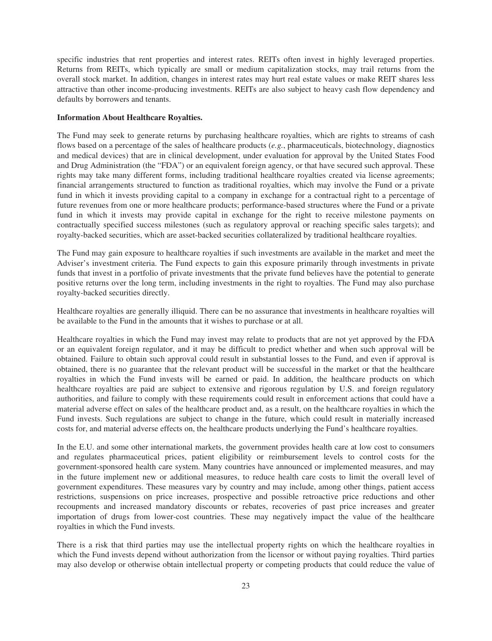specific industries that rent properties and interest rates. REITs often invest in highly leveraged properties. Returns from REITs, which typically are small or medium capitalization stocks, may trail returns from the overall stock market. In addition, changes in interest rates may hurt real estate values or make REIT shares less attractive than other income-producing investments. REITs are also subject to heavy cash flow dependency and defaults by borrowers and tenants.

## **Information About Healthcare Royalties.**

The Fund may seek to generate returns by purchasing healthcare royalties, which are rights to streams of cash flows based on a percentage of the sales of healthcare products (*e.g.*, pharmaceuticals, biotechnology, diagnostics and medical devices) that are in clinical development, under evaluation for approval by the United States Food and Drug Administration (the "FDA") or an equivalent foreign agency, or that have secured such approval. These rights may take many different forms, including traditional healthcare royalties created via license agreements; financial arrangements structured to function as traditional royalties, which may involve the Fund or a private fund in which it invests providing capital to a company in exchange for a contractual right to a percentage of future revenues from one or more healthcare products; performance-based structures where the Fund or a private fund in which it invests may provide capital in exchange for the right to receive milestone payments on contractually specified success milestones (such as regulatory approval or reaching specific sales targets); and royalty-backed securities, which are asset-backed securities collateralized by traditional healthcare royalties.

The Fund may gain exposure to healthcare royalties if such investments are available in the market and meet the Adviser's investment criteria. The Fund expects to gain this exposure primarily through investments in private funds that invest in a portfolio of private investments that the private fund believes have the potential to generate positive returns over the long term, including investments in the right to royalties. The Fund may also purchase royalty-backed securities directly.

Healthcare royalties are generally illiquid. There can be no assurance that investments in healthcare royalties will be available to the Fund in the amounts that it wishes to purchase or at all.

Healthcare royalties in which the Fund may invest may relate to products that are not yet approved by the FDA or an equivalent foreign regulator, and it may be difficult to predict whether and when such approval will be obtained. Failure to obtain such approval could result in substantial losses to the Fund, and even if approval is obtained, there is no guarantee that the relevant product will be successful in the market or that the healthcare royalties in which the Fund invests will be earned or paid. In addition, the healthcare products on which healthcare royalties are paid are subject to extensive and rigorous regulation by U.S. and foreign regulatory authorities, and failure to comply with these requirements could result in enforcement actions that could have a material adverse effect on sales of the healthcare product and, as a result, on the healthcare royalties in which the Fund invests. Such regulations are subject to change in the future, which could result in materially increased costs for, and material adverse effects on, the healthcare products underlying the Fund's healthcare royalties.

In the E.U. and some other international markets, the government provides health care at low cost to consumers and regulates pharmaceutical prices, patient eligibility or reimbursement levels to control costs for the government-sponsored health care system. Many countries have announced or implemented measures, and may in the future implement new or additional measures, to reduce health care costs to limit the overall level of government expenditures. These measures vary by country and may include, among other things, patient access restrictions, suspensions on price increases, prospective and possible retroactive price reductions and other recoupments and increased mandatory discounts or rebates, recoveries of past price increases and greater importation of drugs from lower-cost countries. These may negatively impact the value of the healthcare royalties in which the Fund invests.

There is a risk that third parties may use the intellectual property rights on which the healthcare royalties in which the Fund invests depend without authorization from the licensor or without paying royalties. Third parties may also develop or otherwise obtain intellectual property or competing products that could reduce the value of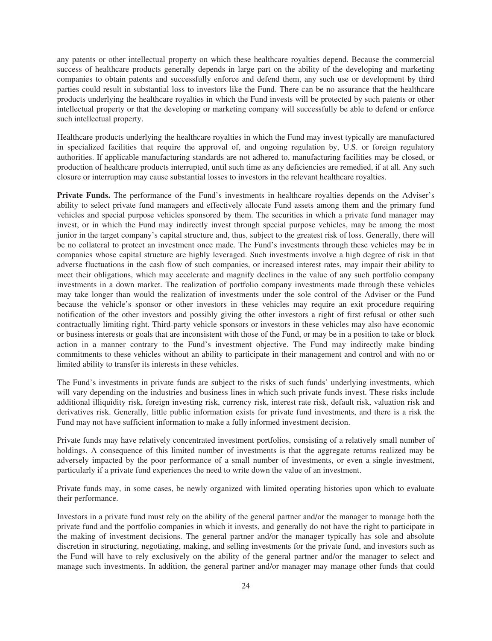any patents or other intellectual property on which these healthcare royalties depend. Because the commercial success of healthcare products generally depends in large part on the ability of the developing and marketing companies to obtain patents and successfully enforce and defend them, any such use or development by third parties could result in substantial loss to investors like the Fund. There can be no assurance that the healthcare products underlying the healthcare royalties in which the Fund invests will be protected by such patents or other intellectual property or that the developing or marketing company will successfully be able to defend or enforce such intellectual property.

Healthcare products underlying the healthcare royalties in which the Fund may invest typically are manufactured in specialized facilities that require the approval of, and ongoing regulation by, U.S. or foreign regulatory authorities. If applicable manufacturing standards are not adhered to, manufacturing facilities may be closed, or production of healthcare products interrupted, until such time as any deficiencies are remedied, if at all. Any such closure or interruption may cause substantial losses to investors in the relevant healthcare royalties.

**Private Funds.** The performance of the Fund's investments in healthcare royalties depends on the Adviser's ability to select private fund managers and effectively allocate Fund assets among them and the primary fund vehicles and special purpose vehicles sponsored by them. The securities in which a private fund manager may invest, or in which the Fund may indirectly invest through special purpose vehicles, may be among the most junior in the target company's capital structure and, thus, subject to the greatest risk of loss. Generally, there will be no collateral to protect an investment once made. The Fund's investments through these vehicles may be in companies whose capital structure are highly leveraged. Such investments involve a high degree of risk in that adverse fluctuations in the cash flow of such companies, or increased interest rates, may impair their ability to meet their obligations, which may accelerate and magnify declines in the value of any such portfolio company investments in a down market. The realization of portfolio company investments made through these vehicles may take longer than would the realization of investments under the sole control of the Adviser or the Fund because the vehicle's sponsor or other investors in these vehicles may require an exit procedure requiring notification of the other investors and possibly giving the other investors a right of first refusal or other such contractually limiting right. Third-party vehicle sponsors or investors in these vehicles may also have economic or business interests or goals that are inconsistent with those of the Fund, or may be in a position to take or block action in a manner contrary to the Fund's investment objective. The Fund may indirectly make binding commitments to these vehicles without an ability to participate in their management and control and with no or limited ability to transfer its interests in these vehicles.

The Fund's investments in private funds are subject to the risks of such funds' underlying investments, which will vary depending on the industries and business lines in which such private funds invest. These risks include additional illiquidity risk, foreign investing risk, currency risk, interest rate risk, default risk, valuation risk and derivatives risk. Generally, little public information exists for private fund investments, and there is a risk the Fund may not have sufficient information to make a fully informed investment decision.

Private funds may have relatively concentrated investment portfolios, consisting of a relatively small number of holdings. A consequence of this limited number of investments is that the aggregate returns realized may be adversely impacted by the poor performance of a small number of investments, or even a single investment, particularly if a private fund experiences the need to write down the value of an investment.

Private funds may, in some cases, be newly organized with limited operating histories upon which to evaluate their performance.

Investors in a private fund must rely on the ability of the general partner and/or the manager to manage both the private fund and the portfolio companies in which it invests, and generally do not have the right to participate in the making of investment decisions. The general partner and/or the manager typically has sole and absolute discretion in structuring, negotiating, making, and selling investments for the private fund, and investors such as the Fund will have to rely exclusively on the ability of the general partner and/or the manager to select and manage such investments. In addition, the general partner and/or manager may manage other funds that could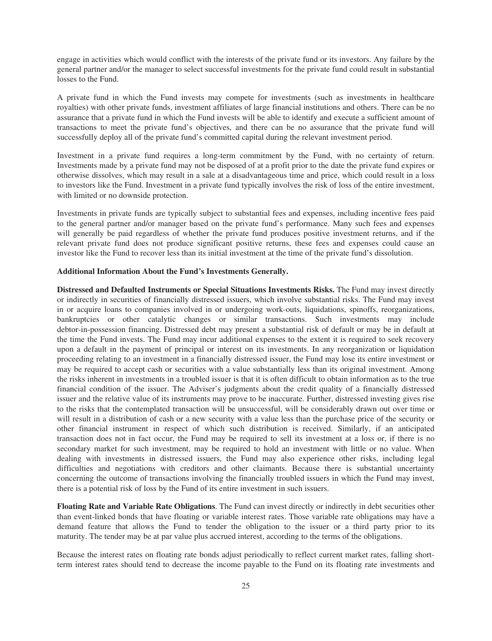engage in activities which would conflict with the interests of the private fund or its investors. Any failure by the general partner and/or the manager to select successful investments for the private fund could result in substantial losses to the Fund.

A private fund in which the Fund invests may compete for investments (such as investments in healthcare royalties) with other private funds, investment affiliates of large financial institutions and others. There can be no assurance that a private fund in which the Fund invests will be able to identify and execute a sufficient amount of transactions to meet the private fund's objectives, and there can be no assurance that the private fund will successfully deploy all of the private fund's committed capital during the relevant investment period.

Investment in a private fund requires a long-term commitment by the Fund, with no certainty of return. Investments made by a private fund may not be disposed of at a profit prior to the date the private fund expires or otherwise dissolves, which may result in a sale at a disadvantageous time and price, which could result in a loss to investors like the Fund. Investment in a private fund typically involves the risk of loss of the entire investment, with limited or no downside protection.

Investments in private funds are typically subject to substantial fees and expenses, including incentive fees paid to the general partner and/or manager based on the private fund's performance. Many such fees and expenses will generally be paid regardless of whether the private fund produces positive investment returns, and if the relevant private fund does not produce significant positive returns, these fees and expenses could cause an investor like the Fund to recover less than its initial investment at the time of the private fund's dissolution.

### **Additional Information About the Fund's Investments Generally.**

**Distressed and Defaulted Instruments or Special Situations Investments Risks.** The Fund may invest directly or indirectly in securities of financially distressed issuers, which involve substantial risks. The Fund may invest in or acquire loans to companies involved in or undergoing work-outs, liquidations, spinoffs, reorganizations, bankruptcies or other catalytic changes or similar transactions. Such investments may include debtor-in-possession financing. Distressed debt may present a substantial risk of default or may be in default at the time the Fund invests. The Fund may incur additional expenses to the extent it is required to seek recovery upon a default in the payment of principal or interest on its investments. In any reorganization or liquidation proceeding relating to an investment in a financially distressed issuer, the Fund may lose its entire investment or may be required to accept cash or securities with a value substantially less than its original investment. Among the risks inherent in investments in a troubled issuer is that it is often difficult to obtain information as to the true financial condition of the issuer. The Adviser's judgments about the credit quality of a financially distressed issuer and the relative value of its instruments may prove to be inaccurate. Further, distressed investing gives rise to the risks that the contemplated transaction will be unsuccessful, will be considerably drawn out over time or will result in a distribution of cash or a new security with a value less than the purchase price of the security or other financial instrument in respect of which such distribution is received. Similarly, if an anticipated transaction does not in fact occur, the Fund may be required to sell its investment at a loss or, if there is no secondary market for such investment, may be required to hold an investment with little or no value. When dealing with investments in distressed issuers, the Fund may also experience other risks, including legal difficulties and negotiations with creditors and other claimants. Because there is substantial uncertainty concerning the outcome of transactions involving the financially troubled issuers in which the Fund may invest, there is a potential risk of loss by the Fund of its entire investment in such issuers.

**Floating Rate and Variable Rate Obligations**. The Fund can invest directly or indirectly in debt securities other than event-linked bonds that have floating or variable interest rates. Those variable rate obligations may have a demand feature that allows the Fund to tender the obligation to the issuer or a third party prior to its maturity. The tender may be at par value plus accrued interest, according to the terms of the obligations.

Because the interest rates on floating rate bonds adjust periodically to reflect current market rates, falling shortterm interest rates should tend to decrease the income payable to the Fund on its floating rate investments and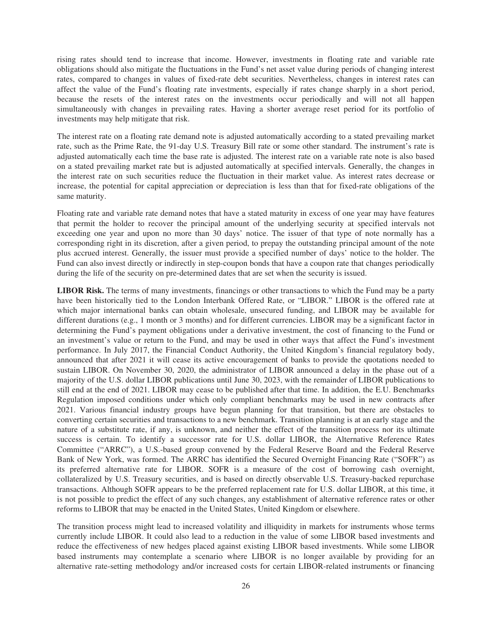rising rates should tend to increase that income. However, investments in floating rate and variable rate obligations should also mitigate the fluctuations in the Fund's net asset value during periods of changing interest rates, compared to changes in values of fixed-rate debt securities. Nevertheless, changes in interest rates can affect the value of the Fund's floating rate investments, especially if rates change sharply in a short period, because the resets of the interest rates on the investments occur periodically and will not all happen simultaneously with changes in prevailing rates. Having a shorter average reset period for its portfolio of investments may help mitigate that risk.

The interest rate on a floating rate demand note is adjusted automatically according to a stated prevailing market rate, such as the Prime Rate, the 91-day U.S. Treasury Bill rate or some other standard. The instrument's rate is adjusted automatically each time the base rate is adjusted. The interest rate on a variable rate note is also based on a stated prevailing market rate but is adjusted automatically at specified intervals. Generally, the changes in the interest rate on such securities reduce the fluctuation in their market value. As interest rates decrease or increase, the potential for capital appreciation or depreciation is less than that for fixed-rate obligations of the same maturity.

Floating rate and variable rate demand notes that have a stated maturity in excess of one year may have features that permit the holder to recover the principal amount of the underlying security at specified intervals not exceeding one year and upon no more than 30 days' notice. The issuer of that type of note normally has a corresponding right in its discretion, after a given period, to prepay the outstanding principal amount of the note plus accrued interest. Generally, the issuer must provide a specified number of days' notice to the holder. The Fund can also invest directly or indirectly in step-coupon bonds that have a coupon rate that changes periodically during the life of the security on pre-determined dates that are set when the security is issued.

**LIBOR Risk.** The terms of many investments, financings or other transactions to which the Fund may be a party have been historically tied to the London Interbank Offered Rate, or "LIBOR." LIBOR is the offered rate at which major international banks can obtain wholesale, unsecured funding, and LIBOR may be available for different durations (e.g., 1 month or 3 months) and for different currencies. LIBOR may be a significant factor in determining the Fund's payment obligations under a derivative investment, the cost of financing to the Fund or an investment's value or return to the Fund, and may be used in other ways that affect the Fund's investment performance. In July 2017, the Financial Conduct Authority, the United Kingdom's financial regulatory body, announced that after 2021 it will cease its active encouragement of banks to provide the quotations needed to sustain LIBOR. On November 30, 2020, the administrator of LIBOR announced a delay in the phase out of a majority of the U.S. dollar LIBOR publications until June 30, 2023, with the remainder of LIBOR publications to still end at the end of 2021. LIBOR may cease to be published after that time. In addition, the E.U. Benchmarks Regulation imposed conditions under which only compliant benchmarks may be used in new contracts after 2021. Various financial industry groups have begun planning for that transition, but there are obstacles to converting certain securities and transactions to a new benchmark. Transition planning is at an early stage and the nature of a substitute rate, if any, is unknown, and neither the effect of the transition process nor its ultimate success is certain. To identify a successor rate for U.S. dollar LIBOR, the Alternative Reference Rates Committee ("ARRC"), a U.S.-based group convened by the Federal Reserve Board and the Federal Reserve Bank of New York, was formed. The ARRC has identified the Secured Overnight Financing Rate ("SOFR") as its preferred alternative rate for LIBOR. SOFR is a measure of the cost of borrowing cash overnight, collateralized by U.S. Treasury securities, and is based on directly observable U.S. Treasury-backed repurchase transactions. Although SOFR appears to be the preferred replacement rate for U.S. dollar LIBOR, at this time, it is not possible to predict the effect of any such changes, any establishment of alternative reference rates or other reforms to LIBOR that may be enacted in the United States, United Kingdom or elsewhere.

The transition process might lead to increased volatility and illiquidity in markets for instruments whose terms currently include LIBOR. It could also lead to a reduction in the value of some LIBOR based investments and reduce the effectiveness of new hedges placed against existing LIBOR based investments. While some LIBOR based instruments may contemplate a scenario where LIBOR is no longer available by providing for an alternative rate-setting methodology and/or increased costs for certain LIBOR-related instruments or financing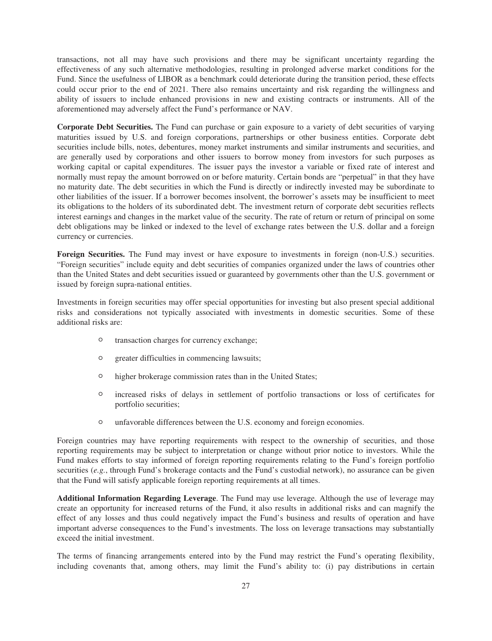transactions, not all may have such provisions and there may be significant uncertainty regarding the effectiveness of any such alternative methodologies, resulting in prolonged adverse market conditions for the Fund. Since the usefulness of LIBOR as a benchmark could deteriorate during the transition period, these effects could occur prior to the end of 2021. There also remains uncertainty and risk regarding the willingness and ability of issuers to include enhanced provisions in new and existing contracts or instruments. All of the aforementioned may adversely affect the Fund's performance or NAV.

**Corporate Debt Securities.** The Fund can purchase or gain exposure to a variety of debt securities of varying maturities issued by U.S. and foreign corporations, partnerships or other business entities. Corporate debt securities include bills, notes, debentures, money market instruments and similar instruments and securities, and are generally used by corporations and other issuers to borrow money from investors for such purposes as working capital or capital expenditures. The issuer pays the investor a variable or fixed rate of interest and normally must repay the amount borrowed on or before maturity. Certain bonds are "perpetual" in that they have no maturity date. The debt securities in which the Fund is directly or indirectly invested may be subordinate to other liabilities of the issuer. If a borrower becomes insolvent, the borrower's assets may be insufficient to meet its obligations to the holders of its subordinated debt. The investment return of corporate debt securities reflects interest earnings and changes in the market value of the security. The rate of return or return of principal on some debt obligations may be linked or indexed to the level of exchange rates between the U.S. dollar and a foreign currency or currencies.

**Foreign Securities.** The Fund may invest or have exposure to investments in foreign (non-U.S.) securities. "Foreign securities" include equity and debt securities of companies organized under the laws of countries other than the United States and debt securities issued or guaranteed by governments other than the U.S. government or issued by foreign supra-national entities.

Investments in foreign securities may offer special opportunities for investing but also present special additional risks and considerations not typically associated with investments in domestic securities. Some of these additional risks are:

- <sup>O</sup> transaction charges for currency exchange;
- <sup>O</sup> greater difficulties in commencing lawsuits;
- <sup>O</sup> higher brokerage commission rates than in the United States;
- <sup>O</sup> increased risks of delays in settlement of portfolio transactions or loss of certificates for portfolio securities;
- <sup>O</sup> unfavorable differences between the U.S. economy and foreign economies.

Foreign countries may have reporting requirements with respect to the ownership of securities, and those reporting requirements may be subject to interpretation or change without prior notice to investors. While the Fund makes efforts to stay informed of foreign reporting requirements relating to the Fund's foreign portfolio securities (*e.g.*, through Fund's brokerage contacts and the Fund's custodial network), no assurance can be given that the Fund will satisfy applicable foreign reporting requirements at all times.

**Additional Information Regarding Leverage**. The Fund may use leverage. Although the use of leverage may create an opportunity for increased returns of the Fund, it also results in additional risks and can magnify the effect of any losses and thus could negatively impact the Fund's business and results of operation and have important adverse consequences to the Fund's investments. The loss on leverage transactions may substantially exceed the initial investment.

The terms of financing arrangements entered into by the Fund may restrict the Fund's operating flexibility, including covenants that, among others, may limit the Fund's ability to: (i) pay distributions in certain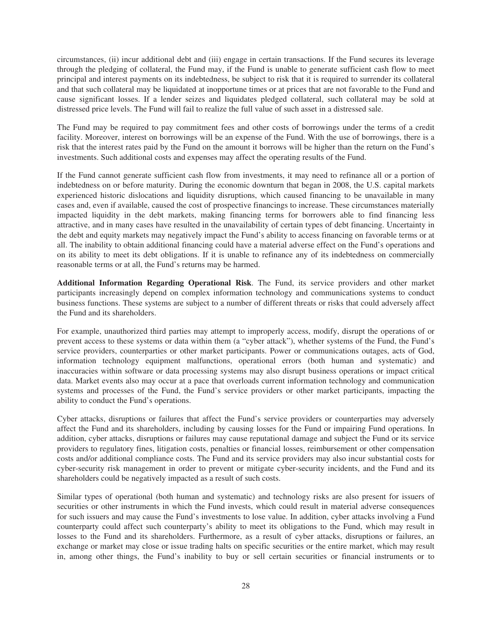circumstances, (ii) incur additional debt and (iii) engage in certain transactions. If the Fund secures its leverage through the pledging of collateral, the Fund may, if the Fund is unable to generate sufficient cash flow to meet principal and interest payments on its indebtedness, be subject to risk that it is required to surrender its collateral and that such collateral may be liquidated at inopportune times or at prices that are not favorable to the Fund and cause significant losses. If a lender seizes and liquidates pledged collateral, such collateral may be sold at distressed price levels. The Fund will fail to realize the full value of such asset in a distressed sale.

The Fund may be required to pay commitment fees and other costs of borrowings under the terms of a credit facility. Moreover, interest on borrowings will be an expense of the Fund. With the use of borrowings, there is a risk that the interest rates paid by the Fund on the amount it borrows will be higher than the return on the Fund's investments. Such additional costs and expenses may affect the operating results of the Fund.

If the Fund cannot generate sufficient cash flow from investments, it may need to refinance all or a portion of indebtedness on or before maturity. During the economic downturn that began in 2008, the U.S. capital markets experienced historic dislocations and liquidity disruptions, which caused financing to be unavailable in many cases and, even if available, caused the cost of prospective financings to increase. These circumstances materially impacted liquidity in the debt markets, making financing terms for borrowers able to find financing less attractive, and in many cases have resulted in the unavailability of certain types of debt financing. Uncertainty in the debt and equity markets may negatively impact the Fund's ability to access financing on favorable terms or at all. The inability to obtain additional financing could have a material adverse effect on the Fund's operations and on its ability to meet its debt obligations. If it is unable to refinance any of its indebtedness on commercially reasonable terms or at all, the Fund's returns may be harmed.

**Additional Information Regarding Operational Risk**. The Fund, its service providers and other market participants increasingly depend on complex information technology and communications systems to conduct business functions. These systems are subject to a number of different threats or risks that could adversely affect the Fund and its shareholders.

For example, unauthorized third parties may attempt to improperly access, modify, disrupt the operations of or prevent access to these systems or data within them (a "cyber attack"), whether systems of the Fund, the Fund's service providers, counterparties or other market participants. Power or communications outages, acts of God, information technology equipment malfunctions, operational errors (both human and systematic) and inaccuracies within software or data processing systems may also disrupt business operations or impact critical data. Market events also may occur at a pace that overloads current information technology and communication systems and processes of the Fund, the Fund's service providers or other market participants, impacting the ability to conduct the Fund's operations.

Cyber attacks, disruptions or failures that affect the Fund's service providers or counterparties may adversely affect the Fund and its shareholders, including by causing losses for the Fund or impairing Fund operations. In addition, cyber attacks, disruptions or failures may cause reputational damage and subject the Fund or its service providers to regulatory fines, litigation costs, penalties or financial losses, reimbursement or other compensation costs and/or additional compliance costs. The Fund and its service providers may also incur substantial costs for cyber-security risk management in order to prevent or mitigate cyber-security incidents, and the Fund and its shareholders could be negatively impacted as a result of such costs.

Similar types of operational (both human and systematic) and technology risks are also present for issuers of securities or other instruments in which the Fund invests, which could result in material adverse consequences for such issuers and may cause the Fund's investments to lose value. In addition, cyber attacks involving a Fund counterparty could affect such counterparty's ability to meet its obligations to the Fund, which may result in losses to the Fund and its shareholders. Furthermore, as a result of cyber attacks, disruptions or failures, an exchange or market may close or issue trading halts on specific securities or the entire market, which may result in, among other things, the Fund's inability to buy or sell certain securities or financial instruments or to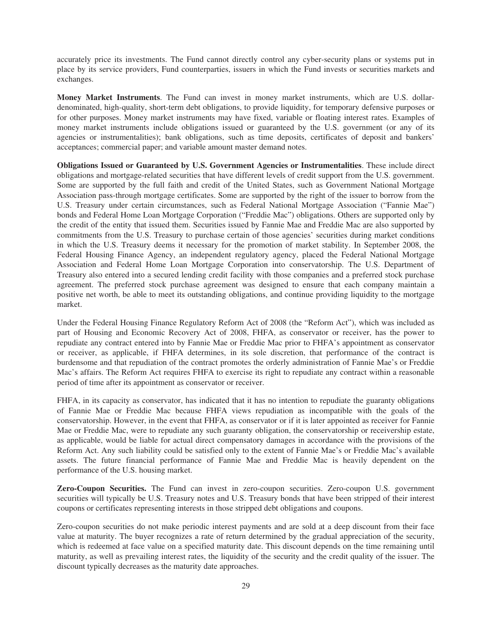accurately price its investments. The Fund cannot directly control any cyber-security plans or systems put in place by its service providers, Fund counterparties, issuers in which the Fund invests or securities markets and exchanges.

**Money Market Instruments**. The Fund can invest in money market instruments, which are U.S. dollardenominated, high-quality, short-term debt obligations, to provide liquidity, for temporary defensive purposes or for other purposes. Money market instruments may have fixed, variable or floating interest rates. Examples of money market instruments include obligations issued or guaranteed by the U.S. government (or any of its agencies or instrumentalities); bank obligations, such as time deposits, certificates of deposit and bankers' acceptances; commercial paper; and variable amount master demand notes.

**Obligations Issued or Guaranteed by U.S. Government Agencies or Instrumentalities**. These include direct obligations and mortgage-related securities that have different levels of credit support from the U.S. government. Some are supported by the full faith and credit of the United States, such as Government National Mortgage Association pass-through mortgage certificates. Some are supported by the right of the issuer to borrow from the U.S. Treasury under certain circumstances, such as Federal National Mortgage Association ("Fannie Mae") bonds and Federal Home Loan Mortgage Corporation ("Freddie Mac") obligations. Others are supported only by the credit of the entity that issued them. Securities issued by Fannie Mae and Freddie Mac are also supported by commitments from the U.S. Treasury to purchase certain of those agencies' securities during market conditions in which the U.S. Treasury deems it necessary for the promotion of market stability. In September 2008, the Federal Housing Finance Agency, an independent regulatory agency, placed the Federal National Mortgage Association and Federal Home Loan Mortgage Corporation into conservatorship. The U.S. Department of Treasury also entered into a secured lending credit facility with those companies and a preferred stock purchase agreement. The preferred stock purchase agreement was designed to ensure that each company maintain a positive net worth, be able to meet its outstanding obligations, and continue providing liquidity to the mortgage market.

Under the Federal Housing Finance Regulatory Reform Act of 2008 (the "Reform Act"), which was included as part of Housing and Economic Recovery Act of 2008, FHFA, as conservator or receiver, has the power to repudiate any contract entered into by Fannie Mae or Freddie Mac prior to FHFA's appointment as conservator or receiver, as applicable, if FHFA determines, in its sole discretion, that performance of the contract is burdensome and that repudiation of the contract promotes the orderly administration of Fannie Mae's or Freddie Mac's affairs. The Reform Act requires FHFA to exercise its right to repudiate any contract within a reasonable period of time after its appointment as conservator or receiver.

FHFA, in its capacity as conservator, has indicated that it has no intention to repudiate the guaranty obligations of Fannie Mae or Freddie Mac because FHFA views repudiation as incompatible with the goals of the conservatorship. However, in the event that FHFA, as conservator or if it is later appointed as receiver for Fannie Mae or Freddie Mac, were to repudiate any such guaranty obligation, the conservatorship or receivership estate, as applicable, would be liable for actual direct compensatory damages in accordance with the provisions of the Reform Act. Any such liability could be satisfied only to the extent of Fannie Mae's or Freddie Mac's available assets. The future financial performance of Fannie Mae and Freddie Mac is heavily dependent on the performance of the U.S. housing market.

**Zero-Coupon Securities.** The Fund can invest in zero-coupon securities. Zero-coupon U.S. government securities will typically be U.S. Treasury notes and U.S. Treasury bonds that have been stripped of their interest coupons or certificates representing interests in those stripped debt obligations and coupons.

Zero-coupon securities do not make periodic interest payments and are sold at a deep discount from their face value at maturity. The buyer recognizes a rate of return determined by the gradual appreciation of the security, which is redeemed at face value on a specified maturity date. This discount depends on the time remaining until maturity, as well as prevailing interest rates, the liquidity of the security and the credit quality of the issuer. The discount typically decreases as the maturity date approaches.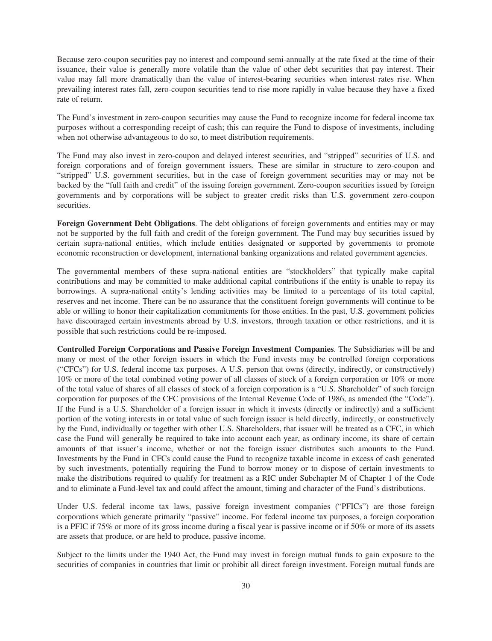Because zero-coupon securities pay no interest and compound semi-annually at the rate fixed at the time of their issuance, their value is generally more volatile than the value of other debt securities that pay interest. Their value may fall more dramatically than the value of interest-bearing securities when interest rates rise. When prevailing interest rates fall, zero-coupon securities tend to rise more rapidly in value because they have a fixed rate of return.

The Fund's investment in zero-coupon securities may cause the Fund to recognize income for federal income tax purposes without a corresponding receipt of cash; this can require the Fund to dispose of investments, including when not otherwise advantageous to do so, to meet distribution requirements.

The Fund may also invest in zero-coupon and delayed interest securities, and "stripped" securities of U.S. and foreign corporations and of foreign government issuers. These are similar in structure to zero-coupon and "stripped" U.S. government securities, but in the case of foreign government securities may or may not be backed by the "full faith and credit" of the issuing foreign government. Zero-coupon securities issued by foreign governments and by corporations will be subject to greater credit risks than U.S. government zero-coupon securities.

**Foreign Government Debt Obligations**. The debt obligations of foreign governments and entities may or may not be supported by the full faith and credit of the foreign government. The Fund may buy securities issued by certain supra-national entities, which include entities designated or supported by governments to promote economic reconstruction or development, international banking organizations and related government agencies.

The governmental members of these supra-national entities are "stockholders" that typically make capital contributions and may be committed to make additional capital contributions if the entity is unable to repay its borrowings. A supra-national entity's lending activities may be limited to a percentage of its total capital, reserves and net income. There can be no assurance that the constituent foreign governments will continue to be able or willing to honor their capitalization commitments for those entities. In the past, U.S. government policies have discouraged certain investments abroad by U.S. investors, through taxation or other restrictions, and it is possible that such restrictions could be re-imposed.

**Controlled Foreign Corporations and Passive Foreign Investment Companies**. The Subsidiaries will be and many or most of the other foreign issuers in which the Fund invests may be controlled foreign corporations ("CFCs") for U.S. federal income tax purposes. A U.S. person that owns (directly, indirectly, or constructively) 10% or more of the total combined voting power of all classes of stock of a foreign corporation or 10% or more of the total value of shares of all classes of stock of a foreign corporation is a "U.S. Shareholder" of such foreign corporation for purposes of the CFC provisions of the Internal Revenue Code of 1986, as amended (the "Code"). If the Fund is a U.S. Shareholder of a foreign issuer in which it invests (directly or indirectly) and a sufficient portion of the voting interests in or total value of such foreign issuer is held directly, indirectly, or constructively by the Fund, individually or together with other U.S. Shareholders, that issuer will be treated as a CFC, in which case the Fund will generally be required to take into account each year, as ordinary income, its share of certain amounts of that issuer's income, whether or not the foreign issuer distributes such amounts to the Fund. Investments by the Fund in CFCs could cause the Fund to recognize taxable income in excess of cash generated by such investments, potentially requiring the Fund to borrow money or to dispose of certain investments to make the distributions required to qualify for treatment as a RIC under Subchapter M of Chapter 1 of the Code and to eliminate a Fund-level tax and could affect the amount, timing and character of the Fund's distributions.

Under U.S. federal income tax laws, passive foreign investment companies ("PFICs") are those foreign corporations which generate primarily "passive" income. For federal income tax purposes, a foreign corporation is a PFIC if 75% or more of its gross income during a fiscal year is passive income or if 50% or more of its assets are assets that produce, or are held to produce, passive income.

Subject to the limits under the 1940 Act, the Fund may invest in foreign mutual funds to gain exposure to the securities of companies in countries that limit or prohibit all direct foreign investment. Foreign mutual funds are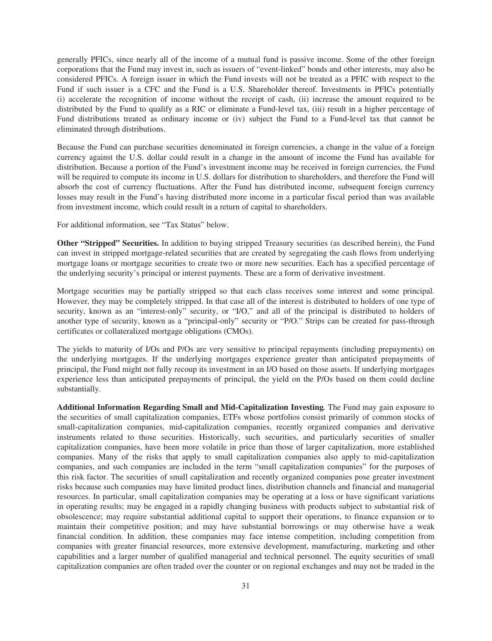generally PFICs, since nearly all of the income of a mutual fund is passive income. Some of the other foreign corporations that the Fund may invest in, such as issuers of "event-linked" bonds and other interests, may also be considered PFICs. A foreign issuer in which the Fund invests will not be treated as a PFIC with respect to the Fund if such issuer is a CFC and the Fund is a U.S. Shareholder thereof. Investments in PFICs potentially (i) accelerate the recognition of income without the receipt of cash, (ii) increase the amount required to be distributed by the Fund to qualify as a RIC or eliminate a Fund-level tax, (iii) result in a higher percentage of Fund distributions treated as ordinary income or (iv) subject the Fund to a Fund-level tax that cannot be eliminated through distributions.

Because the Fund can purchase securities denominated in foreign currencies, a change in the value of a foreign currency against the U.S. dollar could result in a change in the amount of income the Fund has available for distribution. Because a portion of the Fund's investment income may be received in foreign currencies, the Fund will be required to compute its income in U.S. dollars for distribution to shareholders, and therefore the Fund will absorb the cost of currency fluctuations. After the Fund has distributed income, subsequent foreign currency losses may result in the Fund's having distributed more income in a particular fiscal period than was available from investment income, which could result in a return of capital to shareholders.

For additional information, see "Tax Status" below.

**Other "Stripped" Securities.** In addition to buying stripped Treasury securities (as described herein), the Fund can invest in stripped mortgage-related securities that are created by segregating the cash flows from underlying mortgage loans or mortgage securities to create two or more new securities. Each has a specified percentage of the underlying security's principal or interest payments. These are a form of derivative investment.

Mortgage securities may be partially stripped so that each class receives some interest and some principal. However, they may be completely stripped. In that case all of the interest is distributed to holders of one type of security, known as an "interest-only" security, or "I/O," and all of the principal is distributed to holders of another type of security, known as a "principal-only" security or "P/O." Strips can be created for pass-through certificates or collateralized mortgage obligations (CMOs).

The yields to maturity of I/Os and P/Os are very sensitive to principal repayments (including prepayments) on the underlying mortgages. If the underlying mortgages experience greater than anticipated prepayments of principal, the Fund might not fully recoup its investment in an I/O based on those assets. If underlying mortgages experience less than anticipated prepayments of principal, the yield on the P/Os based on them could decline substantially.

**Additional Information Regarding Small and Mid-Capitalization Investing***.* The Fund may gain exposure to the securities of small capitalization companies, ETFs whose portfolios consist primarily of common stocks of small-capitalization companies, mid-capitalization companies, recently organized companies and derivative instruments related to those securities. Historically, such securities, and particularly securities of smaller capitalization companies, have been more volatile in price than those of larger capitalization, more established companies. Many of the risks that apply to small capitalization companies also apply to mid-capitalization companies, and such companies are included in the term "small capitalization companies" for the purposes of this risk factor. The securities of small capitalization and recently organized companies pose greater investment risks because such companies may have limited product lines, distribution channels and financial and managerial resources. In particular, small capitalization companies may be operating at a loss or have significant variations in operating results; may be engaged in a rapidly changing business with products subject to substantial risk of obsolescence; may require substantial additional capital to support their operations, to finance expansion or to maintain their competitive position; and may have substantial borrowings or may otherwise have a weak financial condition. In addition, these companies may face intense competition, including competition from companies with greater financial resources, more extensive development, manufacturing, marketing and other capabilities and a larger number of qualified managerial and technical personnel. The equity securities of small capitalization companies are often traded over the counter or on regional exchanges and may not be traded in the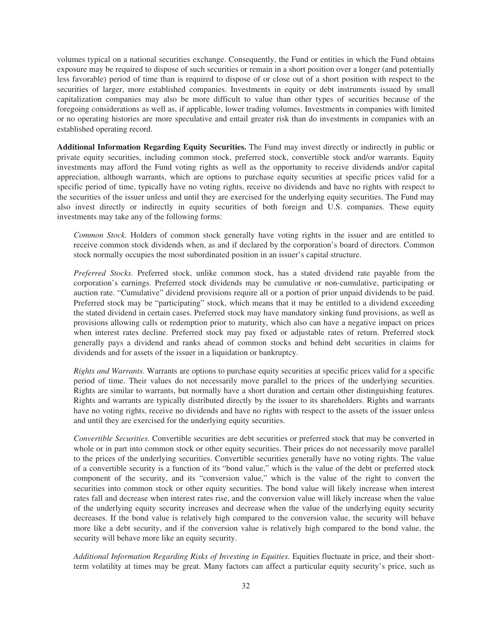volumes typical on a national securities exchange. Consequently, the Fund or entities in which the Fund obtains exposure may be required to dispose of such securities or remain in a short position over a longer (and potentially less favorable) period of time than is required to dispose of or close out of a short position with respect to the securities of larger, more established companies. Investments in equity or debt instruments issued by small capitalization companies may also be more difficult to value than other types of securities because of the foregoing considerations as well as, if applicable, lower trading volumes. Investments in companies with limited or no operating histories are more speculative and entail greater risk than do investments in companies with an established operating record.

**Additional Information Regarding Equity Securities.** The Fund may invest directly or indirectly in public or private equity securities, including common stock, preferred stock, convertible stock and/or warrants. Equity investments may afford the Fund voting rights as well as the opportunity to receive dividends and/or capital appreciation, although warrants, which are options to purchase equity securities at specific prices valid for a specific period of time, typically have no voting rights, receive no dividends and have no rights with respect to the securities of the issuer unless and until they are exercised for the underlying equity securities. The Fund may also invest directly or indirectly in equity securities of both foreign and U.S. companies. These equity investments may take any of the following forms:

*Common Stock.* Holders of common stock generally have voting rights in the issuer and are entitled to receive common stock dividends when, as and if declared by the corporation's board of directors. Common stock normally occupies the most subordinated position in an issuer's capital structure.

*Preferred Stocks.* Preferred stock, unlike common stock, has a stated dividend rate payable from the corporation's earnings. Preferred stock dividends may be cumulative or non-cumulative, participating or auction rate. "Cumulative" dividend provisions require all or a portion of prior unpaid dividends to be paid. Preferred stock may be "participating" stock, which means that it may be entitled to a dividend exceeding the stated dividend in certain cases. Preferred stock may have mandatory sinking fund provisions, as well as provisions allowing calls or redemption prior to maturity, which also can have a negative impact on prices when interest rates decline. Preferred stock may pay fixed or adjustable rates of return. Preferred stock generally pays a dividend and ranks ahead of common stocks and behind debt securities in claims for dividends and for assets of the issuer in a liquidation or bankruptcy.

*Rights and Warrants.* Warrants are options to purchase equity securities at specific prices valid for a specific period of time. Their values do not necessarily move parallel to the prices of the underlying securities. Rights are similar to warrants, but normally have a short duration and certain other distinguishing features. Rights and warrants are typically distributed directly by the issuer to its shareholders. Rights and warrants have no voting rights, receive no dividends and have no rights with respect to the assets of the issuer unless and until they are exercised for the underlying equity securities.

*Convertible Securities.* Convertible securities are debt securities or preferred stock that may be converted in whole or in part into common stock or other equity securities. Their prices do not necessarily move parallel to the prices of the underlying securities. Convertible securities generally have no voting rights. The value of a convertible security is a function of its "bond value," which is the value of the debt or preferred stock component of the security, and its "conversion value," which is the value of the right to convert the securities into common stock or other equity securities. The bond value will likely increase when interest rates fall and decrease when interest rates rise, and the conversion value will likely increase when the value of the underlying equity security increases and decrease when the value of the underlying equity security decreases. If the bond value is relatively high compared to the conversion value, the security will behave more like a debt security, and if the conversion value is relatively high compared to the bond value, the security will behave more like an equity security.

*Additional Information Regarding Risks of Investing in Equities.* Equities fluctuate in price, and their shortterm volatility at times may be great. Many factors can affect a particular equity security's price, such as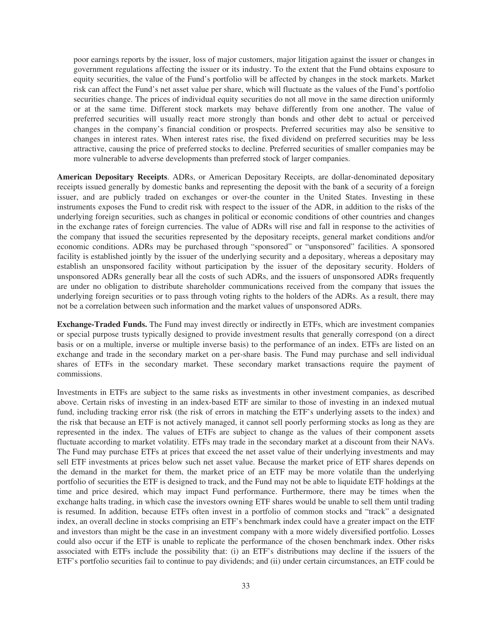poor earnings reports by the issuer, loss of major customers, major litigation against the issuer or changes in government regulations affecting the issuer or its industry. To the extent that the Fund obtains exposure to equity securities, the value of the Fund's portfolio will be affected by changes in the stock markets. Market risk can affect the Fund's net asset value per share, which will fluctuate as the values of the Fund's portfolio securities change. The prices of individual equity securities do not all move in the same direction uniformly or at the same time. Different stock markets may behave differently from one another. The value of preferred securities will usually react more strongly than bonds and other debt to actual or perceived changes in the company's financial condition or prospects. Preferred securities may also be sensitive to changes in interest rates. When interest rates rise, the fixed dividend on preferred securities may be less attractive, causing the price of preferred stocks to decline. Preferred securities of smaller companies may be more vulnerable to adverse developments than preferred stock of larger companies.

**American Depositary Receipts**. ADRs, or American Depositary Receipts, are dollar-denominated depositary receipts issued generally by domestic banks and representing the deposit with the bank of a security of a foreign issuer, and are publicly traded on exchanges or over-the counter in the United States. Investing in these instruments exposes the Fund to credit risk with respect to the issuer of the ADR, in addition to the risks of the underlying foreign securities, such as changes in political or economic conditions of other countries and changes in the exchange rates of foreign currencies. The value of ADRs will rise and fall in response to the activities of the company that issued the securities represented by the depositary receipts, general market conditions and/or economic conditions. ADRs may be purchased through "sponsored" or "unsponsored" facilities. A sponsored facility is established jointly by the issuer of the underlying security and a depositary, whereas a depositary may establish an unsponsored facility without participation by the issuer of the depositary security. Holders of unsponsored ADRs generally bear all the costs of such ADRs, and the issuers of unsponsored ADRs frequently are under no obligation to distribute shareholder communications received from the company that issues the underlying foreign securities or to pass through voting rights to the holders of the ADRs. As a result, there may not be a correlation between such information and the market values of unsponsored ADRs.

**Exchange-Traded Funds.** The Fund may invest directly or indirectly in ETFs, which are investment companies or special purpose trusts typically designed to provide investment results that generally correspond (on a direct basis or on a multiple, inverse or multiple inverse basis) to the performance of an index. ETFs are listed on an exchange and trade in the secondary market on a per-share basis. The Fund may purchase and sell individual shares of ETFs in the secondary market. These secondary market transactions require the payment of commissions.

Investments in ETFs are subject to the same risks as investments in other investment companies, as described above. Certain risks of investing in an index-based ETF are similar to those of investing in an indexed mutual fund, including tracking error risk (the risk of errors in matching the ETF's underlying assets to the index) and the risk that because an ETF is not actively managed, it cannot sell poorly performing stocks as long as they are represented in the index. The values of ETFs are subject to change as the values of their component assets fluctuate according to market volatility. ETFs may trade in the secondary market at a discount from their NAVs. The Fund may purchase ETFs at prices that exceed the net asset value of their underlying investments and may sell ETF investments at prices below such net asset value. Because the market price of ETF shares depends on the demand in the market for them, the market price of an ETF may be more volatile than the underlying portfolio of securities the ETF is designed to track, and the Fund may not be able to liquidate ETF holdings at the time and price desired, which may impact Fund performance. Furthermore, there may be times when the exchange halts trading, in which case the investors owning ETF shares would be unable to sell them until trading is resumed. In addition, because ETFs often invest in a portfolio of common stocks and "track" a designated index, an overall decline in stocks comprising an ETF's benchmark index could have a greater impact on the ETF and investors than might be the case in an investment company with a more widely diversified portfolio. Losses could also occur if the ETF is unable to replicate the performance of the chosen benchmark index. Other risks associated with ETFs include the possibility that: (i) an ETF's distributions may decline if the issuers of the ETF's portfolio securities fail to continue to pay dividends; and (ii) under certain circumstances, an ETF could be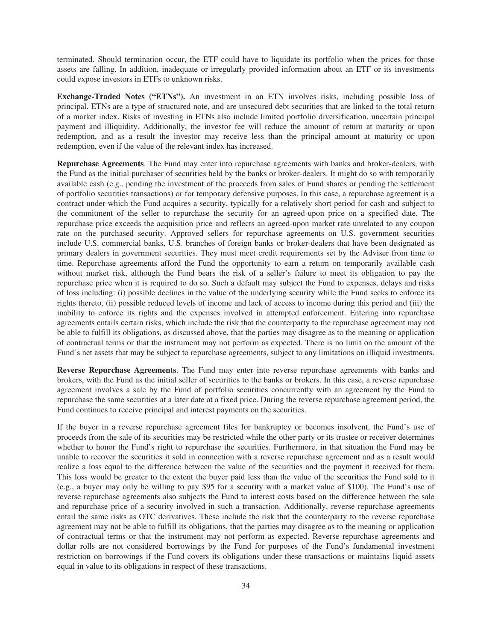terminated. Should termination occur, the ETF could have to liquidate its portfolio when the prices for those assets are falling. In addition, inadequate or irregularly provided information about an ETF or its investments could expose investors in ETFs to unknown risks.

**Exchange-Traded Notes ("ETNs").** An investment in an ETN involves risks, including possible loss of principal. ETNs are a type of structured note, and are unsecured debt securities that are linked to the total return of a market index. Risks of investing in ETNs also include limited portfolio diversification, uncertain principal payment and illiquidity. Additionally, the investor fee will reduce the amount of return at maturity or upon redemption, and as a result the investor may receive less than the principal amount at maturity or upon redemption, even if the value of the relevant index has increased.

**Repurchase Agreements**. The Fund may enter into repurchase agreements with banks and broker-dealers, with the Fund as the initial purchaser of securities held by the banks or broker-dealers. It might do so with temporarily available cash (e.g., pending the investment of the proceeds from sales of Fund shares or pending the settlement of portfolio securities transactions) or for temporary defensive purposes. In this case, a repurchase agreement is a contract under which the Fund acquires a security, typically for a relatively short period for cash and subject to the commitment of the seller to repurchase the security for an agreed-upon price on a specified date. The repurchase price exceeds the acquisition price and reflects an agreed-upon market rate unrelated to any coupon rate on the purchased security. Approved sellers for repurchase agreements on U.S. government securities include U.S. commercial banks, U.S. branches of foreign banks or broker-dealers that have been designated as primary dealers in government securities. They must meet credit requirements set by the Adviser from time to time. Repurchase agreements afford the Fund the opportunity to earn a return on temporarily available cash without market risk, although the Fund bears the risk of a seller's failure to meet its obligation to pay the repurchase price when it is required to do so. Such a default may subject the Fund to expenses, delays and risks of loss including: (i) possible declines in the value of the underlying security while the Fund seeks to enforce its rights thereto, (ii) possible reduced levels of income and lack of access to income during this period and (iii) the inability to enforce its rights and the expenses involved in attempted enforcement. Entering into repurchase agreements entails certain risks, which include the risk that the counterparty to the repurchase agreement may not be able to fulfill its obligations, as discussed above, that the parties may disagree as to the meaning or application of contractual terms or that the instrument may not perform as expected. There is no limit on the amount of the Fund's net assets that may be subject to repurchase agreements, subject to any limitations on illiquid investments.

**Reverse Repurchase Agreements**. The Fund may enter into reverse repurchase agreements with banks and brokers, with the Fund as the initial seller of securities to the banks or brokers. In this case, a reverse repurchase agreement involves a sale by the Fund of portfolio securities concurrently with an agreement by the Fund to repurchase the same securities at a later date at a fixed price. During the reverse repurchase agreement period, the Fund continues to receive principal and interest payments on the securities.

If the buyer in a reverse repurchase agreement files for bankruptcy or becomes insolvent, the Fund's use of proceeds from the sale of its securities may be restricted while the other party or its trustee or receiver determines whether to honor the Fund's right to repurchase the securities. Furthermore, in that situation the Fund may be unable to recover the securities it sold in connection with a reverse repurchase agreement and as a result would realize a loss equal to the difference between the value of the securities and the payment it received for them. This loss would be greater to the extent the buyer paid less than the value of the securities the Fund sold to it (e.g., a buyer may only be willing to pay \$95 for a security with a market value of \$100). The Fund's use of reverse repurchase agreements also subjects the Fund to interest costs based on the difference between the sale and repurchase price of a security involved in such a transaction. Additionally, reverse repurchase agreements entail the same risks as OTC derivatives. These include the risk that the counterparty to the reverse repurchase agreement may not be able to fulfill its obligations, that the parties may disagree as to the meaning or application of contractual terms or that the instrument may not perform as expected. Reverse repurchase agreements and dollar rolls are not considered borrowings by the Fund for purposes of the Fund's fundamental investment restriction on borrowings if the Fund covers its obligations under these transactions or maintains liquid assets equal in value to its obligations in respect of these transactions.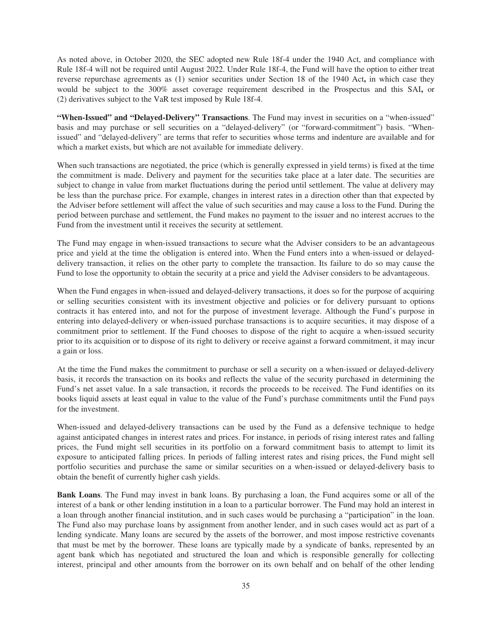As noted above, in October 2020, the SEC adopted new Rule 18f-4 under the 1940 Act, and compliance with Rule 18f-4 will not be required until August 2022. Under Rule 18f-4, the Fund will have the option to either treat reverse repurchase agreements as (1) senior securities under Section 18 of the 1940 Act**,** in which case they would be subject to the 300% asset coverage requirement described in the Prospectus and this SAI**,** or (2) derivatives subject to the VaR test imposed by Rule 18f-4.

**"When-Issued" and "Delayed-Delivery" Transactions**. The Fund may invest in securities on a "when-issued" basis and may purchase or sell securities on a "delayed-delivery" (or "forward-commitment") basis. "Whenissued" and "delayed-delivery" are terms that refer to securities whose terms and indenture are available and for which a market exists, but which are not available for immediate delivery.

When such transactions are negotiated, the price (which is generally expressed in yield terms) is fixed at the time the commitment is made. Delivery and payment for the securities take place at a later date. The securities are subject to change in value from market fluctuations during the period until settlement. The value at delivery may be less than the purchase price. For example, changes in interest rates in a direction other than that expected by the Adviser before settlement will affect the value of such securities and may cause a loss to the Fund. During the period between purchase and settlement, the Fund makes no payment to the issuer and no interest accrues to the Fund from the investment until it receives the security at settlement.

The Fund may engage in when-issued transactions to secure what the Adviser considers to be an advantageous price and yield at the time the obligation is entered into. When the Fund enters into a when-issued or delayeddelivery transaction, it relies on the other party to complete the transaction. Its failure to do so may cause the Fund to lose the opportunity to obtain the security at a price and yield the Adviser considers to be advantageous.

When the Fund engages in when-issued and delayed-delivery transactions, it does so for the purpose of acquiring or selling securities consistent with its investment objective and policies or for delivery pursuant to options contracts it has entered into, and not for the purpose of investment leverage. Although the Fund's purpose in entering into delayed-delivery or when-issued purchase transactions is to acquire securities, it may dispose of a commitment prior to settlement. If the Fund chooses to dispose of the right to acquire a when-issued security prior to its acquisition or to dispose of its right to delivery or receive against a forward commitment, it may incur a gain or loss.

At the time the Fund makes the commitment to purchase or sell a security on a when-issued or delayed-delivery basis, it records the transaction on its books and reflects the value of the security purchased in determining the Fund's net asset value. In a sale transaction, it records the proceeds to be received. The Fund identifies on its books liquid assets at least equal in value to the value of the Fund's purchase commitments until the Fund pays for the investment.

When-issued and delayed-delivery transactions can be used by the Fund as a defensive technique to hedge against anticipated changes in interest rates and prices. For instance, in periods of rising interest rates and falling prices, the Fund might sell securities in its portfolio on a forward commitment basis to attempt to limit its exposure to anticipated falling prices. In periods of falling interest rates and rising prices, the Fund might sell portfolio securities and purchase the same or similar securities on a when-issued or delayed-delivery basis to obtain the benefit of currently higher cash yields.

**Bank Loans**. The Fund may invest in bank loans. By purchasing a loan, the Fund acquires some or all of the interest of a bank or other lending institution in a loan to a particular borrower. The Fund may hold an interest in a loan through another financial institution, and in such cases would be purchasing a "participation" in the loan. The Fund also may purchase loans by assignment from another lender, and in such cases would act as part of a lending syndicate. Many loans are secured by the assets of the borrower, and most impose restrictive covenants that must be met by the borrower. These loans are typically made by a syndicate of banks, represented by an agent bank which has negotiated and structured the loan and which is responsible generally for collecting interest, principal and other amounts from the borrower on its own behalf and on behalf of the other lending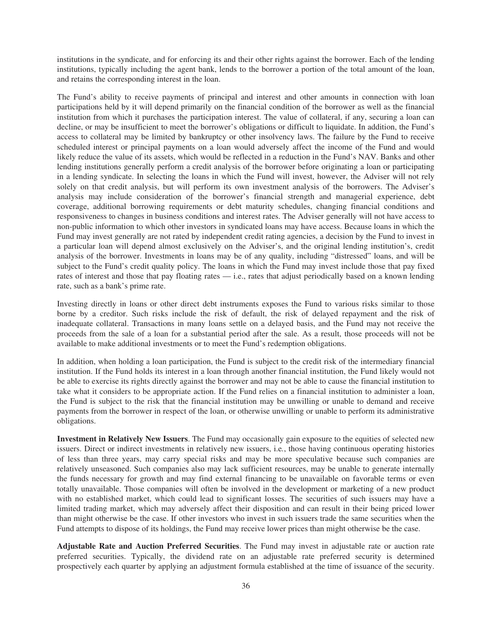institutions in the syndicate, and for enforcing its and their other rights against the borrower. Each of the lending institutions, typically including the agent bank, lends to the borrower a portion of the total amount of the loan, and retains the corresponding interest in the loan.

The Fund's ability to receive payments of principal and interest and other amounts in connection with loan participations held by it will depend primarily on the financial condition of the borrower as well as the financial institution from which it purchases the participation interest. The value of collateral, if any, securing a loan can decline, or may be insufficient to meet the borrower's obligations or difficult to liquidate. In addition, the Fund's access to collateral may be limited by bankruptcy or other insolvency laws. The failure by the Fund to receive scheduled interest or principal payments on a loan would adversely affect the income of the Fund and would likely reduce the value of its assets, which would be reflected in a reduction in the Fund's NAV. Banks and other lending institutions generally perform a credit analysis of the borrower before originating a loan or participating in a lending syndicate. In selecting the loans in which the Fund will invest, however, the Adviser will not rely solely on that credit analysis, but will perform its own investment analysis of the borrowers. The Adviser's analysis may include consideration of the borrower's financial strength and managerial experience, debt coverage, additional borrowing requirements or debt maturity schedules, changing financial conditions and responsiveness to changes in business conditions and interest rates. The Adviser generally will not have access to non-public information to which other investors in syndicated loans may have access. Because loans in which the Fund may invest generally are not rated by independent credit rating agencies, a decision by the Fund to invest in a particular loan will depend almost exclusively on the Adviser's, and the original lending institution's, credit analysis of the borrower. Investments in loans may be of any quality, including "distressed" loans, and will be subject to the Fund's credit quality policy. The loans in which the Fund may invest include those that pay fixed rates of interest and those that pay floating rates — i.e., rates that adjust periodically based on a known lending rate, such as a bank's prime rate.

Investing directly in loans or other direct debt instruments exposes the Fund to various risks similar to those borne by a creditor. Such risks include the risk of default, the risk of delayed repayment and the risk of inadequate collateral. Transactions in many loans settle on a delayed basis, and the Fund may not receive the proceeds from the sale of a loan for a substantial period after the sale. As a result, those proceeds will not be available to make additional investments or to meet the Fund's redemption obligations.

In addition, when holding a loan participation, the Fund is subject to the credit risk of the intermediary financial institution. If the Fund holds its interest in a loan through another financial institution, the Fund likely would not be able to exercise its rights directly against the borrower and may not be able to cause the financial institution to take what it considers to be appropriate action. If the Fund relies on a financial institution to administer a loan, the Fund is subject to the risk that the financial institution may be unwilling or unable to demand and receive payments from the borrower in respect of the loan, or otherwise unwilling or unable to perform its administrative obligations.

**Investment in Relatively New Issuers**. The Fund may occasionally gain exposure to the equities of selected new issuers. Direct or indirect investments in relatively new issuers, i.e*.*, those having continuous operating histories of less than three years, may carry special risks and may be more speculative because such companies are relatively unseasoned. Such companies also may lack sufficient resources, may be unable to generate internally the funds necessary for growth and may find external financing to be unavailable on favorable terms or even totally unavailable. Those companies will often be involved in the development or marketing of a new product with no established market, which could lead to significant losses. The securities of such issuers may have a limited trading market, which may adversely affect their disposition and can result in their being priced lower than might otherwise be the case. If other investors who invest in such issuers trade the same securities when the Fund attempts to dispose of its holdings, the Fund may receive lower prices than might otherwise be the case.

**Adjustable Rate and Auction Preferred Securities**. The Fund may invest in adjustable rate or auction rate preferred securities. Typically, the dividend rate on an adjustable rate preferred security is determined prospectively each quarter by applying an adjustment formula established at the time of issuance of the security.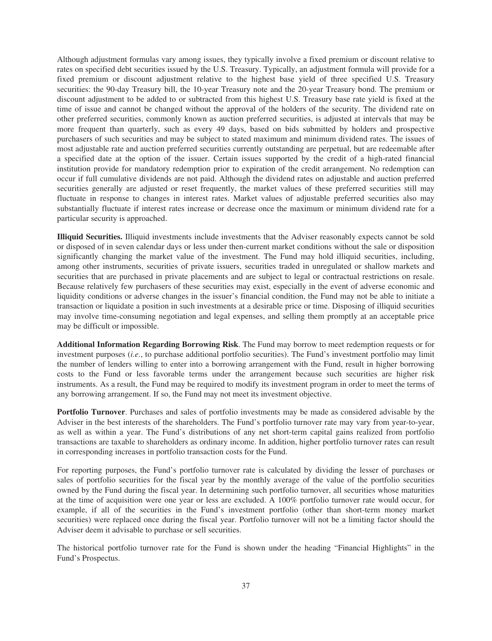Although adjustment formulas vary among issues, they typically involve a fixed premium or discount relative to rates on specified debt securities issued by the U.S. Treasury. Typically, an adjustment formula will provide for a fixed premium or discount adjustment relative to the highest base yield of three specified U.S. Treasury securities: the 90-day Treasury bill, the 10-year Treasury note and the 20-year Treasury bond. The premium or discount adjustment to be added to or subtracted from this highest U.S. Treasury base rate yield is fixed at the time of issue and cannot be changed without the approval of the holders of the security. The dividend rate on other preferred securities, commonly known as auction preferred securities, is adjusted at intervals that may be more frequent than quarterly, such as every 49 days, based on bids submitted by holders and prospective purchasers of such securities and may be subject to stated maximum and minimum dividend rates. The issues of most adjustable rate and auction preferred securities currently outstanding are perpetual, but are redeemable after a specified date at the option of the issuer. Certain issues supported by the credit of a high-rated financial institution provide for mandatory redemption prior to expiration of the credit arrangement. No redemption can occur if full cumulative dividends are not paid. Although the dividend rates on adjustable and auction preferred securities generally are adjusted or reset frequently, the market values of these preferred securities still may fluctuate in response to changes in interest rates. Market values of adjustable preferred securities also may substantially fluctuate if interest rates increase or decrease once the maximum or minimum dividend rate for a particular security is approached.

**Illiquid Securities.** Illiquid investments include investments that the Adviser reasonably expects cannot be sold or disposed of in seven calendar days or less under then-current market conditions without the sale or disposition significantly changing the market value of the investment. The Fund may hold illiquid securities, including, among other instruments, securities of private issuers, securities traded in unregulated or shallow markets and securities that are purchased in private placements and are subject to legal or contractual restrictions on resale. Because relatively few purchasers of these securities may exist, especially in the event of adverse economic and liquidity conditions or adverse changes in the issuer's financial condition, the Fund may not be able to initiate a transaction or liquidate a position in such investments at a desirable price or time. Disposing of illiquid securities may involve time-consuming negotiation and legal expenses, and selling them promptly at an acceptable price may be difficult or impossible.

**Additional Information Regarding Borrowing Risk**. The Fund may borrow to meet redemption requests or for investment purposes (*i.e.*, to purchase additional portfolio securities). The Fund's investment portfolio may limit the number of lenders willing to enter into a borrowing arrangement with the Fund, result in higher borrowing costs to the Fund or less favorable terms under the arrangement because such securities are higher risk instruments. As a result, the Fund may be required to modify its investment program in order to meet the terms of any borrowing arrangement. If so, the Fund may not meet its investment objective.

**Portfolio Turnover**. Purchases and sales of portfolio investments may be made as considered advisable by the Adviser in the best interests of the shareholders. The Fund's portfolio turnover rate may vary from year-to-year, as well as within a year. The Fund's distributions of any net short-term capital gains realized from portfolio transactions are taxable to shareholders as ordinary income. In addition, higher portfolio turnover rates can result in corresponding increases in portfolio transaction costs for the Fund.

For reporting purposes, the Fund's portfolio turnover rate is calculated by dividing the lesser of purchases or sales of portfolio securities for the fiscal year by the monthly average of the value of the portfolio securities owned by the Fund during the fiscal year. In determining such portfolio turnover, all securities whose maturities at the time of acquisition were one year or less are excluded. A 100% portfolio turnover rate would occur, for example, if all of the securities in the Fund's investment portfolio (other than short-term money market securities) were replaced once during the fiscal year. Portfolio turnover will not be a limiting factor should the Adviser deem it advisable to purchase or sell securities.

The historical portfolio turnover rate for the Fund is shown under the heading "Financial Highlights" in the Fund's Prospectus.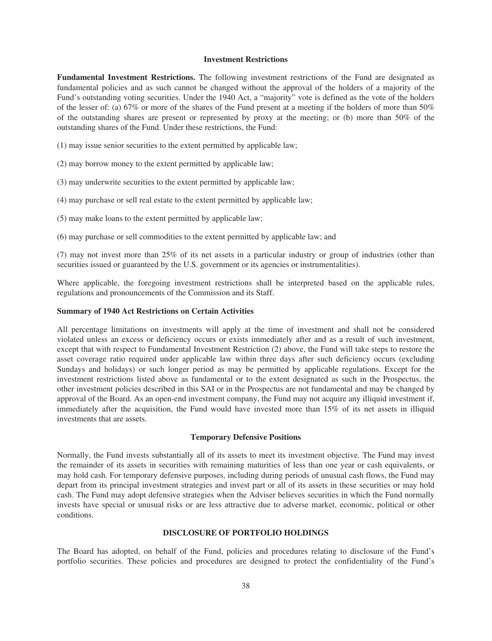## **Investment Restrictions**

**Fundamental Investment Restrictions.** The following investment restrictions of the Fund are designated as fundamental policies and as such cannot be changed without the approval of the holders of a majority of the Fund's outstanding voting securities. Under the 1940 Act, a "majority" vote is defined as the vote of the holders of the lesser of: (a) 67% or more of the shares of the Fund present at a meeting if the holders of more than 50% of the outstanding shares are present or represented by proxy at the meeting; or (b) more than 50% of the outstanding shares of the Fund. Under these restrictions, the Fund:

- (1) may issue senior securities to the extent permitted by applicable law;
- (2) may borrow money to the extent permitted by applicable law;
- (3) may underwrite securities to the extent permitted by applicable law;
- (4) may purchase or sell real estate to the extent permitted by applicable law;
- (5) may make loans to the extent permitted by applicable law;
- (6) may purchase or sell commodities to the extent permitted by applicable law; and

(7) may not invest more than 25% of its net assets in a particular industry or group of industries (other than securities issued or guaranteed by the U.S. government or its agencies or instrumentalities).

Where applicable, the foregoing investment restrictions shall be interpreted based on the applicable rules, regulations and pronouncements of the Commission and its Staff.

## **Summary of 1940 Act Restrictions on Certain Activities**

All percentage limitations on investments will apply at the time of investment and shall not be considered violated unless an excess or deficiency occurs or exists immediately after and as a result of such investment, except that with respect to Fundamental Investment Restriction (2) above, the Fund will take steps to restore the asset coverage ratio required under applicable law within three days after such deficiency occurs (excluding Sundays and holidays) or such longer period as may be permitted by applicable regulations. Except for the investment restrictions listed above as fundamental or to the extent designated as such in the Prospectus, the other investment policies described in this SAI or in the Prospectus are not fundamental and may be changed by approval of the Board. As an open-end investment company, the Fund may not acquire any illiquid investment if, immediately after the acquisition, the Fund would have invested more than 15% of its net assets in illiquid investments that are assets.

## **Temporary Defensive Positions**

Normally, the Fund invests substantially all of its assets to meet its investment objective. The Fund may invest the remainder of its assets in securities with remaining maturities of less than one year or cash equivalents, or may hold cash. For temporary defensive purposes, including during periods of unusual cash flows, the Fund may depart from its principal investment strategies and invest part or all of its assets in these securities or may hold cash. The Fund may adopt defensive strategies when the Adviser believes securities in which the Fund normally invests have special or unusual risks or are less attractive due to adverse market, economic, political or other conditions.

## **DISCLOSURE OF PORTFOLIO HOLDINGS**

The Board has adopted, on behalf of the Fund, policies and procedures relating to disclosure of the Fund's portfolio securities. These policies and procedures are designed to protect the confidentiality of the Fund's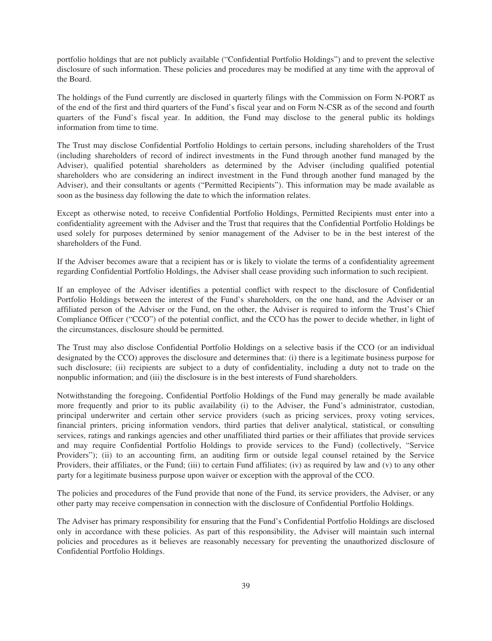portfolio holdings that are not publicly available ("Confidential Portfolio Holdings") and to prevent the selective disclosure of such information. These policies and procedures may be modified at any time with the approval of the Board.

The holdings of the Fund currently are disclosed in quarterly filings with the Commission on Form N-PORT as of the end of the first and third quarters of the Fund's fiscal year and on Form N-CSR as of the second and fourth quarters of the Fund's fiscal year. In addition, the Fund may disclose to the general public its holdings information from time to time.

The Trust may disclose Confidential Portfolio Holdings to certain persons, including shareholders of the Trust (including shareholders of record of indirect investments in the Fund through another fund managed by the Adviser), qualified potential shareholders as determined by the Adviser (including qualified potential shareholders who are considering an indirect investment in the Fund through another fund managed by the Adviser), and their consultants or agents ("Permitted Recipients"). This information may be made available as soon as the business day following the date to which the information relates.

Except as otherwise noted, to receive Confidential Portfolio Holdings, Permitted Recipients must enter into a confidentiality agreement with the Adviser and the Trust that requires that the Confidential Portfolio Holdings be used solely for purposes determined by senior management of the Adviser to be in the best interest of the shareholders of the Fund.

If the Adviser becomes aware that a recipient has or is likely to violate the terms of a confidentiality agreement regarding Confidential Portfolio Holdings, the Adviser shall cease providing such information to such recipient.

If an employee of the Adviser identifies a potential conflict with respect to the disclosure of Confidential Portfolio Holdings between the interest of the Fund's shareholders, on the one hand, and the Adviser or an affiliated person of the Adviser or the Fund, on the other, the Adviser is required to inform the Trust's Chief Compliance Officer ("CCO") of the potential conflict, and the CCO has the power to decide whether, in light of the circumstances, disclosure should be permitted.

The Trust may also disclose Confidential Portfolio Holdings on a selective basis if the CCO (or an individual designated by the CCO) approves the disclosure and determines that: (i) there is a legitimate business purpose for such disclosure; (ii) recipients are subject to a duty of confidentiality, including a duty not to trade on the nonpublic information; and (iii) the disclosure is in the best interests of Fund shareholders.

Notwithstanding the foregoing, Confidential Portfolio Holdings of the Fund may generally be made available more frequently and prior to its public availability (i) to the Adviser, the Fund's administrator, custodian, principal underwriter and certain other service providers (such as pricing services, proxy voting services, financial printers, pricing information vendors, third parties that deliver analytical, statistical, or consulting services, ratings and rankings agencies and other unaffiliated third parties or their affiliates that provide services and may require Confidential Portfolio Holdings to provide services to the Fund) (collectively, "Service Providers"); (ii) to an accounting firm, an auditing firm or outside legal counsel retained by the Service Providers, their affiliates, or the Fund; (iii) to certain Fund affiliates; (iv) as required by law and (v) to any other party for a legitimate business purpose upon waiver or exception with the approval of the CCO.

The policies and procedures of the Fund provide that none of the Fund, its service providers, the Adviser, or any other party may receive compensation in connection with the disclosure of Confidential Portfolio Holdings.

The Adviser has primary responsibility for ensuring that the Fund's Confidential Portfolio Holdings are disclosed only in accordance with these policies. As part of this responsibility, the Adviser will maintain such internal policies and procedures as it believes are reasonably necessary for preventing the unauthorized disclosure of Confidential Portfolio Holdings.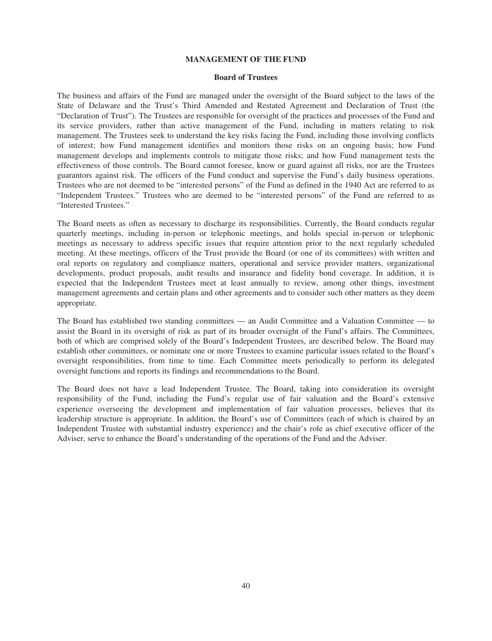## **MANAGEMENT OF THE FUND**

## **Board of Trustees**

The business and affairs of the Fund are managed under the oversight of the Board subject to the laws of the State of Delaware and the Trust's Third Amended and Restated Agreement and Declaration of Trust (the "Declaration of Trust"). The Trustees are responsible for oversight of the practices and processes of the Fund and its service providers, rather than active management of the Fund, including in matters relating to risk management. The Trustees seek to understand the key risks facing the Fund, including those involving conflicts of interest; how Fund management identifies and monitors those risks on an ongoing basis; how Fund management develops and implements controls to mitigate those risks; and how Fund management tests the effectiveness of those controls. The Board cannot foresee, know or guard against all risks, nor are the Trustees guarantors against risk. The officers of the Fund conduct and supervise the Fund's daily business operations. Trustees who are not deemed to be "interested persons" of the Fund as defined in the 1940 Act are referred to as "Independent Trustees." Trustees who are deemed to be "interested persons" of the Fund are referred to as "Interested Trustees."

The Board meets as often as necessary to discharge its responsibilities. Currently, the Board conducts regular quarterly meetings, including in-person or telephonic meetings, and holds special in-person or telephonic meetings as necessary to address specific issues that require attention prior to the next regularly scheduled meeting. At these meetings, officers of the Trust provide the Board (or one of its committees) with written and oral reports on regulatory and compliance matters, operational and service provider matters, organizational developments, product proposals, audit results and insurance and fidelity bond coverage. In addition, it is expected that the Independent Trustees meet at least annually to review, among other things, investment management agreements and certain plans and other agreements and to consider such other matters as they deem appropriate.

The Board has established two standing committees — an Audit Committee and a Valuation Committee — to assist the Board in its oversight of risk as part of its broader oversight of the Fund's affairs. The Committees, both of which are comprised solely of the Board's Independent Trustees, are described below. The Board may establish other committees, or nominate one or more Trustees to examine particular issues related to the Board's oversight responsibilities, from time to time. Each Committee meets periodically to perform its delegated oversight functions and reports its findings and recommendations to the Board.

The Board does not have a lead Independent Trustee. The Board, taking into consideration its oversight responsibility of the Fund, including the Fund's regular use of fair valuation and the Board's extensive experience overseeing the development and implementation of fair valuation processes, believes that its leadership structure is appropriate. In addition, the Board's use of Committees (each of which is chaired by an Independent Trustee with substantial industry experience) and the chair's role as chief executive officer of the Adviser, serve to enhance the Board's understanding of the operations of the Fund and the Adviser.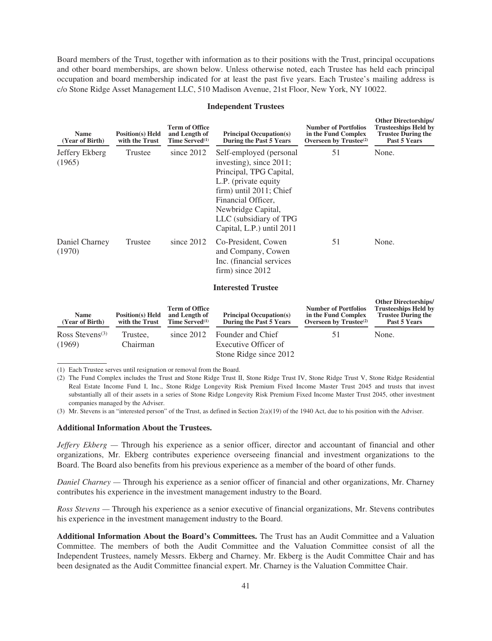Board members of the Trust, together with information as to their positions with the Trust, principal occupations and other board memberships, are shown below. Unless otherwise noted, each Trustee has held each principal occupation and board membership indicated for at least the past five years. Each Trustee's mailing address is c/o Stone Ridge Asset Management LLC, 510 Madison Avenue, 21st Floor, New York, NY 10022.

#### **Independent Trustees**

| <b>Name</b><br>(Year of Birth)        | <b>Position(s)</b> Held<br>with the Trust | <b>Term of Office</b><br>and Length of<br>Time Served $^{(1)}$       | <b>Principal Occupation(s)</b><br>During the Past 5 Years                                                                                                                                                                              | <b>Number of Portfolios</b><br>in the Fund Complex<br>Overseen by $Trustee^{(2)}$        | <b>Other Directorships/</b><br><b>Trusteeships Held by</b><br><b>Trustee During the</b><br>Past 5 Years |
|---------------------------------------|-------------------------------------------|----------------------------------------------------------------------|----------------------------------------------------------------------------------------------------------------------------------------------------------------------------------------------------------------------------------------|------------------------------------------------------------------------------------------|---------------------------------------------------------------------------------------------------------|
| Jeffery Ekberg<br>(1965)              | <b>Trustee</b>                            | since $2012$                                                         | Self-employed (personal<br>investing), since $2011$ ;<br>Principal, TPG Capital,<br>L.P. (private equity<br>firm) until 2011; Chief<br>Financial Officer,<br>Newbridge Capital,<br>LLC (subsidiary of TPG<br>Capital, L.P.) until 2011 | 51                                                                                       | None.                                                                                                   |
| Daniel Charney<br>(1970)              | Trustee                                   | since $2012$                                                         | Co-President, Cowen<br>and Company, Cowen<br>Inc. (financial services<br>firm) since 2012                                                                                                                                              | 51                                                                                       | None.                                                                                                   |
|                                       |                                           |                                                                      | <b>Interested Trustee</b>                                                                                                                                                                                                              |                                                                                          |                                                                                                         |
| <b>Name</b><br>(Year of Birth)        | <b>Position(s)</b> Held<br>with the Trust | <b>Term of Office</b><br>and Length of<br>Time Served <sup>(1)</sup> | <b>Principal Occupation(s)</b><br>During the Past 5 Years                                                                                                                                                                              | <b>Number of Portfolios</b><br>in the Fund Complex<br>Overseen by Trustee <sup>(2)</sup> | <b>Other Directorships/</b><br><b>Trusteeships Held by</b><br><b>Trustee During the</b><br>Past 5 Years |
| Ross Stevens <sup>(3)</sup><br>(1969) | Trustee,<br>Chairman                      | since $2012$                                                         | Founder and Chief<br>Executive Officer of                                                                                                                                                                                              | 51                                                                                       | None.                                                                                                   |

(1) Each Trustee serves until resignation or removal from the Board.

(2) The Fund Complex includes the Trust and Stone Ridge Trust II, Stone Ridge Trust IV, Stone Ridge Trust V, Stone Ridge Residential Real Estate Income Fund I, Inc., Stone Ridge Longevity Risk Premium Fixed Income Master Trust 2045 and trusts that invest substantially all of their assets in a series of Stone Ridge Longevity Risk Premium Fixed Income Master Trust 2045, other investment companies managed by the Adviser.

Stone Ridge since 2012

(3) Mr. Stevens is an "interested person" of the Trust, as defined in Section 2(a)(19) of the 1940 Act, due to his position with the Adviser.

## **Additional Information About the Trustees.**

*Jeffery Ekberg —* Through his experience as a senior officer, director and accountant of financial and other organizations, Mr. Ekberg contributes experience overseeing financial and investment organizations to the Board. The Board also benefits from his previous experience as a member of the board of other funds.

*Daniel Charney —* Through his experience as a senior officer of financial and other organizations, Mr. Charney contributes his experience in the investment management industry to the Board.

*Ross Stevens —* Through his experience as a senior executive of financial organizations, Mr. Stevens contributes his experience in the investment management industry to the Board.

**Additional Information About the Board's Committees.** The Trust has an Audit Committee and a Valuation Committee. The members of both the Audit Committee and the Valuation Committee consist of all the Independent Trustees, namely Messrs. Ekberg and Charney. Mr. Ekberg is the Audit Committee Chair and has been designated as the Audit Committee financial expert. Mr. Charney is the Valuation Committee Chair.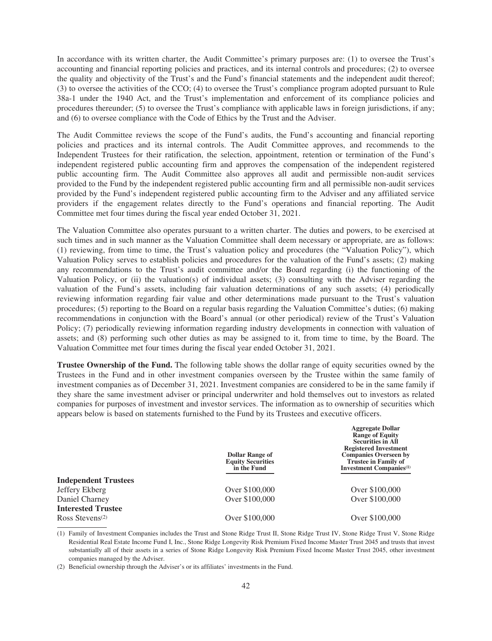In accordance with its written charter, the Audit Committee's primary purposes are: (1) to oversee the Trust's accounting and financial reporting policies and practices, and its internal controls and procedures; (2) to oversee the quality and objectivity of the Trust's and the Fund's financial statements and the independent audit thereof; (3) to oversee the activities of the CCO; (4) to oversee the Trust's compliance program adopted pursuant to Rule 38a-1 under the 1940 Act, and the Trust's implementation and enforcement of its compliance policies and procedures thereunder; (5) to oversee the Trust's compliance with applicable laws in foreign jurisdictions, if any; and (6) to oversee compliance with the Code of Ethics by the Trust and the Adviser.

The Audit Committee reviews the scope of the Fund's audits, the Fund's accounting and financial reporting policies and practices and its internal controls. The Audit Committee approves, and recommends to the Independent Trustees for their ratification, the selection, appointment, retention or termination of the Fund's independent registered public accounting firm and approves the compensation of the independent registered public accounting firm. The Audit Committee also approves all audit and permissible non-audit services provided to the Fund by the independent registered public accounting firm and all permissible non-audit services provided by the Fund's independent registered public accounting firm to the Adviser and any affiliated service providers if the engagement relates directly to the Fund's operations and financial reporting. The Audit Committee met four times during the fiscal year ended October 31, 2021.

The Valuation Committee also operates pursuant to a written charter. The duties and powers, to be exercised at such times and in such manner as the Valuation Committee shall deem necessary or appropriate, are as follows: (1) reviewing, from time to time, the Trust's valuation policy and procedures (the "Valuation Policy"), which Valuation Policy serves to establish policies and procedures for the valuation of the Fund's assets; (2) making any recommendations to the Trust's audit committee and/or the Board regarding (i) the functioning of the Valuation Policy, or (ii) the valuation(s) of individual assets; (3) consulting with the Adviser regarding the valuation of the Fund's assets, including fair valuation determinations of any such assets; (4) periodically reviewing information regarding fair value and other determinations made pursuant to the Trust's valuation procedures; (5) reporting to the Board on a regular basis regarding the Valuation Committee's duties; (6) making recommendations in conjunction with the Board's annual (or other periodical) review of the Trust's Valuation Policy; (7) periodically reviewing information regarding industry developments in connection with valuation of assets; and (8) performing such other duties as may be assigned to it, from time to time, by the Board. The Valuation Committee met four times during the fiscal year ended October 31, 2021.

**Trustee Ownership of the Fund.** The following table shows the dollar range of equity securities owned by the Trustees in the Fund and in other investment companies overseen by the Trustee within the same family of investment companies as of December 31, 2021. Investment companies are considered to be in the same family if they share the same investment adviser or principal underwriter and hold themselves out to investors as related companies for purposes of investment and investor services. The information as to ownership of securities which appears below is based on statements furnished to the Fund by its Trustees and executive officers.

**Aggregate Dollar**

|                                          | <b>Dollar Range of</b><br><b>Equity Securities</b><br>in the Fund | $\frac{1}{2}$ gan Donai<br><b>Range of Equity</b><br><b>Securities in All</b><br><b>Registered Investment</b><br><b>Companies Overseen by</b><br><b>Trustee in Family of</b><br><b>Investment Companies</b> <sup>(1)</sup> |
|------------------------------------------|-------------------------------------------------------------------|----------------------------------------------------------------------------------------------------------------------------------------------------------------------------------------------------------------------------|
| <b>Independent Trustees</b>              |                                                                   |                                                                                                                                                                                                                            |
| Jeffery Ekberg                           | Over \$100,000                                                    | Over \$100,000                                                                                                                                                                                                             |
| Daniel Charney                           | Over \$100,000                                                    | Over \$100,000                                                                                                                                                                                                             |
| <b>Interested Trustee</b>                |                                                                   |                                                                                                                                                                                                                            |
| Ross Stevens <sup><math>(2)</math></sup> | Over \$100,000                                                    | Over \$100,000                                                                                                                                                                                                             |
|                                          |                                                                   |                                                                                                                                                                                                                            |

<sup>(1)</sup> Family of Investment Companies includes the Trust and Stone Ridge Trust II, Stone Ridge Trust IV, Stone Ridge Trust V, Stone Ridge Residential Real Estate Income Fund I, Inc., Stone Ridge Longevity Risk Premium Fixed Income Master Trust 2045 and trusts that invest substantially all of their assets in a series of Stone Ridge Longevity Risk Premium Fixed Income Master Trust 2045, other investment companies managed by the Adviser.

<sup>(2)</sup> Beneficial ownership through the Adviser's or its affiliates' investments in the Fund.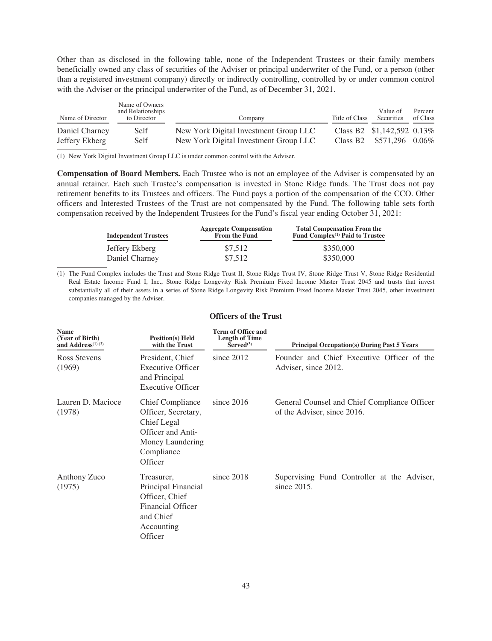Other than as disclosed in the following table, none of the Independent Trustees or their family members beneficially owned any class of securities of the Adviser or principal underwriter of the Fund, or a person (other than a registered investment company) directly or indirectly controlling, controlled by or under common control with the Adviser or the principal underwriter of the Fund, as of December 31, 2021.

| Name of Director | Name of Owners<br>and Relationships<br>to Director | Company                               | Title of Class | Value of<br>Securities     | Percent<br>of Class |
|------------------|----------------------------------------------------|---------------------------------------|----------------|----------------------------|---------------------|
| Daniel Charney   | Self                                               | New York Digital Investment Group LLC |                | Class B2 \$1,142,592 0.13% |                     |
| Jeffery Ekberg   | Self                                               | New York Digital Investment Group LLC |                | Class B2 $$571,296$ 0.06%  |                     |

(1) New York Digital Investment Group LLC is under common control with the Adviser.

**Compensation of Board Members.** Each Trustee who is not an employee of the Adviser is compensated by an annual retainer. Each such Trustee's compensation is invested in Stone Ridge funds. The Trust does not pay retirement benefits to its Trustees and officers. The Fund pays a portion of the compensation of the CCO. Other officers and Interested Trustees of the Trust are not compensated by the Fund. The following table sets forth compensation received by the Independent Trustees for the Fund's fiscal year ending October 31, 2021:

| <b>Independent Trustees</b> | <b>Aggregate Compensation</b><br>From the Fund | <b>Total Compensation From the</b><br>Fund Complex <sup>(1)</sup> Paid to Trustee |
|-----------------------------|------------------------------------------------|-----------------------------------------------------------------------------------|
| Jeffery Ekberg              | \$7,512                                        | \$350,000                                                                         |
| Daniel Charney              | \$7,512                                        | \$350,000                                                                         |

(1) The Fund Complex includes the Trust and Stone Ridge Trust II, Stone Ridge Trust IV, Stone Ridge Trust V, Stone Ridge Residential Real Estate Income Fund I, Inc., Stone Ridge Longevity Risk Premium Fixed Income Master Trust 2045 and trusts that invest substantially all of their assets in a series of Stone Ridge Longevity Risk Premium Fixed Income Master Trust 2045, other investment companies managed by the Adviser.

| <b>Officers of the Trust</b> |  |  |
|------------------------------|--|--|
|------------------------------|--|--|

| <b>Name</b><br>(Year of Birth)<br>and Address $(1)$ $(2)$ | <b>Position(s)</b> Held<br>with the Trust                                                                                       | <b>Term of Office and</b><br><b>Length of Time</b><br>Served <sup>(3)</sup> | <b>Principal Occupation(s) During Past 5 Years</b>                          |
|-----------------------------------------------------------|---------------------------------------------------------------------------------------------------------------------------------|-----------------------------------------------------------------------------|-----------------------------------------------------------------------------|
| Ross Stevens<br>(1969)                                    | President, Chief<br><b>Executive Officer</b><br>and Principal<br>Executive Officer                                              | since $2012$                                                                | Founder and Chief Executive Officer of the<br>Adviser, since 2012.          |
| Lauren D. Macioce<br>(1978)                               | <b>Chief Compliance</b><br>Officer, Secretary,<br>Chief Legal<br>Officer and Anti-<br>Money Laundering<br>Compliance<br>Officer | since $2016$                                                                | General Counsel and Chief Compliance Officer<br>of the Adviser, since 2016. |
| Anthony Zuco<br>(1975)                                    | Treasurer,<br>Principal Financial<br>Officer, Chief<br>Financial Officer<br>and Chief<br>Accounting<br>Officer                  | since $2018$                                                                | Supervising Fund Controller at the Adviser,<br>since $2015$ .               |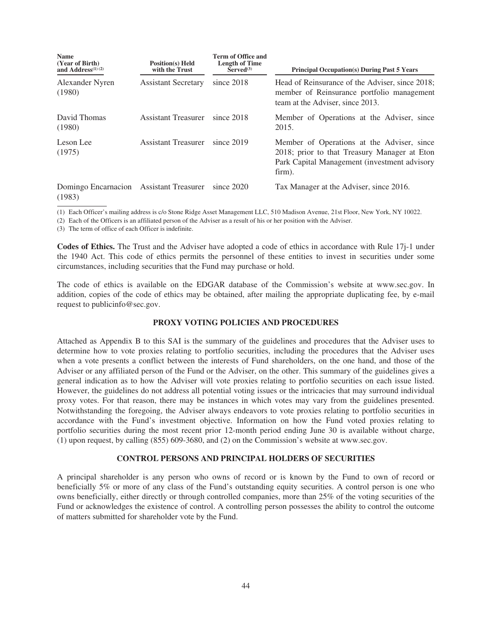| Name<br>(Year of Birth)<br>and Address $(1)$ $(2)$ | <b>Position(s)</b> Held<br>with the Trust | Term of Office and<br><b>Length of Time</b><br>Served <sup>(3)</sup> | <b>Principal Occupation(s) During Past 5 Years</b>                                                                                                   |
|----------------------------------------------------|-------------------------------------------|----------------------------------------------------------------------|------------------------------------------------------------------------------------------------------------------------------------------------------|
| Alexander Nyren<br>(1980)                          | <b>Assistant Secretary</b>                | since $2018$                                                         | Head of Reinsurance of the Adviser, since 2018;<br>member of Reinsurance portfolio management<br>team at the Adviser, since 2013.                    |
| David Thomas<br>(1980)                             | Assistant Treasurer                       | since 2018                                                           | Member of Operations at the Adviser, since<br>2015.                                                                                                  |
| Leson Lee<br>(1975)                                | <b>Assistant Treasurer</b>                | since $2019$                                                         | Member of Operations at the Adviser, since<br>2018; prior to that Treasury Manager at Eton<br>Park Capital Management (investment advisory<br>firm). |
| Domingo Encarnacion<br>(1983)                      | <b>Assistant Treasurer</b>                | since 2020                                                           | Tax Manager at the Adviser, since 2016.                                                                                                              |

(1) Each Officer's mailing address is c/o Stone Ridge Asset Management LLC, 510 Madison Avenue, 21st Floor, New York, NY 10022.

(2) Each of the Officers is an affiliated person of the Adviser as a result of his or her position with the Adviser.

(3) The term of office of each Officer is indefinite.

**Codes of Ethics.** The Trust and the Adviser have adopted a code of ethics in accordance with Rule 17j-1 under the 1940 Act. This code of ethics permits the personnel of these entities to invest in securities under some circumstances, including securities that the Fund may purchase or hold.

The code of ethics is available on the EDGAR database of the Commission's website at www.sec.gov. In addition, copies of the code of ethics may be obtained, after mailing the appropriate duplicating fee, by e-mail request to publicinfo@sec.gov.

### **PROXY VOTING POLICIES AND PROCEDURES**

Attached as Appendix B to this SAI is the summary of the guidelines and procedures that the Adviser uses to determine how to vote proxies relating to portfolio securities, including the procedures that the Adviser uses when a vote presents a conflict between the interests of Fund shareholders, on the one hand, and those of the Adviser or any affiliated person of the Fund or the Adviser, on the other. This summary of the guidelines gives a general indication as to how the Adviser will vote proxies relating to portfolio securities on each issue listed. However, the guidelines do not address all potential voting issues or the intricacies that may surround individual proxy votes. For that reason, there may be instances in which votes may vary from the guidelines presented. Notwithstanding the foregoing, the Adviser always endeavors to vote proxies relating to portfolio securities in accordance with the Fund's investment objective. Information on how the Fund voted proxies relating to portfolio securities during the most recent prior 12-month period ending June 30 is available without charge, (1) upon request, by calling (855) 609-3680, and (2) on the Commission's website at www.sec.gov.

## **CONTROL PERSONS AND PRINCIPAL HOLDERS OF SECURITIES**

A principal shareholder is any person who owns of record or is known by the Fund to own of record or beneficially 5% or more of any class of the Fund's outstanding equity securities. A control person is one who owns beneficially, either directly or through controlled companies, more than 25% of the voting securities of the Fund or acknowledges the existence of control. A controlling person possesses the ability to control the outcome of matters submitted for shareholder vote by the Fund.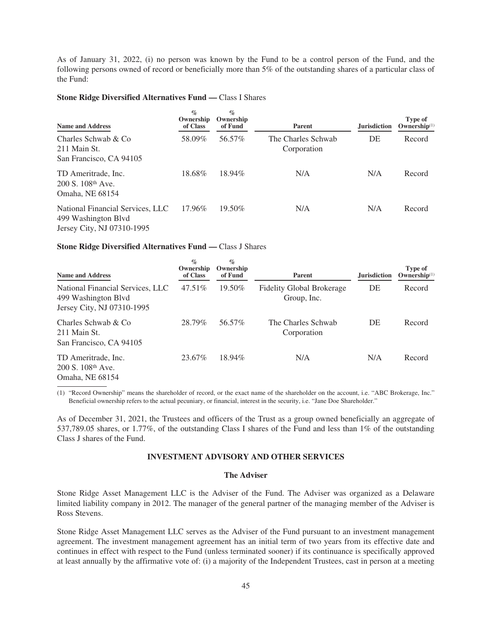As of January 31, 2022, (i) no person was known by the Fund to be a control person of the Fund, and the following persons owned of record or beneficially more than 5% of the outstanding shares of a particular class of the Fund:

## **Stone Ridge Diversified Alternatives Fund —** Class I Shares

| <b>Name and Address</b>                                                               | $\%$<br>Ownership<br>of Class | $\%$<br>Ownership<br>of Fund | <b>Parent</b>                     | <b>Jurisdiction</b> | Type of<br>$Ownership(1)$ |
|---------------------------------------------------------------------------------------|-------------------------------|------------------------------|-----------------------------------|---------------------|---------------------------|
| Charles Schwab & Co<br>211 Main St.<br>San Francisco, CA 94105                        | 58.09%                        | 56.57%                       | The Charles Schwab<br>Corporation | DE                  | Record                    |
| TD Ameritrade, Inc.<br>200 S. 108th Ave.<br>Omaha, NE 68154                           | 18.68%                        | 18.94%                       | N/A                               | N/A                 | Record                    |
| National Financial Services, LLC<br>499 Washington Blvd<br>Jersey City, NJ 07310-1995 | 17.96%                        | $19.50\%$                    | N/A                               | N/A                 | Record                    |

### **Stone Ridge Diversified Alternatives Fund —** Class J Shares

| <b>Name and Address</b>                                                               | $\%$<br>Ownership<br>of Class | $\%$<br>Ownership<br>of Fund | <b>Parent</b>                                   | <b>Jurisdiction</b> | Type of<br>$Ownership(1)$ |
|---------------------------------------------------------------------------------------|-------------------------------|------------------------------|-------------------------------------------------|---------------------|---------------------------|
| National Financial Services, LLC<br>499 Washington Blvd<br>Jersey City, NJ 07310-1995 | 47.51\%                       | 19.50%                       | <b>Fidelity Global Brokerage</b><br>Group, Inc. | DE                  | Record                    |
| Charles Schwab & Co<br>211 Main St.<br>San Francisco, CA 94105                        | 28.79%                        | 56.57%                       | The Charles Schwab<br>Corporation               | DE                  | Record                    |
| TD Ameritrade, Inc.<br>200 S. 108th Ave.<br>Omaha, NE 68154                           | 23.67%                        | 18.94%                       | N/A                                             | N/A                 | Record                    |

(1) "Record Ownership" means the shareholder of record, or the exact name of the shareholder on the account, i.e. "ABC Brokerage, Inc." Beneficial ownership refers to the actual pecuniary, or financial, interest in the security, i.e. "Jane Doe Shareholder."

As of December 31, 2021, the Trustees and officers of the Trust as a group owned beneficially an aggregate of 537,789.05 shares, or 1.77%, of the outstanding Class I shares of the Fund and less than 1% of the outstanding Class J shares of the Fund.

## **INVESTMENT ADVISORY AND OTHER SERVICES**

# **The Adviser**

Stone Ridge Asset Management LLC is the Adviser of the Fund. The Adviser was organized as a Delaware limited liability company in 2012. The manager of the general partner of the managing member of the Adviser is Ross Stevens.

Stone Ridge Asset Management LLC serves as the Adviser of the Fund pursuant to an investment management agreement. The investment management agreement has an initial term of two years from its effective date and continues in effect with respect to the Fund (unless terminated sooner) if its continuance is specifically approved at least annually by the affirmative vote of: (i) a majority of the Independent Trustees, cast in person at a meeting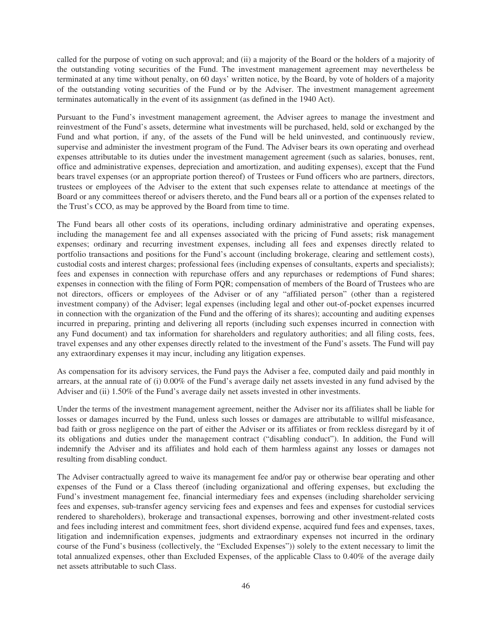called for the purpose of voting on such approval; and (ii) a majority of the Board or the holders of a majority of the outstanding voting securities of the Fund. The investment management agreement may nevertheless be terminated at any time without penalty, on 60 days' written notice, by the Board, by vote of holders of a majority of the outstanding voting securities of the Fund or by the Adviser. The investment management agreement terminates automatically in the event of its assignment (as defined in the 1940 Act).

Pursuant to the Fund's investment management agreement, the Adviser agrees to manage the investment and reinvestment of the Fund's assets, determine what investments will be purchased, held, sold or exchanged by the Fund and what portion, if any, of the assets of the Fund will be held uninvested, and continuously review, supervise and administer the investment program of the Fund. The Adviser bears its own operating and overhead expenses attributable to its duties under the investment management agreement (such as salaries, bonuses, rent, office and administrative expenses, depreciation and amortization, and auditing expenses), except that the Fund bears travel expenses (or an appropriate portion thereof) of Trustees or Fund officers who are partners, directors, trustees or employees of the Adviser to the extent that such expenses relate to attendance at meetings of the Board or any committees thereof or advisers thereto, and the Fund bears all or a portion of the expenses related to the Trust's CCO, as may be approved by the Board from time to time.

The Fund bears all other costs of its operations, including ordinary administrative and operating expenses, including the management fee and all expenses associated with the pricing of Fund assets; risk management expenses; ordinary and recurring investment expenses, including all fees and expenses directly related to portfolio transactions and positions for the Fund's account (including brokerage, clearing and settlement costs), custodial costs and interest charges; professional fees (including expenses of consultants, experts and specialists); fees and expenses in connection with repurchase offers and any repurchases or redemptions of Fund shares; expenses in connection with the filing of Form PQR; compensation of members of the Board of Trustees who are not directors, officers or employees of the Adviser or of any "affiliated person" (other than a registered investment company) of the Adviser; legal expenses (including legal and other out-of-pocket expenses incurred in connection with the organization of the Fund and the offering of its shares); accounting and auditing expenses incurred in preparing, printing and delivering all reports (including such expenses incurred in connection with any Fund document) and tax information for shareholders and regulatory authorities; and all filing costs, fees, travel expenses and any other expenses directly related to the investment of the Fund's assets. The Fund will pay any extraordinary expenses it may incur, including any litigation expenses.

As compensation for its advisory services, the Fund pays the Adviser a fee, computed daily and paid monthly in arrears, at the annual rate of (i) 0.00% of the Fund's average daily net assets invested in any fund advised by the Adviser and (ii) 1.50% of the Fund's average daily net assets invested in other investments.

Under the terms of the investment management agreement, neither the Adviser nor its affiliates shall be liable for losses or damages incurred by the Fund, unless such losses or damages are attributable to willful misfeasance, bad faith or gross negligence on the part of either the Adviser or its affiliates or from reckless disregard by it of its obligations and duties under the management contract ("disabling conduct"). In addition, the Fund will indemnify the Adviser and its affiliates and hold each of them harmless against any losses or damages not resulting from disabling conduct.

The Adviser contractually agreed to waive its management fee and/or pay or otherwise bear operating and other expenses of the Fund or a Class thereof (including organizational and offering expenses, but excluding the Fund's investment management fee, financial intermediary fees and expenses (including shareholder servicing fees and expenses, sub-transfer agency servicing fees and expenses and fees and expenses for custodial services rendered to shareholders), brokerage and transactional expenses, borrowing and other investment-related costs and fees including interest and commitment fees, short dividend expense, acquired fund fees and expenses, taxes, litigation and indemnification expenses, judgments and extraordinary expenses not incurred in the ordinary course of the Fund's business (collectively, the "Excluded Expenses")) solely to the extent necessary to limit the total annualized expenses, other than Excluded Expenses, of the applicable Class to 0.40% of the average daily net assets attributable to such Class.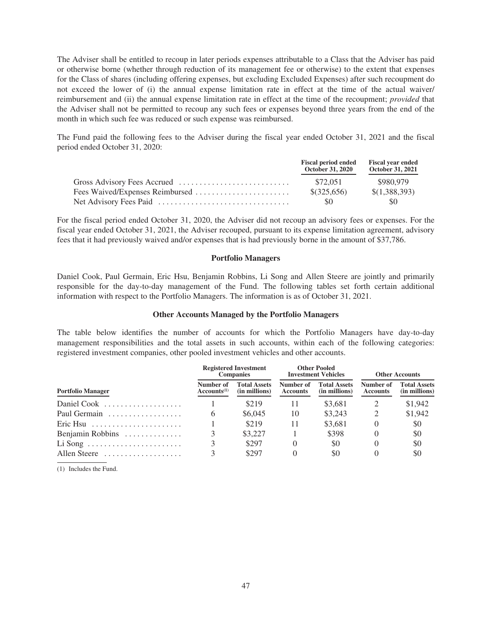The Adviser shall be entitled to recoup in later periods expenses attributable to a Class that the Adviser has paid or otherwise borne (whether through reduction of its management fee or otherwise) to the extent that expenses for the Class of shares (including offering expenses, but excluding Excluded Expenses) after such recoupment do not exceed the lower of (i) the annual expense limitation rate in effect at the time of the actual waiver/ reimbursement and (ii) the annual expense limitation rate in effect at the time of the recoupment; *provided* that the Adviser shall not be permitted to recoup any such fees or expenses beyond three years from the end of the month in which such fee was reduced or such expense was reimbursed.

The Fund paid the following fees to the Adviser during the fiscal year ended October 31, 2021 and the fiscal period ended October 31, 2020:

| <b>Fiscal period ended</b><br><b>October 31, 2020</b> | <b>Fiscal year ended</b><br><b>October 31, 2021</b> |
|-------------------------------------------------------|-----------------------------------------------------|
| \$72.051                                              | \$980.979                                           |
| $$$ (325,656)                                         | \$(1,388,393)                                       |
| -80                                                   | \$0                                                 |

For the fiscal period ended October 31, 2020, the Adviser did not recoup an advisory fees or expenses. For the fiscal year ended October 31, 2021, the Adviser recouped, pursuant to its expense limitation agreement, advisory fees that it had previously waived and/or expenses that is had previously borne in the amount of \$37,786.

### **Portfolio Managers**

Daniel Cook, Paul Germain, Eric Hsu, Benjamin Robbins, Li Song and Allen Steere are jointly and primarily responsible for the day-to-day management of the Fund. The following tables set forth certain additional information with respect to the Portfolio Managers. The information is as of October 31, 2021.

## **Other Accounts Managed by the Portfolio Managers**

The table below identifies the number of accounts for which the Portfolio Managers have day-to-day management responsibilities and the total assets in such accounts, within each of the following categories: registered investment companies, other pooled investment vehicles and other accounts.

|                            | <b>Registered Investment</b><br><b>Companies</b> |                                      | <b>Other Pooled</b><br><b>Investment Vehicles</b> |                                      | <b>Other Accounts</b>        |                                      |
|----------------------------|--------------------------------------------------|--------------------------------------|---------------------------------------------------|--------------------------------------|------------------------------|--------------------------------------|
| <b>Portfolio Manager</b>   | Number of<br>$Accounts^{(1)}$                    | <b>Total Assets</b><br>(in millions) | Number of<br><b>Accounts</b>                      | <b>Total Assets</b><br>(in millions) | Number of<br><b>Accounts</b> | <b>Total Assets</b><br>(in millions) |
| Daniel Cook                |                                                  | \$219                                | 11                                                | \$3.681                              |                              | \$1,942                              |
| Paul Germain               | 6                                                | \$6,045                              | 10                                                | \$3,243                              |                              | \$1,942                              |
| $\text{Eric } H \text{su}$ |                                                  | \$219                                | 11                                                | \$3.681                              |                              | \$0                                  |
| Benjamin Robbins           |                                                  | \$3,227                              |                                                   | \$398                                |                              | \$0                                  |
|                            |                                                  | \$297                                |                                                   | \$0                                  |                              | \$0                                  |
| Allen Steere               |                                                  | \$297                                |                                                   | \$0                                  |                              | \$0                                  |

(1) Includes the Fund.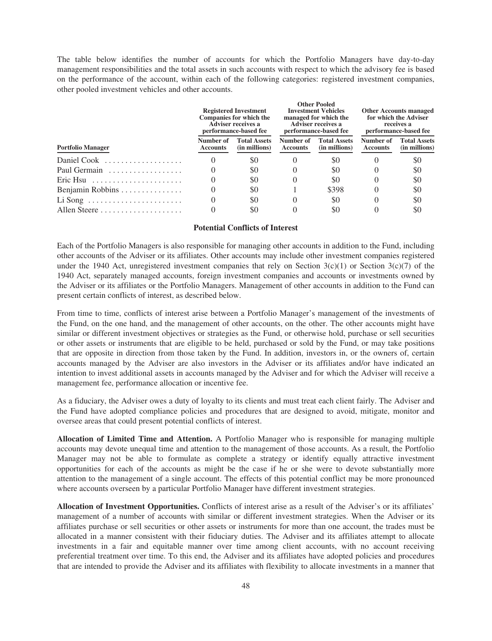The table below identifies the number of accounts for which the Portfolio Managers have day-to-day management responsibilities and the total assets in such accounts with respect to which the advisory fee is based on the performance of the account, within each of the following categories: registered investment companies, other pooled investment vehicles and other accounts.

|                                                           |                              | <b>Registered Investment</b><br>Companies for which the<br><b>Adviser receives a</b><br>performance-based fee |                              | <b>Other Pooled</b><br><b>Investment Vehicles</b><br>managed for which the<br><b>Adviser receives a</b><br>performance-based fee | <b>Other Accounts managed</b><br>for which the Adviser<br>receives a<br>performance-based fee |                                      |
|-----------------------------------------------------------|------------------------------|---------------------------------------------------------------------------------------------------------------|------------------------------|----------------------------------------------------------------------------------------------------------------------------------|-----------------------------------------------------------------------------------------------|--------------------------------------|
| <b>Portfolio Manager</b>                                  | Number of<br><b>Accounts</b> | <b>Total Assets</b><br>(in millions)                                                                          | Number of<br><b>Accounts</b> | <b>Total Assets</b><br>(in millions)                                                                                             | Number of<br><b>Accounts</b>                                                                  | <b>Total Assets</b><br>(in millions) |
| Daniel Cook $\ldots, \ldots, \ldots, \ldots$              |                              | \$0                                                                                                           |                              | \$0                                                                                                                              |                                                                                               | \$0                                  |
| Paul Germain                                              |                              | \$0                                                                                                           |                              | \$0                                                                                                                              | 0                                                                                             | \$0                                  |
| Eric Hsu $\dots \dots \dots \dots \dots \dots \dots$      |                              | \$0                                                                                                           |                              | \$0                                                                                                                              |                                                                                               | \$0                                  |
| Benjamin Robbins                                          |                              | \$0                                                                                                           |                              | \$398                                                                                                                            |                                                                                               | \$0                                  |
| Li Song $\dots \dots \dots \dots \dots \dots \dots \dots$ |                              | \$0                                                                                                           |                              | \$0                                                                                                                              |                                                                                               | \$0                                  |
|                                                           |                              | \$0                                                                                                           |                              | \$0                                                                                                                              |                                                                                               | \$0                                  |

## **Potential Conflicts of Interest**

Each of the Portfolio Managers is also responsible for managing other accounts in addition to the Fund, including other accounts of the Adviser or its affiliates. Other accounts may include other investment companies registered under the 1940 Act, unregistered investment companies that rely on Section  $3(c)(1)$  or Section  $3(c)(7)$  of the 1940 Act, separately managed accounts, foreign investment companies and accounts or investments owned by the Adviser or its affiliates or the Portfolio Managers. Management of other accounts in addition to the Fund can present certain conflicts of interest, as described below.

From time to time, conflicts of interest arise between a Portfolio Manager's management of the investments of the Fund, on the one hand, and the management of other accounts, on the other. The other accounts might have similar or different investment objectives or strategies as the Fund, or otherwise hold, purchase or sell securities or other assets or instruments that are eligible to be held, purchased or sold by the Fund, or may take positions that are opposite in direction from those taken by the Fund. In addition, investors in, or the owners of, certain accounts managed by the Adviser are also investors in the Adviser or its affiliates and/or have indicated an intention to invest additional assets in accounts managed by the Adviser and for which the Adviser will receive a management fee, performance allocation or incentive fee.

As a fiduciary, the Adviser owes a duty of loyalty to its clients and must treat each client fairly. The Adviser and the Fund have adopted compliance policies and procedures that are designed to avoid, mitigate, monitor and oversee areas that could present potential conflicts of interest.

**Allocation of Limited Time and Attention.** A Portfolio Manager who is responsible for managing multiple accounts may devote unequal time and attention to the management of those accounts. As a result, the Portfolio Manager may not be able to formulate as complete a strategy or identify equally attractive investment opportunities for each of the accounts as might be the case if he or she were to devote substantially more attention to the management of a single account. The effects of this potential conflict may be more pronounced where accounts overseen by a particular Portfolio Manager have different investment strategies.

**Allocation of Investment Opportunities.** Conflicts of interest arise as a result of the Adviser's or its affiliates' management of a number of accounts with similar or different investment strategies. When the Adviser or its affiliates purchase or sell securities or other assets or instruments for more than one account, the trades must be allocated in a manner consistent with their fiduciary duties. The Adviser and its affiliates attempt to allocate investments in a fair and equitable manner over time among client accounts, with no account receiving preferential treatment over time. To this end, the Adviser and its affiliates have adopted policies and procedures that are intended to provide the Adviser and its affiliates with flexibility to allocate investments in a manner that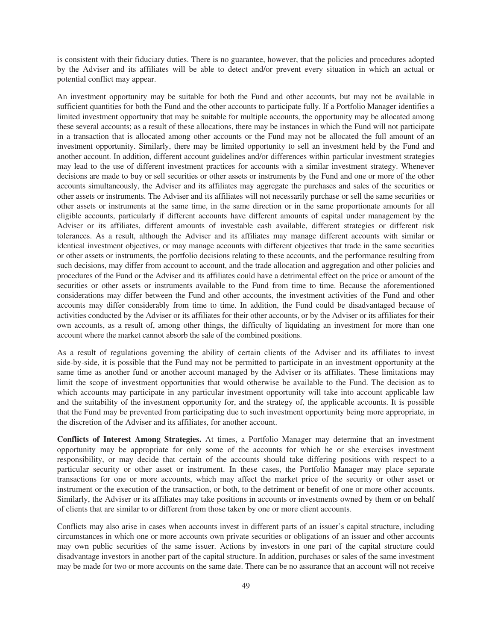is consistent with their fiduciary duties. There is no guarantee, however, that the policies and procedures adopted by the Adviser and its affiliates will be able to detect and/or prevent every situation in which an actual or potential conflict may appear.

An investment opportunity may be suitable for both the Fund and other accounts, but may not be available in sufficient quantities for both the Fund and the other accounts to participate fully. If a Portfolio Manager identifies a limited investment opportunity that may be suitable for multiple accounts, the opportunity may be allocated among these several accounts; as a result of these allocations, there may be instances in which the Fund will not participate in a transaction that is allocated among other accounts or the Fund may not be allocated the full amount of an investment opportunity. Similarly, there may be limited opportunity to sell an investment held by the Fund and another account. In addition, different account guidelines and/or differences within particular investment strategies may lead to the use of different investment practices for accounts with a similar investment strategy. Whenever decisions are made to buy or sell securities or other assets or instruments by the Fund and one or more of the other accounts simultaneously, the Adviser and its affiliates may aggregate the purchases and sales of the securities or other assets or instruments. The Adviser and its affiliates will not necessarily purchase or sell the same securities or other assets or instruments at the same time, in the same direction or in the same proportionate amounts for all eligible accounts, particularly if different accounts have different amounts of capital under management by the Adviser or its affiliates, different amounts of investable cash available, different strategies or different risk tolerances. As a result, although the Adviser and its affiliates may manage different accounts with similar or identical investment objectives, or may manage accounts with different objectives that trade in the same securities or other assets or instruments, the portfolio decisions relating to these accounts, and the performance resulting from such decisions, may differ from account to account, and the trade allocation and aggregation and other policies and procedures of the Fund or the Adviser and its affiliates could have a detrimental effect on the price or amount of the securities or other assets or instruments available to the Fund from time to time. Because the aforementioned considerations may differ between the Fund and other accounts, the investment activities of the Fund and other accounts may differ considerably from time to time. In addition, the Fund could be disadvantaged because of activities conducted by the Adviser or its affiliates for their other accounts, or by the Adviser or its affiliates for their own accounts, as a result of, among other things, the difficulty of liquidating an investment for more than one account where the market cannot absorb the sale of the combined positions.

As a result of regulations governing the ability of certain clients of the Adviser and its affiliates to invest side-by-side, it is possible that the Fund may not be permitted to participate in an investment opportunity at the same time as another fund or another account managed by the Adviser or its affiliates. These limitations may limit the scope of investment opportunities that would otherwise be available to the Fund. The decision as to which accounts may participate in any particular investment opportunity will take into account applicable law and the suitability of the investment opportunity for, and the strategy of, the applicable accounts. It is possible that the Fund may be prevented from participating due to such investment opportunity being more appropriate, in the discretion of the Adviser and its affiliates, for another account.

**Conflicts of Interest Among Strategies.** At times, a Portfolio Manager may determine that an investment opportunity may be appropriate for only some of the accounts for which he or she exercises investment responsibility, or may decide that certain of the accounts should take differing positions with respect to a particular security or other asset or instrument. In these cases, the Portfolio Manager may place separate transactions for one or more accounts, which may affect the market price of the security or other asset or instrument or the execution of the transaction, or both, to the detriment or benefit of one or more other accounts. Similarly, the Adviser or its affiliates may take positions in accounts or investments owned by them or on behalf of clients that are similar to or different from those taken by one or more client accounts.

Conflicts may also arise in cases when accounts invest in different parts of an issuer's capital structure, including circumstances in which one or more accounts own private securities or obligations of an issuer and other accounts may own public securities of the same issuer. Actions by investors in one part of the capital structure could disadvantage investors in another part of the capital structure. In addition, purchases or sales of the same investment may be made for two or more accounts on the same date. There can be no assurance that an account will not receive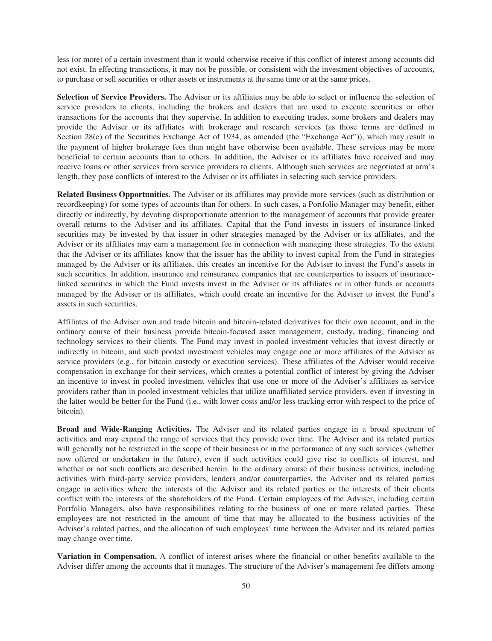less (or more) of a certain investment than it would otherwise receive if this conflict of interest among accounts did not exist. In effecting transactions, it may not be possible, or consistent with the investment objectives of accounts, to purchase or sell securities or other assets or instruments at the same time or at the same prices.

**Selection of Service Providers.** The Adviser or its affiliates may be able to select or influence the selection of service providers to clients, including the brokers and dealers that are used to execute securities or other transactions for the accounts that they supervise. In addition to executing trades, some brokers and dealers may provide the Adviser or its affiliates with brokerage and research services (as those terms are defined in Section 28(e) of the Securities Exchange Act of 1934, as amended (the "Exchange Act")), which may result in the payment of higher brokerage fees than might have otherwise been available. These services may be more beneficial to certain accounts than to others. In addition, the Adviser or its affiliates have received and may receive loans or other services from service providers to clients. Although such services are negotiated at arm's length, they pose conflicts of interest to the Adviser or its affiliates in selecting such service providers.

**Related Business Opportunities.** The Adviser or its affiliates may provide more services (such as distribution or recordkeeping) for some types of accounts than for others. In such cases, a Portfolio Manager may benefit, either directly or indirectly, by devoting disproportionate attention to the management of accounts that provide greater overall returns to the Adviser and its affiliates. Capital that the Fund invests in issuers of insurance-linked securities may be invested by that issuer in other strategies managed by the Adviser or its affiliates, and the Adviser or its affiliates may earn a management fee in connection with managing those strategies. To the extent that the Adviser or its affiliates know that the issuer has the ability to invest capital from the Fund in strategies managed by the Adviser or its affiliates, this creates an incentive for the Adviser to invest the Fund's assets in such securities. In addition, insurance and reinsurance companies that are counterparties to issuers of insurancelinked securities in which the Fund invests invest in the Adviser or its affiliates or in other funds or accounts managed by the Adviser or its affiliates, which could create an incentive for the Adviser to invest the Fund's assets in such securities.

Affiliates of the Adviser own and trade bitcoin and bitcoin-related derivatives for their own account, and in the ordinary course of their business provide bitcoin-focused asset management, custody, trading, financing and technology services to their clients. The Fund may invest in pooled investment vehicles that invest directly or indirectly in bitcoin, and such pooled investment vehicles may engage one or more affiliates of the Adviser as service providers (e.g., for bitcoin custody or execution services). These affiliates of the Adviser would receive compensation in exchange for their services, which creates a potential conflict of interest by giving the Adviser an incentive to invest in pooled investment vehicles that use one or more of the Adviser's affiliates as service providers rather than in pooled investment vehicles that utilize unaffiliated service providers, even if investing in the latter would be better for the Fund (i.e., with lower costs and/or less tracking error with respect to the price of bitcoin).

**Broad and Wide-Ranging Activities.** The Adviser and its related parties engage in a broad spectrum of activities and may expand the range of services that they provide over time. The Adviser and its related parties will generally not be restricted in the scope of their business or in the performance of any such services (whether now offered or undertaken in the future), even if such activities could give rise to conflicts of interest, and whether or not such conflicts are described herein. In the ordinary course of their business activities, including activities with third-party service providers, lenders and/or counterparties, the Adviser and its related parties engage in activities where the interests of the Adviser and its related parties or the interests of their clients conflict with the interests of the shareholders of the Fund. Certain employees of the Adviser, including certain Portfolio Managers, also have responsibilities relating to the business of one or more related parties. These employees are not restricted in the amount of time that may be allocated to the business activities of the Adviser's related parties, and the allocation of such employees' time between the Adviser and its related parties may change over time.

**Variation in Compensation.** A conflict of interest arises where the financial or other benefits available to the Adviser differ among the accounts that it manages. The structure of the Adviser's management fee differs among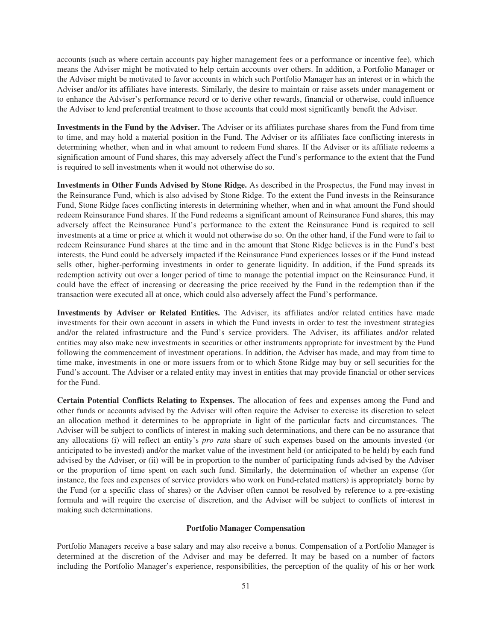accounts (such as where certain accounts pay higher management fees or a performance or incentive fee), which means the Adviser might be motivated to help certain accounts over others. In addition, a Portfolio Manager or the Adviser might be motivated to favor accounts in which such Portfolio Manager has an interest or in which the Adviser and/or its affiliates have interests. Similarly, the desire to maintain or raise assets under management or to enhance the Adviser's performance record or to derive other rewards, financial or otherwise, could influence the Adviser to lend preferential treatment to those accounts that could most significantly benefit the Adviser.

**Investments in the Fund by the Adviser.** The Adviser or its affiliates purchase shares from the Fund from time to time, and may hold a material position in the Fund. The Adviser or its affiliates face conflicting interests in determining whether, when and in what amount to redeem Fund shares. If the Adviser or its affiliate redeems a signification amount of Fund shares, this may adversely affect the Fund's performance to the extent that the Fund is required to sell investments when it would not otherwise do so.

**Investments in Other Funds Advised by Stone Ridge.** As described in the Prospectus, the Fund may invest in the Reinsurance Fund, which is also advised by Stone Ridge. To the extent the Fund invests in the Reinsurance Fund, Stone Ridge faces conflicting interests in determining whether, when and in what amount the Fund should redeem Reinsurance Fund shares. If the Fund redeems a significant amount of Reinsurance Fund shares, this may adversely affect the Reinsurance Fund's performance to the extent the Reinsurance Fund is required to sell investments at a time or price at which it would not otherwise do so. On the other hand, if the Fund were to fail to redeem Reinsurance Fund shares at the time and in the amount that Stone Ridge believes is in the Fund's best interests, the Fund could be adversely impacted if the Reinsurance Fund experiences losses or if the Fund instead sells other, higher-performing investments in order to generate liquidity. In addition, if the Fund spreads its redemption activity out over a longer period of time to manage the potential impact on the Reinsurance Fund, it could have the effect of increasing or decreasing the price received by the Fund in the redemption than if the transaction were executed all at once, which could also adversely affect the Fund's performance.

**Investments by Adviser or Related Entities.** The Adviser, its affiliates and/or related entities have made investments for their own account in assets in which the Fund invests in order to test the investment strategies and/or the related infrastructure and the Fund's service providers. The Adviser, its affiliates and/or related entities may also make new investments in securities or other instruments appropriate for investment by the Fund following the commencement of investment operations. In addition, the Adviser has made, and may from time to time make, investments in one or more issuers from or to which Stone Ridge may buy or sell securities for the Fund's account. The Adviser or a related entity may invest in entities that may provide financial or other services for the Fund.

**Certain Potential Conflicts Relating to Expenses.** The allocation of fees and expenses among the Fund and other funds or accounts advised by the Adviser will often require the Adviser to exercise its discretion to select an allocation method it determines to be appropriate in light of the particular facts and circumstances. The Adviser will be subject to conflicts of interest in making such determinations, and there can be no assurance that any allocations (i) will reflect an entity's *pro rata* share of such expenses based on the amounts invested (or anticipated to be invested) and/or the market value of the investment held (or anticipated to be held) by each fund advised by the Adviser, or (ii) will be in proportion to the number of participating funds advised by the Adviser or the proportion of time spent on each such fund. Similarly, the determination of whether an expense (for instance, the fees and expenses of service providers who work on Fund-related matters) is appropriately borne by the Fund (or a specific class of shares) or the Adviser often cannot be resolved by reference to a pre-existing formula and will require the exercise of discretion, and the Adviser will be subject to conflicts of interest in making such determinations.

## **Portfolio Manager Compensation**

Portfolio Managers receive a base salary and may also receive a bonus. Compensation of a Portfolio Manager is determined at the discretion of the Adviser and may be deferred. It may be based on a number of factors including the Portfolio Manager's experience, responsibilities, the perception of the quality of his or her work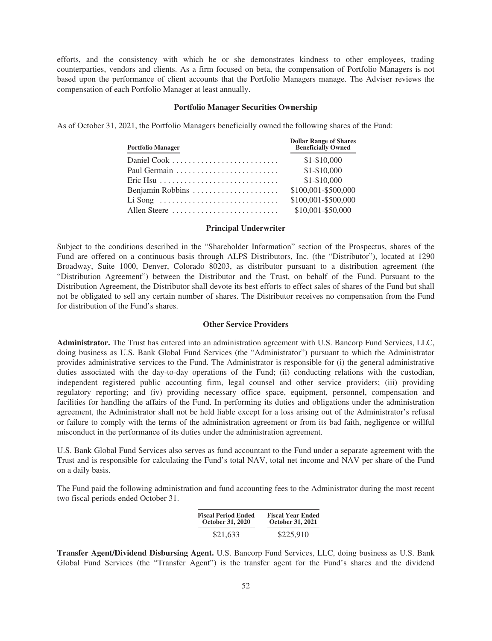efforts, and the consistency with which he or she demonstrates kindness to other employees, trading counterparties, vendors and clients. As a firm focused on beta, the compensation of Portfolio Managers is not based upon the performance of client accounts that the Portfolio Managers manage. The Adviser reviews the compensation of each Portfolio Manager at least annually.

## **Portfolio Manager Securities Ownership**

As of October 31, 2021, the Portfolio Managers beneficially owned the following shares of the Fund:

| <b>Portfolio Manager</b>                                        | <b>Dollar Range of Shares</b><br><b>Beneficially Owned</b> |
|-----------------------------------------------------------------|------------------------------------------------------------|
|                                                                 | $$1 - $10,000$                                             |
|                                                                 | $$1 - $10,000$                                             |
|                                                                 | \$1-\$10,000                                               |
| Benjamin Robbins                                                | \$100,001-\$500,000                                        |
| $Li$ Song $\ldots$ $\ldots$ $\ldots$ $\ldots$ $\ldots$ $\ldots$ | \$100,001-\$500,000                                        |
| Allen Steere                                                    | \$10,001-\$50,000                                          |

### **Principal Underwriter**

Subject to the conditions described in the "Shareholder Information" section of the Prospectus, shares of the Fund are offered on a continuous basis through ALPS Distributors, Inc. (the "Distributor"), located at 1290 Broadway, Suite 1000, Denver, Colorado 80203, as distributor pursuant to a distribution agreement (the "Distribution Agreement") between the Distributor and the Trust, on behalf of the Fund. Pursuant to the Distribution Agreement, the Distributor shall devote its best efforts to effect sales of shares of the Fund but shall not be obligated to sell any certain number of shares. The Distributor receives no compensation from the Fund for distribution of the Fund's shares.

## **Other Service Providers**

**Administrator.** The Trust has entered into an administration agreement with U.S. Bancorp Fund Services, LLC, doing business as U.S. Bank Global Fund Services (the "Administrator") pursuant to which the Administrator provides administrative services to the Fund. The Administrator is responsible for (i) the general administrative duties associated with the day-to-day operations of the Fund; (ii) conducting relations with the custodian, independent registered public accounting firm, legal counsel and other service providers; (iii) providing regulatory reporting; and (iv) providing necessary office space, equipment, personnel, compensation and facilities for handling the affairs of the Fund. In performing its duties and obligations under the administration agreement, the Administrator shall not be held liable except for a loss arising out of the Administrator's refusal or failure to comply with the terms of the administration agreement or from its bad faith, negligence or willful misconduct in the performance of its duties under the administration agreement.

U.S. Bank Global Fund Services also serves as fund accountant to the Fund under a separate agreement with the Trust and is responsible for calculating the Fund's total NAV, total net income and NAV per share of the Fund on a daily basis.

The Fund paid the following administration and fund accounting fees to the Administrator during the most recent two fiscal periods ended October 31.

| <b>Fiscal Period Ended</b> | <b>Fiscal Year Ended</b> |
|----------------------------|--------------------------|
| <b>October 31, 2020</b>    | <b>October 31, 2021</b>  |
| \$21,633                   | \$225,910                |

**Transfer Agent/Dividend Disbursing Agent.** U.S. Bancorp Fund Services, LLC, doing business as U.S. Bank Global Fund Services (the "Transfer Agent") is the transfer agent for the Fund's shares and the dividend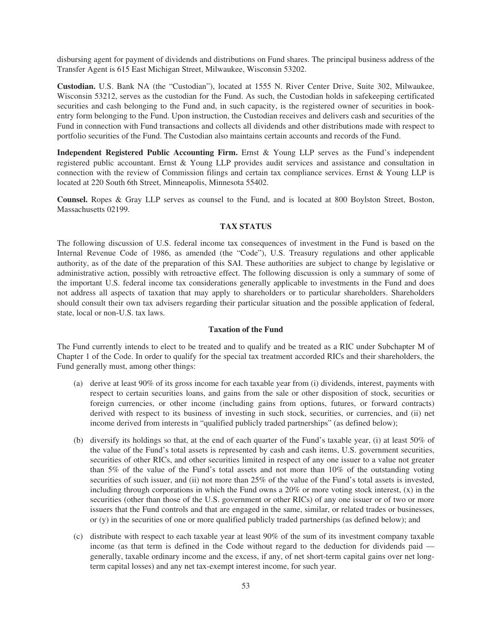disbursing agent for payment of dividends and distributions on Fund shares. The principal business address of the Transfer Agent is 615 East Michigan Street, Milwaukee, Wisconsin 53202.

**Custodian.** U.S. Bank NA (the "Custodian"), located at 1555 N. River Center Drive, Suite 302, Milwaukee, Wisconsin 53212, serves as the custodian for the Fund. As such, the Custodian holds in safekeeping certificated securities and cash belonging to the Fund and, in such capacity, is the registered owner of securities in bookentry form belonging to the Fund. Upon instruction, the Custodian receives and delivers cash and securities of the Fund in connection with Fund transactions and collects all dividends and other distributions made with respect to portfolio securities of the Fund. The Custodian also maintains certain accounts and records of the Fund.

**Independent Registered Public Accounting Firm.** Ernst & Young LLP serves as the Fund's independent registered public accountant. Ernst & Young LLP provides audit services and assistance and consultation in connection with the review of Commission filings and certain tax compliance services. Ernst & Young LLP is located at 220 South 6th Street, Minneapolis, Minnesota 55402.

**Counsel.** Ropes & Gray LLP serves as counsel to the Fund, and is located at 800 Boylston Street, Boston, Massachusetts 02199.

## **TAX STATUS**

The following discussion of U.S. federal income tax consequences of investment in the Fund is based on the Internal Revenue Code of 1986, as amended (the "Code"), U.S. Treasury regulations and other applicable authority, as of the date of the preparation of this SAI. These authorities are subject to change by legislative or administrative action, possibly with retroactive effect. The following discussion is only a summary of some of the important U.S. federal income tax considerations generally applicable to investments in the Fund and does not address all aspects of taxation that may apply to shareholders or to particular shareholders. Shareholders should consult their own tax advisers regarding their particular situation and the possible application of federal, state, local or non-U.S. tax laws.

## **Taxation of the Fund**

The Fund currently intends to elect to be treated and to qualify and be treated as a RIC under Subchapter M of Chapter 1 of the Code. In order to qualify for the special tax treatment accorded RICs and their shareholders, the Fund generally must, among other things:

- (a) derive at least 90% of its gross income for each taxable year from (i) dividends, interest, payments with respect to certain securities loans, and gains from the sale or other disposition of stock, securities or foreign currencies, or other income (including gains from options, futures, or forward contracts) derived with respect to its business of investing in such stock, securities, or currencies, and (ii) net income derived from interests in "qualified publicly traded partnerships" (as defined below);
- (b) diversify its holdings so that, at the end of each quarter of the Fund's taxable year, (i) at least 50% of the value of the Fund's total assets is represented by cash and cash items, U.S. government securities, securities of other RICs, and other securities limited in respect of any one issuer to a value not greater than 5% of the value of the Fund's total assets and not more than 10% of the outstanding voting securities of such issuer, and (ii) not more than 25% of the value of the Fund's total assets is invested, including through corporations in which the Fund owns a 20% or more voting stock interest, (x) in the securities (other than those of the U.S. government or other RICs) of any one issuer or of two or more issuers that the Fund controls and that are engaged in the same, similar, or related trades or businesses, or (y) in the securities of one or more qualified publicly traded partnerships (as defined below); and
- (c) distribute with respect to each taxable year at least 90% of the sum of its investment company taxable income (as that term is defined in the Code without regard to the deduction for dividends paid generally, taxable ordinary income and the excess, if any, of net short-term capital gains over net longterm capital losses) and any net tax-exempt interest income, for such year.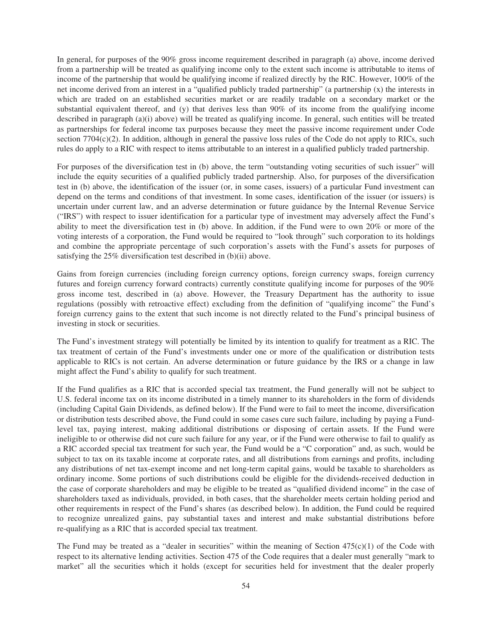In general, for purposes of the 90% gross income requirement described in paragraph (a) above, income derived from a partnership will be treated as qualifying income only to the extent such income is attributable to items of income of the partnership that would be qualifying income if realized directly by the RIC. However, 100% of the net income derived from an interest in a "qualified publicly traded partnership" (a partnership (x) the interests in which are traded on an established securities market or are readily tradable on a secondary market or the substantial equivalent thereof, and (y) that derives less than 90% of its income from the qualifying income described in paragraph (a)(i) above) will be treated as qualifying income. In general, such entities will be treated as partnerships for federal income tax purposes because they meet the passive income requirement under Code section  $7704(c)(2)$ . In addition, although in general the passive loss rules of the Code do not apply to RICs, such rules do apply to a RIC with respect to items attributable to an interest in a qualified publicly traded partnership.

For purposes of the diversification test in (b) above, the term "outstanding voting securities of such issuer" will include the equity securities of a qualified publicly traded partnership. Also, for purposes of the diversification test in (b) above, the identification of the issuer (or, in some cases, issuers) of a particular Fund investment can depend on the terms and conditions of that investment. In some cases, identification of the issuer (or issuers) is uncertain under current law, and an adverse determination or future guidance by the Internal Revenue Service ("IRS") with respect to issuer identification for a particular type of investment may adversely affect the Fund's ability to meet the diversification test in (b) above. In addition, if the Fund were to own 20% or more of the voting interests of a corporation, the Fund would be required to "look through" such corporation to its holdings and combine the appropriate percentage of such corporation's assets with the Fund's assets for purposes of satisfying the 25% diversification test described in (b)(ii) above.

Gains from foreign currencies (including foreign currency options, foreign currency swaps, foreign currency futures and foreign currency forward contracts) currently constitute qualifying income for purposes of the 90% gross income test, described in (a) above. However, the Treasury Department has the authority to issue regulations (possibly with retroactive effect) excluding from the definition of "qualifying income" the Fund's foreign currency gains to the extent that such income is not directly related to the Fund's principal business of investing in stock or securities.

The Fund's investment strategy will potentially be limited by its intention to qualify for treatment as a RIC. The tax treatment of certain of the Fund's investments under one or more of the qualification or distribution tests applicable to RICs is not certain. An adverse determination or future guidance by the IRS or a change in law might affect the Fund's ability to qualify for such treatment.

If the Fund qualifies as a RIC that is accorded special tax treatment, the Fund generally will not be subject to U.S. federal income tax on its income distributed in a timely manner to its shareholders in the form of dividends (including Capital Gain Dividends, as defined below). If the Fund were to fail to meet the income, diversification or distribution tests described above, the Fund could in some cases cure such failure, including by paying a Fundlevel tax, paying interest, making additional distributions or disposing of certain assets. If the Fund were ineligible to or otherwise did not cure such failure for any year, or if the Fund were otherwise to fail to qualify as a RIC accorded special tax treatment for such year, the Fund would be a "C corporation" and, as such, would be subject to tax on its taxable income at corporate rates, and all distributions from earnings and profits, including any distributions of net tax-exempt income and net long-term capital gains, would be taxable to shareholders as ordinary income. Some portions of such distributions could be eligible for the dividends-received deduction in the case of corporate shareholders and may be eligible to be treated as "qualified dividend income" in the case of shareholders taxed as individuals, provided, in both cases, that the shareholder meets certain holding period and other requirements in respect of the Fund's shares (as described below). In addition, the Fund could be required to recognize unrealized gains, pay substantial taxes and interest and make substantial distributions before re-qualifying as a RIC that is accorded special tax treatment.

The Fund may be treated as a "dealer in securities" within the meaning of Section  $475(c)(1)$  of the Code with respect to its alternative lending activities. Section 475 of the Code requires that a dealer must generally "mark to market" all the securities which it holds (except for securities held for investment that the dealer properly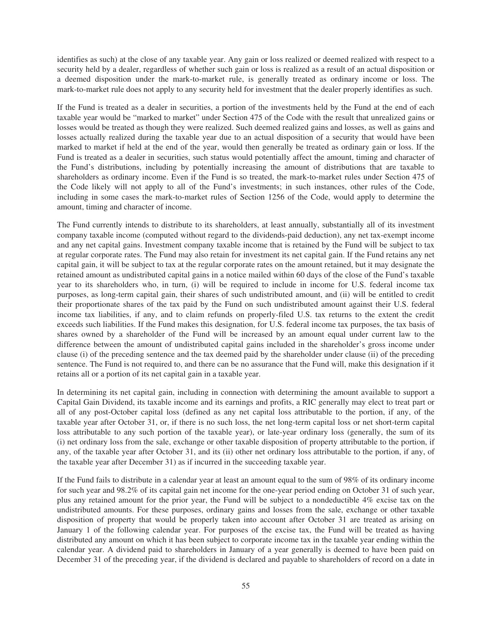identifies as such) at the close of any taxable year. Any gain or loss realized or deemed realized with respect to a security held by a dealer, regardless of whether such gain or loss is realized as a result of an actual disposition or a deemed disposition under the mark-to-market rule, is generally treated as ordinary income or loss. The mark-to-market rule does not apply to any security held for investment that the dealer properly identifies as such.

If the Fund is treated as a dealer in securities, a portion of the investments held by the Fund at the end of each taxable year would be "marked to market" under Section 475 of the Code with the result that unrealized gains or losses would be treated as though they were realized. Such deemed realized gains and losses, as well as gains and losses actually realized during the taxable year due to an actual disposition of a security that would have been marked to market if held at the end of the year, would then generally be treated as ordinary gain or loss. If the Fund is treated as a dealer in securities, such status would potentially affect the amount, timing and character of the Fund's distributions, including by potentially increasing the amount of distributions that are taxable to shareholders as ordinary income. Even if the Fund is so treated, the mark-to-market rules under Section 475 of the Code likely will not apply to all of the Fund's investments; in such instances, other rules of the Code, including in some cases the mark-to-market rules of Section 1256 of the Code, would apply to determine the amount, timing and character of income.

The Fund currently intends to distribute to its shareholders, at least annually, substantially all of its investment company taxable income (computed without regard to the dividends-paid deduction), any net tax-exempt income and any net capital gains. Investment company taxable income that is retained by the Fund will be subject to tax at regular corporate rates. The Fund may also retain for investment its net capital gain. If the Fund retains any net capital gain, it will be subject to tax at the regular corporate rates on the amount retained, but it may designate the retained amount as undistributed capital gains in a notice mailed within 60 days of the close of the Fund's taxable year to its shareholders who, in turn, (i) will be required to include in income for U.S. federal income tax purposes, as long-term capital gain, their shares of such undistributed amount, and (ii) will be entitled to credit their proportionate shares of the tax paid by the Fund on such undistributed amount against their U.S. federal income tax liabilities, if any, and to claim refunds on properly-filed U.S. tax returns to the extent the credit exceeds such liabilities. If the Fund makes this designation, for U.S. federal income tax purposes, the tax basis of shares owned by a shareholder of the Fund will be increased by an amount equal under current law to the difference between the amount of undistributed capital gains included in the shareholder's gross income under clause (i) of the preceding sentence and the tax deemed paid by the shareholder under clause (ii) of the preceding sentence. The Fund is not required to, and there can be no assurance that the Fund will, make this designation if it retains all or a portion of its net capital gain in a taxable year.

In determining its net capital gain, including in connection with determining the amount available to support a Capital Gain Dividend, its taxable income and its earnings and profits, a RIC generally may elect to treat part or all of any post-October capital loss (defined as any net capital loss attributable to the portion, if any, of the taxable year after October 31, or, if there is no such loss, the net long-term capital loss or net short-term capital loss attributable to any such portion of the taxable year), or late-year ordinary loss (generally, the sum of its (i) net ordinary loss from the sale, exchange or other taxable disposition of property attributable to the portion, if any, of the taxable year after October 31, and its (ii) other net ordinary loss attributable to the portion, if any, of the taxable year after December 31) as if incurred in the succeeding taxable year.

If the Fund fails to distribute in a calendar year at least an amount equal to the sum of 98% of its ordinary income for such year and 98.2% of its capital gain net income for the one-year period ending on October 31 of such year, plus any retained amount for the prior year, the Fund will be subject to a nondeductible 4% excise tax on the undistributed amounts. For these purposes, ordinary gains and losses from the sale, exchange or other taxable disposition of property that would be properly taken into account after October 31 are treated as arising on January 1 of the following calendar year. For purposes of the excise tax, the Fund will be treated as having distributed any amount on which it has been subject to corporate income tax in the taxable year ending within the calendar year. A dividend paid to shareholders in January of a year generally is deemed to have been paid on December 31 of the preceding year, if the dividend is declared and payable to shareholders of record on a date in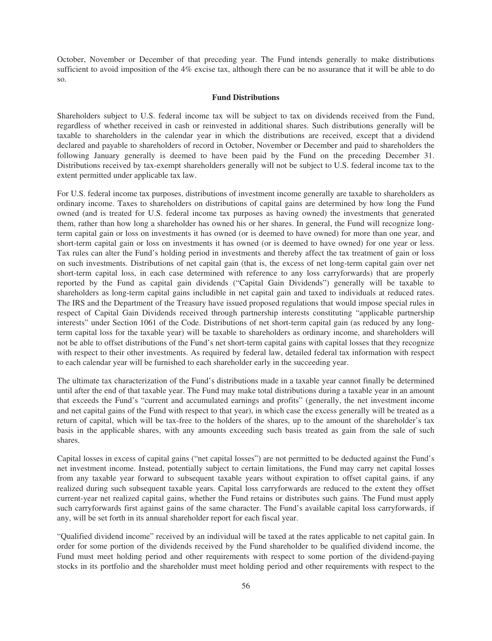October, November or December of that preceding year. The Fund intends generally to make distributions sufficient to avoid imposition of the 4% excise tax, although there can be no assurance that it will be able to do so.

## **Fund Distributions**

Shareholders subject to U.S. federal income tax will be subject to tax on dividends received from the Fund, regardless of whether received in cash or reinvested in additional shares. Such distributions generally will be taxable to shareholders in the calendar year in which the distributions are received, except that a dividend declared and payable to shareholders of record in October, November or December and paid to shareholders the following January generally is deemed to have been paid by the Fund on the preceding December 31. Distributions received by tax-exempt shareholders generally will not be subject to U.S. federal income tax to the extent permitted under applicable tax law.

For U.S. federal income tax purposes, distributions of investment income generally are taxable to shareholders as ordinary income. Taxes to shareholders on distributions of capital gains are determined by how long the Fund owned (and is treated for U.S. federal income tax purposes as having owned) the investments that generated them, rather than how long a shareholder has owned his or her shares. In general, the Fund will recognize longterm capital gain or loss on investments it has owned (or is deemed to have owned) for more than one year, and short-term capital gain or loss on investments it has owned (or is deemed to have owned) for one year or less. Tax rules can alter the Fund's holding period in investments and thereby affect the tax treatment of gain or loss on such investments. Distributions of net capital gain (that is, the excess of net long-term capital gain over net short-term capital loss, in each case determined with reference to any loss carryforwards) that are properly reported by the Fund as capital gain dividends ("Capital Gain Dividends") generally will be taxable to shareholders as long-term capital gains includible in net capital gain and taxed to individuals at reduced rates. The IRS and the Department of the Treasury have issued proposed regulations that would impose special rules in respect of Capital Gain Dividends received through partnership interests constituting "applicable partnership interests" under Section 1061 of the Code. Distributions of net short-term capital gain (as reduced by any longterm capital loss for the taxable year) will be taxable to shareholders as ordinary income, and shareholders will not be able to offset distributions of the Fund's net short-term capital gains with capital losses that they recognize with respect to their other investments. As required by federal law, detailed federal tax information with respect to each calendar year will be furnished to each shareholder early in the succeeding year.

The ultimate tax characterization of the Fund's distributions made in a taxable year cannot finally be determined until after the end of that taxable year. The Fund may make total distributions during a taxable year in an amount that exceeds the Fund's "current and accumulated earnings and profits" (generally, the net investment income and net capital gains of the Fund with respect to that year), in which case the excess generally will be treated as a return of capital, which will be tax-free to the holders of the shares, up to the amount of the shareholder's tax basis in the applicable shares, with any amounts exceeding such basis treated as gain from the sale of such shares.

Capital losses in excess of capital gains ("net capital losses") are not permitted to be deducted against the Fund's net investment income. Instead, potentially subject to certain limitations, the Fund may carry net capital losses from any taxable year forward to subsequent taxable years without expiration to offset capital gains, if any realized during such subsequent taxable years. Capital loss carryforwards are reduced to the extent they offset current-year net realized capital gains, whether the Fund retains or distributes such gains. The Fund must apply such carryforwards first against gains of the same character. The Fund's available capital loss carryforwards, if any, will be set forth in its annual shareholder report for each fiscal year.

"Qualified dividend income" received by an individual will be taxed at the rates applicable to net capital gain. In order for some portion of the dividends received by the Fund shareholder to be qualified dividend income, the Fund must meet holding period and other requirements with respect to some portion of the dividend-paying stocks in its portfolio and the shareholder must meet holding period and other requirements with respect to the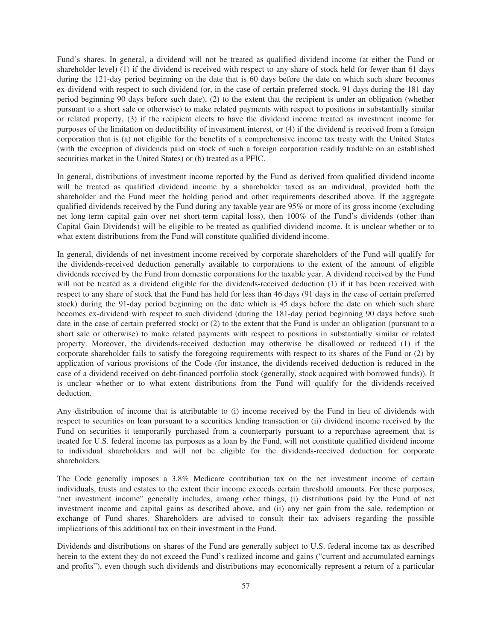Fund's shares. In general, a dividend will not be treated as qualified dividend income (at either the Fund or shareholder level) (1) if the dividend is received with respect to any share of stock held for fewer than 61 days during the 121-day period beginning on the date that is 60 days before the date on which such share becomes ex-dividend with respect to such dividend (or, in the case of certain preferred stock, 91 days during the 181-day period beginning 90 days before such date), (2) to the extent that the recipient is under an obligation (whether pursuant to a short sale or otherwise) to make related payments with respect to positions in substantially similar or related property, (3) if the recipient elects to have the dividend income treated as investment income for purposes of the limitation on deductibility of investment interest, or (4) if the dividend is received from a foreign corporation that is (a) not eligible for the benefits of a comprehensive income tax treaty with the United States (with the exception of dividends paid on stock of such a foreign corporation readily tradable on an established securities market in the United States) or (b) treated as a PFIC.

In general, distributions of investment income reported by the Fund as derived from qualified dividend income will be treated as qualified dividend income by a shareholder taxed as an individual, provided both the shareholder and the Fund meet the holding period and other requirements described above. If the aggregate qualified dividends received by the Fund during any taxable year are 95% or more of its gross income (excluding net long-term capital gain over net short-term capital loss), then 100% of the Fund's dividends (other than Capital Gain Dividends) will be eligible to be treated as qualified dividend income. It is unclear whether or to what extent distributions from the Fund will constitute qualified dividend income.

In general, dividends of net investment income received by corporate shareholders of the Fund will qualify for the dividends-received deduction generally available to corporations to the extent of the amount of eligible dividends received by the Fund from domestic corporations for the taxable year. A dividend received by the Fund will not be treated as a dividend eligible for the dividends-received deduction (1) if it has been received with respect to any share of stock that the Fund has held for less than 46 days (91 days in the case of certain preferred stock) during the 91-day period beginning on the date which is 45 days before the date on which such share becomes ex-dividend with respect to such dividend (during the 181-day period beginning 90 days before such date in the case of certain preferred stock) or (2) to the extent that the Fund is under an obligation (pursuant to a short sale or otherwise) to make related payments with respect to positions in substantially similar or related property. Moreover, the dividends-received deduction may otherwise be disallowed or reduced (1) if the corporate shareholder fails to satisfy the foregoing requirements with respect to its shares of the Fund or (2) by application of various provisions of the Code (for instance, the dividends-received deduction is reduced in the case of a dividend received on debt-financed portfolio stock (generally, stock acquired with borrowed funds)). It is unclear whether or to what extent distributions from the Fund will qualify for the dividends-received deduction.

Any distribution of income that is attributable to (i) income received by the Fund in lieu of dividends with respect to securities on loan pursuant to a securities lending transaction or (ii) dividend income received by the Fund on securities it temporarily purchased from a counterparty pursuant to a repurchase agreement that is treated for U.S. federal income tax purposes as a loan by the Fund, will not constitute qualified dividend income to individual shareholders and will not be eligible for the dividends-received deduction for corporate shareholders.

The Code generally imposes a 3.8% Medicare contribution tax on the net investment income of certain individuals, trusts and estates to the extent their income exceeds certain threshold amounts. For these purposes, "net investment income" generally includes, among other things, (i) distributions paid by the Fund of net investment income and capital gains as described above, and (ii) any net gain from the sale, redemption or exchange of Fund shares. Shareholders are advised to consult their tax advisers regarding the possible implications of this additional tax on their investment in the Fund.

Dividends and distributions on shares of the Fund are generally subject to U.S. federal income tax as described herein to the extent they do not exceed the Fund's realized income and gains ("current and accumulated earnings and profits"), even though such dividends and distributions may economically represent a return of a particular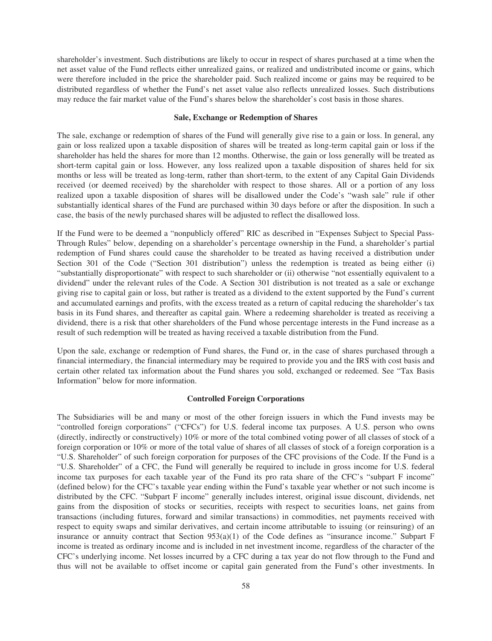shareholder's investment. Such distributions are likely to occur in respect of shares purchased at a time when the net asset value of the Fund reflects either unrealized gains, or realized and undistributed income or gains, which were therefore included in the price the shareholder paid. Such realized income or gains may be required to be distributed regardless of whether the Fund's net asset value also reflects unrealized losses. Such distributions may reduce the fair market value of the Fund's shares below the shareholder's cost basis in those shares.

#### **Sale, Exchange or Redemption of Shares**

The sale, exchange or redemption of shares of the Fund will generally give rise to a gain or loss. In general, any gain or loss realized upon a taxable disposition of shares will be treated as long-term capital gain or loss if the shareholder has held the shares for more than 12 months. Otherwise, the gain or loss generally will be treated as short-term capital gain or loss. However, any loss realized upon a taxable disposition of shares held for six months or less will be treated as long-term, rather than short-term, to the extent of any Capital Gain Dividends received (or deemed received) by the shareholder with respect to those shares. All or a portion of any loss realized upon a taxable disposition of shares will be disallowed under the Code's "wash sale" rule if other substantially identical shares of the Fund are purchased within 30 days before or after the disposition. In such a case, the basis of the newly purchased shares will be adjusted to reflect the disallowed loss.

If the Fund were to be deemed a "nonpublicly offered" RIC as described in "Expenses Subject to Special Pass-Through Rules" below, depending on a shareholder's percentage ownership in the Fund, a shareholder's partial redemption of Fund shares could cause the shareholder to be treated as having received a distribution under Section 301 of the Code ("Section 301 distribution") unless the redemption is treated as being either (i) "substantially disproportionate" with respect to such shareholder or (ii) otherwise "not essentially equivalent to a dividend" under the relevant rules of the Code. A Section 301 distribution is not treated as a sale or exchange giving rise to capital gain or loss, but rather is treated as a dividend to the extent supported by the Fund's current and accumulated earnings and profits, with the excess treated as a return of capital reducing the shareholder's tax basis in its Fund shares, and thereafter as capital gain. Where a redeeming shareholder is treated as receiving a dividend, there is a risk that other shareholders of the Fund whose percentage interests in the Fund increase as a result of such redemption will be treated as having received a taxable distribution from the Fund.

Upon the sale, exchange or redemption of Fund shares, the Fund or, in the case of shares purchased through a financial intermediary, the financial intermediary may be required to provide you and the IRS with cost basis and certain other related tax information about the Fund shares you sold, exchanged or redeemed. See "Tax Basis Information" below for more information.

## **Controlled Foreign Corporations**

The Subsidiaries will be and many or most of the other foreign issuers in which the Fund invests may be "controlled foreign corporations" ("CFCs") for U.S. federal income tax purposes. A U.S. person who owns (directly, indirectly or constructively) 10% or more of the total combined voting power of all classes of stock of a foreign corporation or 10% or more of the total value of shares of all classes of stock of a foreign corporation is a "U.S. Shareholder" of such foreign corporation for purposes of the CFC provisions of the Code. If the Fund is a "U.S. Shareholder" of a CFC, the Fund will generally be required to include in gross income for U.S. federal income tax purposes for each taxable year of the Fund its pro rata share of the CFC's "subpart F income" (defined below) for the CFC's taxable year ending within the Fund's taxable year whether or not such income is distributed by the CFC. "Subpart F income" generally includes interest, original issue discount, dividends, net gains from the disposition of stocks or securities, receipts with respect to securities loans, net gains from transactions (including futures, forward and similar transactions) in commodities, net payments received with respect to equity swaps and similar derivatives, and certain income attributable to issuing (or reinsuring) of an insurance or annuity contract that Section 953(a)(1) of the Code defines as "insurance income." Subpart F income is treated as ordinary income and is included in net investment income, regardless of the character of the CFC's underlying income. Net losses incurred by a CFC during a tax year do not flow through to the Fund and thus will not be available to offset income or capital gain generated from the Fund's other investments. In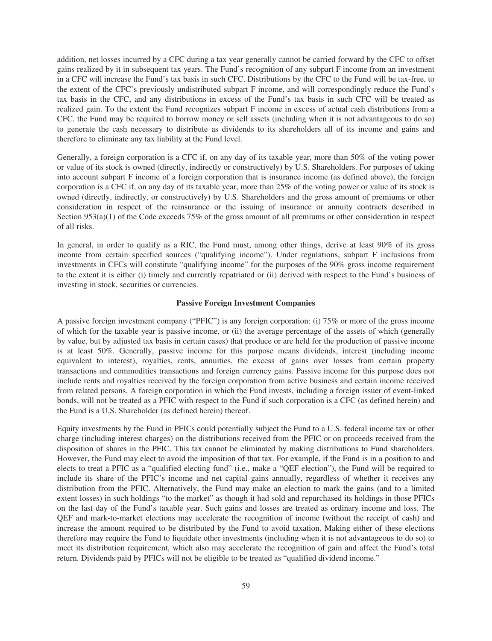addition, net losses incurred by a CFC during a tax year generally cannot be carried forward by the CFC to offset gains realized by it in subsequent tax years. The Fund's recognition of any subpart F income from an investment in a CFC will increase the Fund's tax basis in such CFC. Distributions by the CFC to the Fund will be tax-free, to the extent of the CFC's previously undistributed subpart F income, and will correspondingly reduce the Fund's tax basis in the CFC, and any distributions in excess of the Fund's tax basis in such CFC will be treated as realized gain. To the extent the Fund recognizes subpart F income in excess of actual cash distributions from a CFC, the Fund may be required to borrow money or sell assets (including when it is not advantageous to do so) to generate the cash necessary to distribute as dividends to its shareholders all of its income and gains and therefore to eliminate any tax liability at the Fund level.

Generally, a foreign corporation is a CFC if, on any day of its taxable year, more than 50% of the voting power or value of its stock is owned (directly, indirectly or constructively) by U.S. Shareholders. For purposes of taking into account subpart F income of a foreign corporation that is insurance income (as defined above), the foreign corporation is a CFC if, on any day of its taxable year, more than 25% of the voting power or value of its stock is owned (directly, indirectly, or constructively) by U.S. Shareholders and the gross amount of premiums or other consideration in respect of the reinsurance or the issuing of insurance or annuity contracts described in Section 953(a)(1) of the Code exceeds 75% of the gross amount of all premiums or other consideration in respect of all risks.

In general, in order to qualify as a RIC, the Fund must, among other things, derive at least 90% of its gross income from certain specified sources ("qualifying income"). Under regulations, subpart F inclusions from investments in CFCs will constitute "qualifying income" for the purposes of the 90% gross income requirement to the extent it is either (i) timely and currently repatriated or (ii) derived with respect to the Fund's business of investing in stock, securities or currencies.

## **Passive Foreign Investment Companies**

A passive foreign investment company ("PFIC") is any foreign corporation: (i) 75% or more of the gross income of which for the taxable year is passive income, or (ii) the average percentage of the assets of which (generally by value, but by adjusted tax basis in certain cases) that produce or are held for the production of passive income is at least 50%. Generally, passive income for this purpose means dividends, interest (including income equivalent to interest), royalties, rents, annuities, the excess of gains over losses from certain property transactions and commodities transactions and foreign currency gains. Passive income for this purpose does not include rents and royalties received by the foreign corporation from active business and certain income received from related persons. A foreign corporation in which the Fund invests, including a foreign issuer of event-linked bonds, will not be treated as a PFIC with respect to the Fund if such corporation is a CFC (as defined herein) and the Fund is a U.S. Shareholder (as defined herein) thereof.

Equity investments by the Fund in PFICs could potentially subject the Fund to a U.S. federal income tax or other charge (including interest charges) on the distributions received from the PFIC or on proceeds received from the disposition of shares in the PFIC. This tax cannot be eliminated by making distributions to Fund shareholders. However, the Fund may elect to avoid the imposition of that tax. For example, if the Fund is in a position to and elects to treat a PFIC as a "qualified electing fund" (i.e., make a "QEF election"), the Fund will be required to include its share of the PFIC's income and net capital gains annually, regardless of whether it receives any distribution from the PFIC. Alternatively, the Fund may make an election to mark the gains (and to a limited extent losses) in such holdings "to the market" as though it had sold and repurchased its holdings in those PFICs on the last day of the Fund's taxable year. Such gains and losses are treated as ordinary income and loss. The QEF and mark-to-market elections may accelerate the recognition of income (without the receipt of cash) and increase the amount required to be distributed by the Fund to avoid taxation. Making either of these elections therefore may require the Fund to liquidate other investments (including when it is not advantageous to do so) to meet its distribution requirement, which also may accelerate the recognition of gain and affect the Fund's total return. Dividends paid by PFICs will not be eligible to be treated as "qualified dividend income."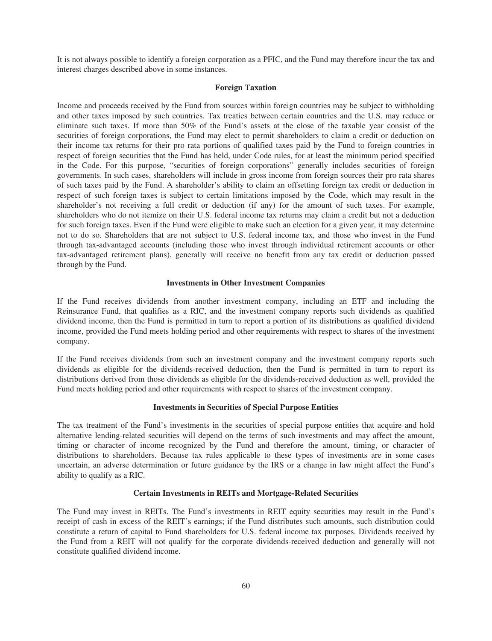It is not always possible to identify a foreign corporation as a PFIC, and the Fund may therefore incur the tax and interest charges described above in some instances.

## **Foreign Taxation**

Income and proceeds received by the Fund from sources within foreign countries may be subject to withholding and other taxes imposed by such countries. Tax treaties between certain countries and the U.S. may reduce or eliminate such taxes. If more than 50% of the Fund's assets at the close of the taxable year consist of the securities of foreign corporations, the Fund may elect to permit shareholders to claim a credit or deduction on their income tax returns for their pro rata portions of qualified taxes paid by the Fund to foreign countries in respect of foreign securities that the Fund has held, under Code rules, for at least the minimum period specified in the Code. For this purpose, "securities of foreign corporations" generally includes securities of foreign governments. In such cases, shareholders will include in gross income from foreign sources their pro rata shares of such taxes paid by the Fund. A shareholder's ability to claim an offsetting foreign tax credit or deduction in respect of such foreign taxes is subject to certain limitations imposed by the Code, which may result in the shareholder's not receiving a full credit or deduction (if any) for the amount of such taxes. For example, shareholders who do not itemize on their U.S. federal income tax returns may claim a credit but not a deduction for such foreign taxes. Even if the Fund were eligible to make such an election for a given year, it may determine not to do so. Shareholders that are not subject to U.S. federal income tax, and those who invest in the Fund through tax-advantaged accounts (including those who invest through individual retirement accounts or other tax-advantaged retirement plans), generally will receive no benefit from any tax credit or deduction passed through by the Fund.

## **Investments in Other Investment Companies**

If the Fund receives dividends from another investment company, including an ETF and including the Reinsurance Fund, that qualifies as a RIC, and the investment company reports such dividends as qualified dividend income, then the Fund is permitted in turn to report a portion of its distributions as qualified dividend income, provided the Fund meets holding period and other requirements with respect to shares of the investment company.

If the Fund receives dividends from such an investment company and the investment company reports such dividends as eligible for the dividends-received deduction, then the Fund is permitted in turn to report its distributions derived from those dividends as eligible for the dividends-received deduction as well, provided the Fund meets holding period and other requirements with respect to shares of the investment company.

### **Investments in Securities of Special Purpose Entities**

The tax treatment of the Fund's investments in the securities of special purpose entities that acquire and hold alternative lending-related securities will depend on the terms of such investments and may affect the amount, timing or character of income recognized by the Fund and therefore the amount, timing, or character of distributions to shareholders. Because tax rules applicable to these types of investments are in some cases uncertain, an adverse determination or future guidance by the IRS or a change in law might affect the Fund's ability to qualify as a RIC.

## **Certain Investments in REITs and Mortgage-Related Securities**

The Fund may invest in REITs. The Fund's investments in REIT equity securities may result in the Fund's receipt of cash in excess of the REIT's earnings; if the Fund distributes such amounts, such distribution could constitute a return of capital to Fund shareholders for U.S. federal income tax purposes. Dividends received by the Fund from a REIT will not qualify for the corporate dividends-received deduction and generally will not constitute qualified dividend income.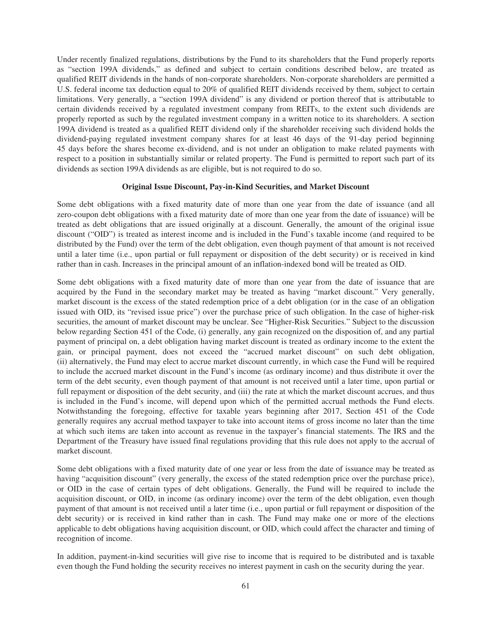Under recently finalized regulations, distributions by the Fund to its shareholders that the Fund properly reports as "section 199A dividends," as defined and subject to certain conditions described below, are treated as qualified REIT dividends in the hands of non-corporate shareholders. Non-corporate shareholders are permitted a U.S. federal income tax deduction equal to 20% of qualified REIT dividends received by them, subject to certain limitations. Very generally, a "section 199A dividend" is any dividend or portion thereof that is attributable to certain dividends received by a regulated investment company from REITs, to the extent such dividends are properly reported as such by the regulated investment company in a written notice to its shareholders. A section 199A dividend is treated as a qualified REIT dividend only if the shareholder receiving such dividend holds the dividend-paying regulated investment company shares for at least 46 days of the 91-day period beginning 45 days before the shares become ex-dividend, and is not under an obligation to make related payments with respect to a position in substantially similar or related property. The Fund is permitted to report such part of its dividends as section 199A dividends as are eligible, but is not required to do so.

## **Original Issue Discount, Pay-in-Kind Securities, and Market Discount**

Some debt obligations with a fixed maturity date of more than one year from the date of issuance (and all zero-coupon debt obligations with a fixed maturity date of more than one year from the date of issuance) will be treated as debt obligations that are issued originally at a discount. Generally, the amount of the original issue discount ("OID") is treated as interest income and is included in the Fund's taxable income (and required to be distributed by the Fund) over the term of the debt obligation, even though payment of that amount is not received until a later time (i.e., upon partial or full repayment or disposition of the debt security) or is received in kind rather than in cash. Increases in the principal amount of an inflation-indexed bond will be treated as OID.

Some debt obligations with a fixed maturity date of more than one year from the date of issuance that are acquired by the Fund in the secondary market may be treated as having "market discount." Very generally, market discount is the excess of the stated redemption price of a debt obligation (or in the case of an obligation issued with OID, its "revised issue price") over the purchase price of such obligation. In the case of higher-risk securities, the amount of market discount may be unclear. See "Higher-Risk Securities." Subject to the discussion below regarding Section 451 of the Code, (i) generally, any gain recognized on the disposition of, and any partial payment of principal on, a debt obligation having market discount is treated as ordinary income to the extent the gain, or principal payment, does not exceed the "accrued market discount" on such debt obligation, (ii) alternatively, the Fund may elect to accrue market discount currently, in which case the Fund will be required to include the accrued market discount in the Fund's income (as ordinary income) and thus distribute it over the term of the debt security, even though payment of that amount is not received until a later time, upon partial or full repayment or disposition of the debt security, and (iii) the rate at which the market discount accrues, and thus is included in the Fund's income, will depend upon which of the permitted accrual methods the Fund elects. Notwithstanding the foregoing, effective for taxable years beginning after 2017, Section 451 of the Code generally requires any accrual method taxpayer to take into account items of gross income no later than the time at which such items are taken into account as revenue in the taxpayer's financial statements. The IRS and the Department of the Treasury have issued final regulations providing that this rule does not apply to the accrual of market discount.

Some debt obligations with a fixed maturity date of one year or less from the date of issuance may be treated as having "acquisition discount" (very generally, the excess of the stated redemption price over the purchase price), or OID in the case of certain types of debt obligations. Generally, the Fund will be required to include the acquisition discount, or OID, in income (as ordinary income) over the term of the debt obligation, even though payment of that amount is not received until a later time (i.e., upon partial or full repayment or disposition of the debt security) or is received in kind rather than in cash. The Fund may make one or more of the elections applicable to debt obligations having acquisition discount, or OID, which could affect the character and timing of recognition of income.

In addition, payment-in-kind securities will give rise to income that is required to be distributed and is taxable even though the Fund holding the security receives no interest payment in cash on the security during the year.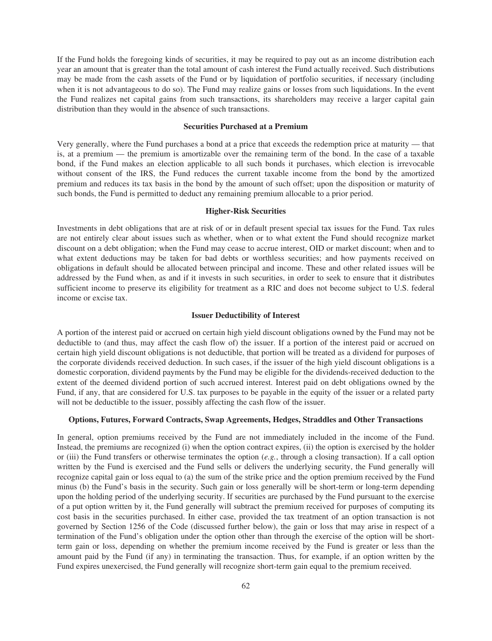If the Fund holds the foregoing kinds of securities, it may be required to pay out as an income distribution each year an amount that is greater than the total amount of cash interest the Fund actually received. Such distributions may be made from the cash assets of the Fund or by liquidation of portfolio securities, if necessary (including when it is not advantageous to do so). The Fund may realize gains or losses from such liquidations. In the event the Fund realizes net capital gains from such transactions, its shareholders may receive a larger capital gain distribution than they would in the absence of such transactions.

## **Securities Purchased at a Premium**

Very generally, where the Fund purchases a bond at a price that exceeds the redemption price at maturity — that is, at a premium — the premium is amortizable over the remaining term of the bond. In the case of a taxable bond, if the Fund makes an election applicable to all such bonds it purchases, which election is irrevocable without consent of the IRS, the Fund reduces the current taxable income from the bond by the amortized premium and reduces its tax basis in the bond by the amount of such offset; upon the disposition or maturity of such bonds, the Fund is permitted to deduct any remaining premium allocable to a prior period.

## **Higher-Risk Securities**

Investments in debt obligations that are at risk of or in default present special tax issues for the Fund. Tax rules are not entirely clear about issues such as whether, when or to what extent the Fund should recognize market discount on a debt obligation; when the Fund may cease to accrue interest, OID or market discount; when and to what extent deductions may be taken for bad debts or worthless securities; and how payments received on obligations in default should be allocated between principal and income. These and other related issues will be addressed by the Fund when, as and if it invests in such securities, in order to seek to ensure that it distributes sufficient income to preserve its eligibility for treatment as a RIC and does not become subject to U.S. federal income or excise tax.

#### **Issuer Deductibility of Interest**

A portion of the interest paid or accrued on certain high yield discount obligations owned by the Fund may not be deductible to (and thus, may affect the cash flow of) the issuer. If a portion of the interest paid or accrued on certain high yield discount obligations is not deductible, that portion will be treated as a dividend for purposes of the corporate dividends received deduction. In such cases, if the issuer of the high yield discount obligations is a domestic corporation, dividend payments by the Fund may be eligible for the dividends-received deduction to the extent of the deemed dividend portion of such accrued interest. Interest paid on debt obligations owned by the Fund, if any, that are considered for U.S. tax purposes to be payable in the equity of the issuer or a related party will not be deductible to the issuer, possibly affecting the cash flow of the issuer.

## **Options, Futures, Forward Contracts, Swap Agreements, Hedges, Straddles and Other Transactions**

In general, option premiums received by the Fund are not immediately included in the income of the Fund. Instead, the premiums are recognized (i) when the option contract expires, (ii) the option is exercised by the holder or (iii) the Fund transfers or otherwise terminates the option  $(e.g., throughta$  a closing transaction). If a call option written by the Fund is exercised and the Fund sells or delivers the underlying security, the Fund generally will recognize capital gain or loss equal to (a) the sum of the strike price and the option premium received by the Fund minus (b) the Fund's basis in the security. Such gain or loss generally will be short-term or long-term depending upon the holding period of the underlying security. If securities are purchased by the Fund pursuant to the exercise of a put option written by it, the Fund generally will subtract the premium received for purposes of computing its cost basis in the securities purchased. In either case, provided the tax treatment of an option transaction is not governed by Section 1256 of the Code (discussed further below), the gain or loss that may arise in respect of a termination of the Fund's obligation under the option other than through the exercise of the option will be shortterm gain or loss, depending on whether the premium income received by the Fund is greater or less than the amount paid by the Fund (if any) in terminating the transaction. Thus, for example, if an option written by the Fund expires unexercised, the Fund generally will recognize short-term gain equal to the premium received.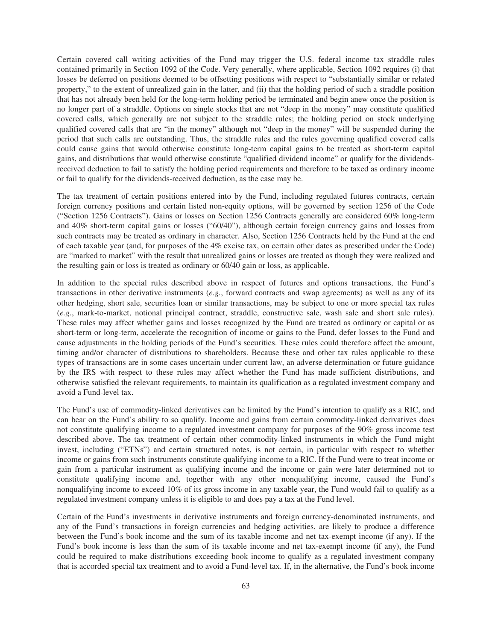Certain covered call writing activities of the Fund may trigger the U.S. federal income tax straddle rules contained primarily in Section 1092 of the Code. Very generally, where applicable, Section 1092 requires (i) that losses be deferred on positions deemed to be offsetting positions with respect to "substantially similar or related property," to the extent of unrealized gain in the latter, and (ii) that the holding period of such a straddle position that has not already been held for the long-term holding period be terminated and begin anew once the position is no longer part of a straddle. Options on single stocks that are not "deep in the money" may constitute qualified covered calls, which generally are not subject to the straddle rules; the holding period on stock underlying qualified covered calls that are "in the money" although not "deep in the money" will be suspended during the period that such calls are outstanding. Thus, the straddle rules and the rules governing qualified covered calls could cause gains that would otherwise constitute long-term capital gains to be treated as short-term capital gains, and distributions that would otherwise constitute "qualified dividend income" or qualify for the dividendsreceived deduction to fail to satisfy the holding period requirements and therefore to be taxed as ordinary income or fail to qualify for the dividends-received deduction, as the case may be.

The tax treatment of certain positions entered into by the Fund, including regulated futures contracts, certain foreign currency positions and certain listed non-equity options, will be governed by section 1256 of the Code ("Section 1256 Contracts"). Gains or losses on Section 1256 Contracts generally are considered 60% long-term and 40% short-term capital gains or losses ("60/40"), although certain foreign currency gains and losses from such contracts may be treated as ordinary in character. Also, Section 1256 Contracts held by the Fund at the end of each taxable year (and, for purposes of the 4% excise tax, on certain other dates as prescribed under the Code) are "marked to market" with the result that unrealized gains or losses are treated as though they were realized and the resulting gain or loss is treated as ordinary or 60/40 gain or loss, as applicable.

In addition to the special rules described above in respect of futures and options transactions, the Fund's transactions in other derivative instruments (*e.g.*, forward contracts and swap agreements) as well as any of its other hedging, short sale, securities loan or similar transactions, may be subject to one or more special tax rules (*e.g.*, mark-to-market, notional principal contract, straddle, constructive sale, wash sale and short sale rules). These rules may affect whether gains and losses recognized by the Fund are treated as ordinary or capital or as short-term or long-term, accelerate the recognition of income or gains to the Fund, defer losses to the Fund and cause adjustments in the holding periods of the Fund's securities. These rules could therefore affect the amount, timing and/or character of distributions to shareholders. Because these and other tax rules applicable to these types of transactions are in some cases uncertain under current law, an adverse determination or future guidance by the IRS with respect to these rules may affect whether the Fund has made sufficient distributions, and otherwise satisfied the relevant requirements, to maintain its qualification as a regulated investment company and avoid a Fund-level tax.

The Fund's use of commodity-linked derivatives can be limited by the Fund's intention to qualify as a RIC, and can bear on the Fund's ability to so qualify. Income and gains from certain commodity-linked derivatives does not constitute qualifying income to a regulated investment company for purposes of the 90% gross income test described above. The tax treatment of certain other commodity-linked instruments in which the Fund might invest, including ("ETNs") and certain structured notes, is not certain, in particular with respect to whether income or gains from such instruments constitute qualifying income to a RIC. If the Fund were to treat income or gain from a particular instrument as qualifying income and the income or gain were later determined not to constitute qualifying income and, together with any other nonqualifying income, caused the Fund's nonqualifying income to exceed 10% of its gross income in any taxable year, the Fund would fail to qualify as a regulated investment company unless it is eligible to and does pay a tax at the Fund level.

Certain of the Fund's investments in derivative instruments and foreign currency-denominated instruments, and any of the Fund's transactions in foreign currencies and hedging activities, are likely to produce a difference between the Fund's book income and the sum of its taxable income and net tax-exempt income (if any). If the Fund's book income is less than the sum of its taxable income and net tax-exempt income (if any), the Fund could be required to make distributions exceeding book income to qualify as a regulated investment company that is accorded special tax treatment and to avoid a Fund-level tax. If, in the alternative, the Fund's book income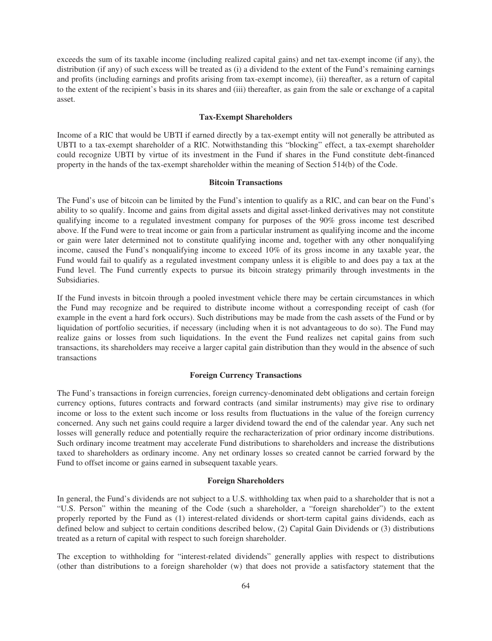exceeds the sum of its taxable income (including realized capital gains) and net tax-exempt income (if any), the distribution (if any) of such excess will be treated as (i) a dividend to the extent of the Fund's remaining earnings and profits (including earnings and profits arising from tax-exempt income), (ii) thereafter, as a return of capital to the extent of the recipient's basis in its shares and (iii) thereafter, as gain from the sale or exchange of a capital asset.

#### **Tax-Exempt Shareholders**

Income of a RIC that would be UBTI if earned directly by a tax-exempt entity will not generally be attributed as UBTI to a tax-exempt shareholder of a RIC. Notwithstanding this "blocking" effect, a tax-exempt shareholder could recognize UBTI by virtue of its investment in the Fund if shares in the Fund constitute debt-financed property in the hands of the tax-exempt shareholder within the meaning of Section 514(b) of the Code.

## **Bitcoin Transactions**

The Fund's use of bitcoin can be limited by the Fund's intention to qualify as a RIC, and can bear on the Fund's ability to so qualify. Income and gains from digital assets and digital asset-linked derivatives may not constitute qualifying income to a regulated investment company for purposes of the 90% gross income test described above. If the Fund were to treat income or gain from a particular instrument as qualifying income and the income or gain were later determined not to constitute qualifying income and, together with any other nonqualifying income, caused the Fund's nonqualifying income to exceed 10% of its gross income in any taxable year, the Fund would fail to qualify as a regulated investment company unless it is eligible to and does pay a tax at the Fund level. The Fund currently expects to pursue its bitcoin strategy primarily through investments in the Subsidiaries.

If the Fund invests in bitcoin through a pooled investment vehicle there may be certain circumstances in which the Fund may recognize and be required to distribute income without a corresponding receipt of cash (for example in the event a hard fork occurs). Such distributions may be made from the cash assets of the Fund or by liquidation of portfolio securities, if necessary (including when it is not advantageous to do so). The Fund may realize gains or losses from such liquidations. In the event the Fund realizes net capital gains from such transactions, its shareholders may receive a larger capital gain distribution than they would in the absence of such transactions

## **Foreign Currency Transactions**

The Fund's transactions in foreign currencies, foreign currency-denominated debt obligations and certain foreign currency options, futures contracts and forward contracts (and similar instruments) may give rise to ordinary income or loss to the extent such income or loss results from fluctuations in the value of the foreign currency concerned. Any such net gains could require a larger dividend toward the end of the calendar year. Any such net losses will generally reduce and potentially require the recharacterization of prior ordinary income distributions. Such ordinary income treatment may accelerate Fund distributions to shareholders and increase the distributions taxed to shareholders as ordinary income. Any net ordinary losses so created cannot be carried forward by the Fund to offset income or gains earned in subsequent taxable years.

## **Foreign Shareholders**

In general, the Fund's dividends are not subject to a U.S. withholding tax when paid to a shareholder that is not a "U.S. Person" within the meaning of the Code (such a shareholder, a "foreign shareholder") to the extent properly reported by the Fund as (1) interest-related dividends or short-term capital gains dividends, each as defined below and subject to certain conditions described below, (2) Capital Gain Dividends or (3) distributions treated as a return of capital with respect to such foreign shareholder.

The exception to withholding for "interest-related dividends" generally applies with respect to distributions (other than distributions to a foreign shareholder (w) that does not provide a satisfactory statement that the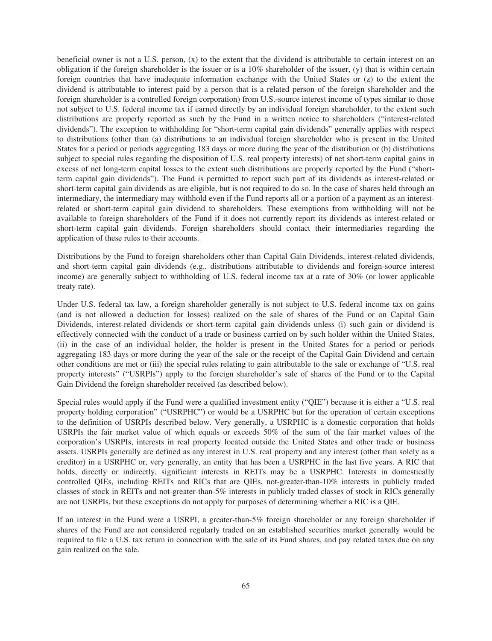beneficial owner is not a U.S. person, (x) to the extent that the dividend is attributable to certain interest on an obligation if the foreign shareholder is the issuer or is a 10% shareholder of the issuer, (y) that is within certain foreign countries that have inadequate information exchange with the United States or (z) to the extent the dividend is attributable to interest paid by a person that is a related person of the foreign shareholder and the foreign shareholder is a controlled foreign corporation) from U.S.-source interest income of types similar to those not subject to U.S. federal income tax if earned directly by an individual foreign shareholder, to the extent such distributions are properly reported as such by the Fund in a written notice to shareholders ("interest-related dividends"). The exception to withholding for "short-term capital gain dividends" generally applies with respect to distributions (other than (a) distributions to an individual foreign shareholder who is present in the United States for a period or periods aggregating 183 days or more during the year of the distribution or (b) distributions subject to special rules regarding the disposition of U.S. real property interests) of net short-term capital gains in excess of net long-term capital losses to the extent such distributions are properly reported by the Fund ("shortterm capital gain dividends"). The Fund is permitted to report such part of its dividends as interest-related or short-term capital gain dividends as are eligible, but is not required to do so. In the case of shares held through an intermediary, the intermediary may withhold even if the Fund reports all or a portion of a payment as an interestrelated or short-term capital gain dividend to shareholders. These exemptions from withholding will not be available to foreign shareholders of the Fund if it does not currently report its dividends as interest-related or short-term capital gain dividends. Foreign shareholders should contact their intermediaries regarding the application of these rules to their accounts.

Distributions by the Fund to foreign shareholders other than Capital Gain Dividends, interest-related dividends, and short-term capital gain dividends (e.g., distributions attributable to dividends and foreign-source interest income) are generally subject to withholding of U.S. federal income tax at a rate of 30% (or lower applicable treaty rate).

Under U.S. federal tax law, a foreign shareholder generally is not subject to U.S. federal income tax on gains (and is not allowed a deduction for losses) realized on the sale of shares of the Fund or on Capital Gain Dividends, interest-related dividends or short-term capital gain dividends unless (i) such gain or dividend is effectively connected with the conduct of a trade or business carried on by such holder within the United States, (ii) in the case of an individual holder, the holder is present in the United States for a period or periods aggregating 183 days or more during the year of the sale or the receipt of the Capital Gain Dividend and certain other conditions are met or (iii) the special rules relating to gain attributable to the sale or exchange of "U.S. real property interests" ("USRPIs") apply to the foreign shareholder's sale of shares of the Fund or to the Capital Gain Dividend the foreign shareholder received (as described below).

Special rules would apply if the Fund were a qualified investment entity ("QIE") because it is either a "U.S. real property holding corporation" ("USRPHC") or would be a USRPHC but for the operation of certain exceptions to the definition of USRPIs described below. Very generally, a USRPHC is a domestic corporation that holds USRPIs the fair market value of which equals or exceeds 50% of the sum of the fair market values of the corporation's USRPIs, interests in real property located outside the United States and other trade or business assets. USRPIs generally are defined as any interest in U.S. real property and any interest (other than solely as a creditor) in a USRPHC or, very generally, an entity that has been a USRPHC in the last five years. A RIC that holds, directly or indirectly, significant interests in REITs may be a USRPHC. Interests in domestically controlled QIEs, including REITs and RICs that are QIEs, not-greater-than-10% interests in publicly traded classes of stock in REITs and not-greater-than-5% interests in publicly traded classes of stock in RICs generally are not USRPIs, but these exceptions do not apply for purposes of determining whether a RIC is a QIE.

If an interest in the Fund were a USRPI, a greater-than-5% foreign shareholder or any foreign shareholder if shares of the Fund are not considered regularly traded on an established securities market generally would be required to file a U.S. tax return in connection with the sale of its Fund shares, and pay related taxes due on any gain realized on the sale.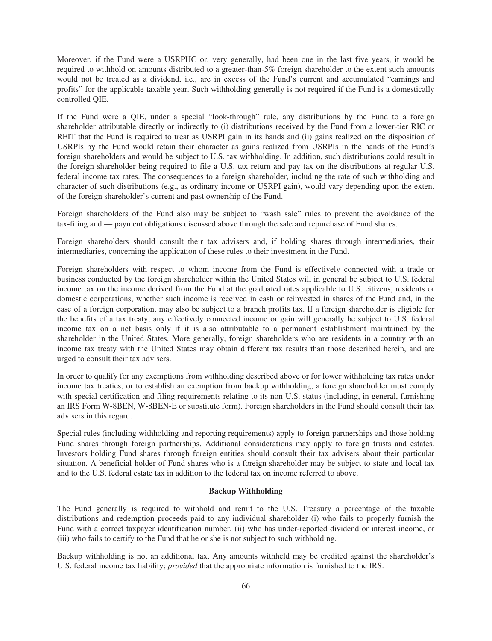Moreover, if the Fund were a USRPHC or, very generally, had been one in the last five years, it would be required to withhold on amounts distributed to a greater-than-5% foreign shareholder to the extent such amounts would not be treated as a dividend, i.e., are in excess of the Fund's current and accumulated "earnings and profits" for the applicable taxable year. Such withholding generally is not required if the Fund is a domestically controlled QIE.

If the Fund were a QIE, under a special "look-through" rule, any distributions by the Fund to a foreign shareholder attributable directly or indirectly to (i) distributions received by the Fund from a lower-tier RIC or REIT that the Fund is required to treat as USRPI gain in its hands and (ii) gains realized on the disposition of USRPIs by the Fund would retain their character as gains realized from USRPIs in the hands of the Fund's foreign shareholders and would be subject to U.S. tax withholding. In addition, such distributions could result in the foreign shareholder being required to file a U.S. tax return and pay tax on the distributions at regular U.S. federal income tax rates. The consequences to a foreign shareholder, including the rate of such withholding and character of such distributions (e.g., as ordinary income or USRPI gain), would vary depending upon the extent of the foreign shareholder's current and past ownership of the Fund.

Foreign shareholders of the Fund also may be subject to "wash sale" rules to prevent the avoidance of the tax-filing and — payment obligations discussed above through the sale and repurchase of Fund shares.

Foreign shareholders should consult their tax advisers and, if holding shares through intermediaries, their intermediaries, concerning the application of these rules to their investment in the Fund.

Foreign shareholders with respect to whom income from the Fund is effectively connected with a trade or business conducted by the foreign shareholder within the United States will in general be subject to U.S. federal income tax on the income derived from the Fund at the graduated rates applicable to U.S. citizens, residents or domestic corporations, whether such income is received in cash or reinvested in shares of the Fund and, in the case of a foreign corporation, may also be subject to a branch profits tax. If a foreign shareholder is eligible for the benefits of a tax treaty, any effectively connected income or gain will generally be subject to U.S. federal income tax on a net basis only if it is also attributable to a permanent establishment maintained by the shareholder in the United States. More generally, foreign shareholders who are residents in a country with an income tax treaty with the United States may obtain different tax results than those described herein, and are urged to consult their tax advisers.

In order to qualify for any exemptions from withholding described above or for lower withholding tax rates under income tax treaties, or to establish an exemption from backup withholding, a foreign shareholder must comply with special certification and filing requirements relating to its non-U.S. status (including, in general, furnishing an IRS Form W-8BEN, W-8BEN-E or substitute form). Foreign shareholders in the Fund should consult their tax advisers in this regard.

Special rules (including withholding and reporting requirements) apply to foreign partnerships and those holding Fund shares through foreign partnerships. Additional considerations may apply to foreign trusts and estates. Investors holding Fund shares through foreign entities should consult their tax advisers about their particular situation. A beneficial holder of Fund shares who is a foreign shareholder may be subject to state and local tax and to the U.S. federal estate tax in addition to the federal tax on income referred to above.

#### **Backup Withholding**

The Fund generally is required to withhold and remit to the U.S. Treasury a percentage of the taxable distributions and redemption proceeds paid to any individual shareholder (i) who fails to properly furnish the Fund with a correct taxpayer identification number, (ii) who has under-reported dividend or interest income, or (iii) who fails to certify to the Fund that he or she is not subject to such withholding.

Backup withholding is not an additional tax. Any amounts withheld may be credited against the shareholder's U.S. federal income tax liability; *provided* that the appropriate information is furnished to the IRS.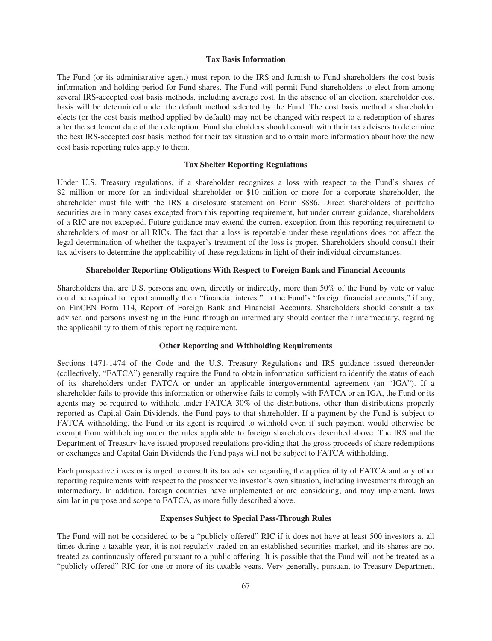### **Tax Basis Information**

The Fund (or its administrative agent) must report to the IRS and furnish to Fund shareholders the cost basis information and holding period for Fund shares. The Fund will permit Fund shareholders to elect from among several IRS-accepted cost basis methods, including average cost. In the absence of an election, shareholder cost basis will be determined under the default method selected by the Fund. The cost basis method a shareholder elects (or the cost basis method applied by default) may not be changed with respect to a redemption of shares after the settlement date of the redemption. Fund shareholders should consult with their tax advisers to determine the best IRS-accepted cost basis method for their tax situation and to obtain more information about how the new cost basis reporting rules apply to them.

## **Tax Shelter Reporting Regulations**

Under U.S. Treasury regulations, if a shareholder recognizes a loss with respect to the Fund's shares of \$2 million or more for an individual shareholder or \$10 million or more for a corporate shareholder, the shareholder must file with the IRS a disclosure statement on Form 8886. Direct shareholders of portfolio securities are in many cases excepted from this reporting requirement, but under current guidance, shareholders of a RIC are not excepted. Future guidance may extend the current exception from this reporting requirement to shareholders of most or all RICs. The fact that a loss is reportable under these regulations does not affect the legal determination of whether the taxpayer's treatment of the loss is proper. Shareholders should consult their tax advisers to determine the applicability of these regulations in light of their individual circumstances.

## **Shareholder Reporting Obligations With Respect to Foreign Bank and Financial Accounts**

Shareholders that are U.S. persons and own, directly or indirectly, more than 50% of the Fund by vote or value could be required to report annually their "financial interest" in the Fund's "foreign financial accounts," if any, on FinCEN Form 114, Report of Foreign Bank and Financial Accounts. Shareholders should consult a tax adviser, and persons investing in the Fund through an intermediary should contact their intermediary, regarding the applicability to them of this reporting requirement.

## **Other Reporting and Withholding Requirements**

Sections 1471-1474 of the Code and the U.S. Treasury Regulations and IRS guidance issued thereunder (collectively, "FATCA") generally require the Fund to obtain information sufficient to identify the status of each of its shareholders under FATCA or under an applicable intergovernmental agreement (an "IGA"). If a shareholder fails to provide this information or otherwise fails to comply with FATCA or an IGA, the Fund or its agents may be required to withhold under FATCA 30% of the distributions, other than distributions properly reported as Capital Gain Dividends, the Fund pays to that shareholder. If a payment by the Fund is subject to FATCA withholding, the Fund or its agent is required to withhold even if such payment would otherwise be exempt from withholding under the rules applicable to foreign shareholders described above. The IRS and the Department of Treasury have issued proposed regulations providing that the gross proceeds of share redemptions or exchanges and Capital Gain Dividends the Fund pays will not be subject to FATCA withholding.

Each prospective investor is urged to consult its tax adviser regarding the applicability of FATCA and any other reporting requirements with respect to the prospective investor's own situation, including investments through an intermediary. In addition, foreign countries have implemented or are considering, and may implement, laws similar in purpose and scope to FATCA, as more fully described above.

## **Expenses Subject to Special Pass-Through Rules**

The Fund will not be considered to be a "publicly offered" RIC if it does not have at least 500 investors at all times during a taxable year, it is not regularly traded on an established securities market, and its shares are not treated as continuously offered pursuant to a public offering. It is possible that the Fund will not be treated as a "publicly offered" RIC for one or more of its taxable years. Very generally, pursuant to Treasury Department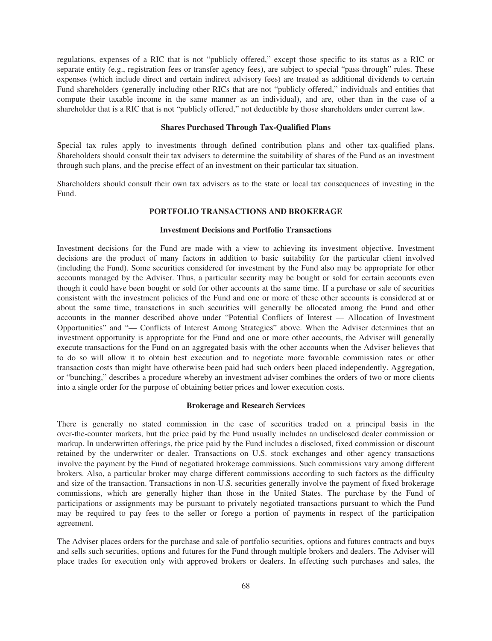regulations, expenses of a RIC that is not "publicly offered," except those specific to its status as a RIC or separate entity (e.g., registration fees or transfer agency fees), are subject to special "pass-through" rules. These expenses (which include direct and certain indirect advisory fees) are treated as additional dividends to certain Fund shareholders (generally including other RICs that are not "publicly offered," individuals and entities that compute their taxable income in the same manner as an individual), and are, other than in the case of a shareholder that is a RIC that is not "publicly offered," not deductible by those shareholders under current law.

## **Shares Purchased Through Tax-Qualified Plans**

Special tax rules apply to investments through defined contribution plans and other tax-qualified plans. Shareholders should consult their tax advisers to determine the suitability of shares of the Fund as an investment through such plans, and the precise effect of an investment on their particular tax situation.

Shareholders should consult their own tax advisers as to the state or local tax consequences of investing in the Fund.

## **PORTFOLIO TRANSACTIONS AND BROKERAGE**

## **Investment Decisions and Portfolio Transactions**

Investment decisions for the Fund are made with a view to achieving its investment objective. Investment decisions are the product of many factors in addition to basic suitability for the particular client involved (including the Fund). Some securities considered for investment by the Fund also may be appropriate for other accounts managed by the Adviser. Thus, a particular security may be bought or sold for certain accounts even though it could have been bought or sold for other accounts at the same time. If a purchase or sale of securities consistent with the investment policies of the Fund and one or more of these other accounts is considered at or about the same time, transactions in such securities will generally be allocated among the Fund and other accounts in the manner described above under "Potential Conflicts of Interest — Allocation of Investment Opportunities" and "— Conflicts of Interest Among Strategies" above. When the Adviser determines that an investment opportunity is appropriate for the Fund and one or more other accounts, the Adviser will generally execute transactions for the Fund on an aggregated basis with the other accounts when the Adviser believes that to do so will allow it to obtain best execution and to negotiate more favorable commission rates or other transaction costs than might have otherwise been paid had such orders been placed independently. Aggregation, or "bunching," describes a procedure whereby an investment adviser combines the orders of two or more clients into a single order for the purpose of obtaining better prices and lower execution costs.

## **Brokerage and Research Services**

There is generally no stated commission in the case of securities traded on a principal basis in the over-the-counter markets, but the price paid by the Fund usually includes an undisclosed dealer commission or markup. In underwritten offerings, the price paid by the Fund includes a disclosed, fixed commission or discount retained by the underwriter or dealer. Transactions on U.S. stock exchanges and other agency transactions involve the payment by the Fund of negotiated brokerage commissions. Such commissions vary among different brokers. Also, a particular broker may charge different commissions according to such factors as the difficulty and size of the transaction. Transactions in non-U.S. securities generally involve the payment of fixed brokerage commissions, which are generally higher than those in the United States. The purchase by the Fund of participations or assignments may be pursuant to privately negotiated transactions pursuant to which the Fund may be required to pay fees to the seller or forego a portion of payments in respect of the participation agreement.

The Adviser places orders for the purchase and sale of portfolio securities, options and futures contracts and buys and sells such securities, options and futures for the Fund through multiple brokers and dealers. The Adviser will place trades for execution only with approved brokers or dealers. In effecting such purchases and sales, the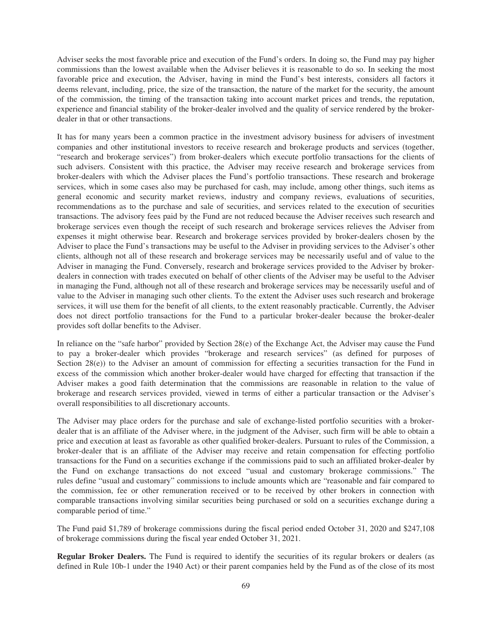Adviser seeks the most favorable price and execution of the Fund's orders. In doing so, the Fund may pay higher commissions than the lowest available when the Adviser believes it is reasonable to do so. In seeking the most favorable price and execution, the Adviser, having in mind the Fund's best interests, considers all factors it deems relevant, including, price, the size of the transaction, the nature of the market for the security, the amount of the commission, the timing of the transaction taking into account market prices and trends, the reputation, experience and financial stability of the broker-dealer involved and the quality of service rendered by the brokerdealer in that or other transactions.

It has for many years been a common practice in the investment advisory business for advisers of investment companies and other institutional investors to receive research and brokerage products and services (together, "research and brokerage services") from broker-dealers which execute portfolio transactions for the clients of such advisers. Consistent with this practice, the Adviser may receive research and brokerage services from broker-dealers with which the Adviser places the Fund's portfolio transactions. These research and brokerage services, which in some cases also may be purchased for cash, may include, among other things, such items as general economic and security market reviews, industry and company reviews, evaluations of securities, recommendations as to the purchase and sale of securities, and services related to the execution of securities transactions. The advisory fees paid by the Fund are not reduced because the Adviser receives such research and brokerage services even though the receipt of such research and brokerage services relieves the Adviser from expenses it might otherwise bear. Research and brokerage services provided by broker-dealers chosen by the Adviser to place the Fund's transactions may be useful to the Adviser in providing services to the Adviser's other clients, although not all of these research and brokerage services may be necessarily useful and of value to the Adviser in managing the Fund. Conversely, research and brokerage services provided to the Adviser by brokerdealers in connection with trades executed on behalf of other clients of the Adviser may be useful to the Adviser in managing the Fund, although not all of these research and brokerage services may be necessarily useful and of value to the Adviser in managing such other clients. To the extent the Adviser uses such research and brokerage services, it will use them for the benefit of all clients, to the extent reasonably practicable. Currently, the Adviser does not direct portfolio transactions for the Fund to a particular broker-dealer because the broker-dealer provides soft dollar benefits to the Adviser.

In reliance on the "safe harbor" provided by Section 28(e) of the Exchange Act, the Adviser may cause the Fund to pay a broker-dealer which provides "brokerage and research services" (as defined for purposes of Section  $28(e)$ ) to the Adviser an amount of commission for effecting a securities transaction for the Fund in excess of the commission which another broker-dealer would have charged for effecting that transaction if the Adviser makes a good faith determination that the commissions are reasonable in relation to the value of brokerage and research services provided, viewed in terms of either a particular transaction or the Adviser's overall responsibilities to all discretionary accounts.

The Adviser may place orders for the purchase and sale of exchange-listed portfolio securities with a brokerdealer that is an affiliate of the Adviser where, in the judgment of the Adviser, such firm will be able to obtain a price and execution at least as favorable as other qualified broker-dealers. Pursuant to rules of the Commission, a broker-dealer that is an affiliate of the Adviser may receive and retain compensation for effecting portfolio transactions for the Fund on a securities exchange if the commissions paid to such an affiliated broker-dealer by the Fund on exchange transactions do not exceed "usual and customary brokerage commissions." The rules define "usual and customary" commissions to include amounts which are "reasonable and fair compared to the commission, fee or other remuneration received or to be received by other brokers in connection with comparable transactions involving similar securities being purchased or sold on a securities exchange during a comparable period of time."

The Fund paid \$1,789 of brokerage commissions during the fiscal period ended October 31, 2020 and \$247,108 of brokerage commissions during the fiscal year ended October 31, 2021.

**Regular Broker Dealers.** The Fund is required to identify the securities of its regular brokers or dealers (as defined in Rule 10b-1 under the 1940 Act) or their parent companies held by the Fund as of the close of its most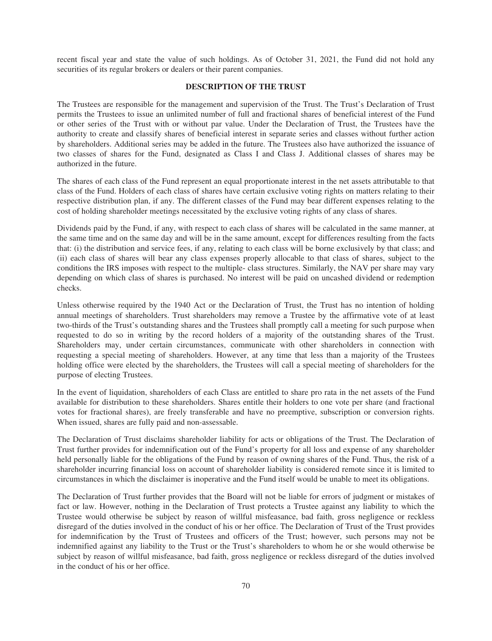recent fiscal year and state the value of such holdings. As of October 31, 2021, the Fund did not hold any securities of its regular brokers or dealers or their parent companies.

## **DESCRIPTION OF THE TRUST**

The Trustees are responsible for the management and supervision of the Trust. The Trust's Declaration of Trust permits the Trustees to issue an unlimited number of full and fractional shares of beneficial interest of the Fund or other series of the Trust with or without par value. Under the Declaration of Trust, the Trustees have the authority to create and classify shares of beneficial interest in separate series and classes without further action by shareholders. Additional series may be added in the future. The Trustees also have authorized the issuance of two classes of shares for the Fund, designated as Class I and Class J. Additional classes of shares may be authorized in the future.

The shares of each class of the Fund represent an equal proportionate interest in the net assets attributable to that class of the Fund. Holders of each class of shares have certain exclusive voting rights on matters relating to their respective distribution plan, if any. The different classes of the Fund may bear different expenses relating to the cost of holding shareholder meetings necessitated by the exclusive voting rights of any class of shares.

Dividends paid by the Fund, if any, with respect to each class of shares will be calculated in the same manner, at the same time and on the same day and will be in the same amount, except for differences resulting from the facts that: (i) the distribution and service fees, if any, relating to each class will be borne exclusively by that class; and (ii) each class of shares will bear any class expenses properly allocable to that class of shares, subject to the conditions the IRS imposes with respect to the multiple- class structures. Similarly, the NAV per share may vary depending on which class of shares is purchased. No interest will be paid on uncashed dividend or redemption checks.

Unless otherwise required by the 1940 Act or the Declaration of Trust, the Trust has no intention of holding annual meetings of shareholders. Trust shareholders may remove a Trustee by the affirmative vote of at least two-thirds of the Trust's outstanding shares and the Trustees shall promptly call a meeting for such purpose when requested to do so in writing by the record holders of a majority of the outstanding shares of the Trust. Shareholders may, under certain circumstances, communicate with other shareholders in connection with requesting a special meeting of shareholders. However, at any time that less than a majority of the Trustees holding office were elected by the shareholders, the Trustees will call a special meeting of shareholders for the purpose of electing Trustees.

In the event of liquidation, shareholders of each Class are entitled to share pro rata in the net assets of the Fund available for distribution to these shareholders. Shares entitle their holders to one vote per share (and fractional votes for fractional shares), are freely transferable and have no preemptive, subscription or conversion rights. When issued, shares are fully paid and non-assessable.

The Declaration of Trust disclaims shareholder liability for acts or obligations of the Trust. The Declaration of Trust further provides for indemnification out of the Fund's property for all loss and expense of any shareholder held personally liable for the obligations of the Fund by reason of owning shares of the Fund. Thus, the risk of a shareholder incurring financial loss on account of shareholder liability is considered remote since it is limited to circumstances in which the disclaimer is inoperative and the Fund itself would be unable to meet its obligations.

The Declaration of Trust further provides that the Board will not be liable for errors of judgment or mistakes of fact or law. However, nothing in the Declaration of Trust protects a Trustee against any liability to which the Trustee would otherwise be subject by reason of willful misfeasance, bad faith, gross negligence or reckless disregard of the duties involved in the conduct of his or her office. The Declaration of Trust of the Trust provides for indemnification by the Trust of Trustees and officers of the Trust; however, such persons may not be indemnified against any liability to the Trust or the Trust's shareholders to whom he or she would otherwise be subject by reason of willful misfeasance, bad faith, gross negligence or reckless disregard of the duties involved in the conduct of his or her office.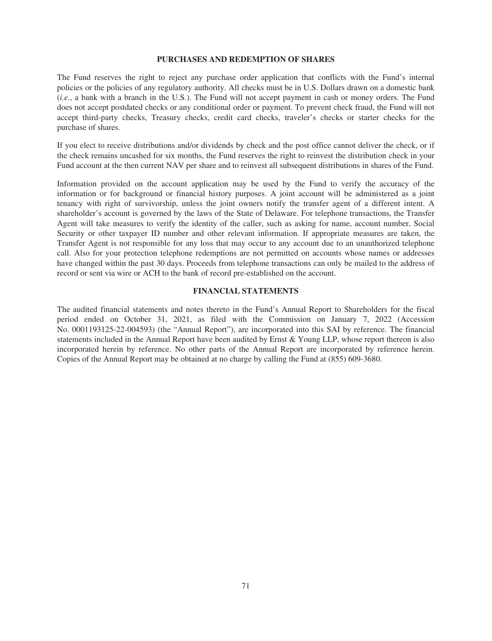#### **PURCHASES AND REDEMPTION OF SHARES**

The Fund reserves the right to reject any purchase order application that conflicts with the Fund's internal policies or the policies of any regulatory authority. All checks must be in U.S. Dollars drawn on a domestic bank (*i.e.*, a bank with a branch in the U.S.). The Fund will not accept payment in cash or money orders. The Fund does not accept postdated checks or any conditional order or payment. To prevent check fraud, the Fund will not accept third-party checks, Treasury checks, credit card checks, traveler's checks or starter checks for the purchase of shares.

If you elect to receive distributions and/or dividends by check and the post office cannot deliver the check, or if the check remains uncashed for six months, the Fund reserves the right to reinvest the distribution check in your Fund account at the then current NAV per share and to reinvest all subsequent distributions in shares of the Fund.

Information provided on the account application may be used by the Fund to verify the accuracy of the information or for background or financial history purposes. A joint account will be administered as a joint tenancy with right of survivorship, unless the joint owners notify the transfer agent of a different intent. A shareholder's account is governed by the laws of the State of Delaware. For telephone transactions, the Transfer Agent will take measures to verify the identity of the caller, such as asking for name, account number, Social Security or other taxpayer ID number and other relevant information. If appropriate measures are taken, the Transfer Agent is not responsible for any loss that may occur to any account due to an unauthorized telephone call. Also for your protection telephone redemptions are not permitted on accounts whose names or addresses have changed within the past 30 days. Proceeds from telephone transactions can only be mailed to the address of record or sent via wire or ACH to the bank of record pre-established on the account.

## **FINANCIAL STATEMENTS**

The audited financial statements and notes thereto in the Fund's Annual Report to Shareholders for the fiscal period ended on October 31, 2021, as filed with the Commission on January 7, 2022 (Accession No. 0001193125-22-004593) (the "Annual Report"), are incorporated into this SAI by reference. The financial statements included in the Annual Report have been audited by Ernst & Young LLP, whose report thereon is also incorporated herein by reference. No other parts of the Annual Report are incorporated by reference herein. Copies of the Annual Report may be obtained at no charge by calling the Fund at (855) 609-3680.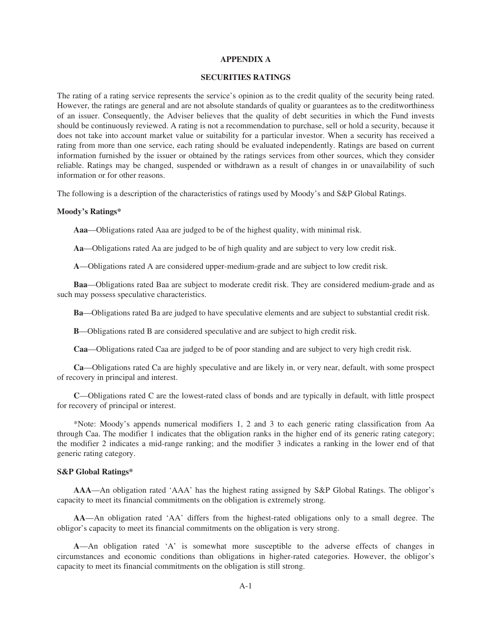#### **APPENDIX A**

## **SECURITIES RATINGS**

The rating of a rating service represents the service's opinion as to the credit quality of the security being rated. However, the ratings are general and are not absolute standards of quality or guarantees as to the creditworthiness of an issuer. Consequently, the Adviser believes that the quality of debt securities in which the Fund invests should be continuously reviewed. A rating is not a recommendation to purchase, sell or hold a security, because it does not take into account market value or suitability for a particular investor. When a security has received a rating from more than one service, each rating should be evaluated independently. Ratings are based on current information furnished by the issuer or obtained by the ratings services from other sources, which they consider reliable. Ratings may be changed, suspended or withdrawn as a result of changes in or unavailability of such information or for other reasons.

The following is a description of the characteristics of ratings used by Moody's and S&P Global Ratings.

#### **Moody's Ratings\***

**Aaa**—Obligations rated Aaa are judged to be of the highest quality, with minimal risk.

**Aa**—Obligations rated Aa are judged to be of high quality and are subject to very low credit risk.

**A**—Obligations rated A are considered upper-medium-grade and are subject to low credit risk.

**Baa**—Obligations rated Baa are subject to moderate credit risk. They are considered medium-grade and as such may possess speculative characteristics.

**Ba**—Obligations rated Ba are judged to have speculative elements and are subject to substantial credit risk.

**B**—Obligations rated B are considered speculative and are subject to high credit risk.

**Caa**—Obligations rated Caa are judged to be of poor standing and are subject to very high credit risk.

**Ca**—Obligations rated Ca are highly speculative and are likely in, or very near, default, with some prospect of recovery in principal and interest.

**C**—Obligations rated C are the lowest-rated class of bonds and are typically in default, with little prospect for recovery of principal or interest.

\*Note: Moody's appends numerical modifiers 1, 2 and 3 to each generic rating classification from Aa through Caa. The modifier 1 indicates that the obligation ranks in the higher end of its generic rating category; the modifier 2 indicates a mid-range ranking; and the modifier 3 indicates a ranking in the lower end of that generic rating category.

### **S&P Global Ratings\***

**AAA**—An obligation rated 'AAA' has the highest rating assigned by S&P Global Ratings. The obligor's capacity to meet its financial commitments on the obligation is extremely strong.

**AA**—An obligation rated 'AA' differs from the highest-rated obligations only to a small degree. The obligor's capacity to meet its financial commitments on the obligation is very strong.

**A**—An obligation rated 'A' is somewhat more susceptible to the adverse effects of changes in circumstances and economic conditions than obligations in higher-rated categories. However, the obligor's capacity to meet its financial commitments on the obligation is still strong.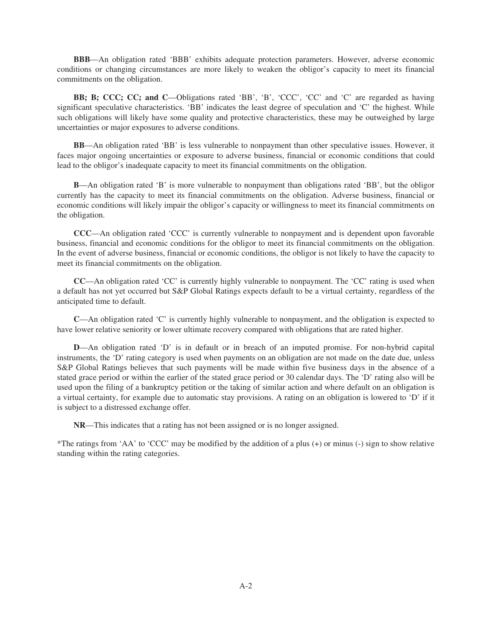**BBB**—An obligation rated 'BBB' exhibits adequate protection parameters. However, adverse economic conditions or changing circumstances are more likely to weaken the obligor's capacity to meet its financial commitments on the obligation.

**BB; B; CCC; CC; and C**—Obligations rated 'BB', 'B', 'CCC', 'CC' and 'C' are regarded as having significant speculative characteristics. 'BB' indicates the least degree of speculation and 'C' the highest. While such obligations will likely have some quality and protective characteristics, these may be outweighed by large uncertainties or major exposures to adverse conditions.

**BB**—An obligation rated 'BB' is less vulnerable to nonpayment than other speculative issues. However, it faces major ongoing uncertainties or exposure to adverse business, financial or economic conditions that could lead to the obligor's inadequate capacity to meet its financial commitments on the obligation.

**B**—An obligation rated 'B' is more vulnerable to nonpayment than obligations rated 'BB', but the obligor currently has the capacity to meet its financial commitments on the obligation. Adverse business, financial or economic conditions will likely impair the obligor's capacity or willingness to meet its financial commitments on the obligation.

**CCC**—An obligation rated 'CCC' is currently vulnerable to nonpayment and is dependent upon favorable business, financial and economic conditions for the obligor to meet its financial commitments on the obligation. In the event of adverse business, financial or economic conditions, the obligor is not likely to have the capacity to meet its financial commitments on the obligation.

**CC**—An obligation rated 'CC' is currently highly vulnerable to nonpayment. The 'CC' rating is used when a default has not yet occurred but S&P Global Ratings expects default to be a virtual certainty, regardless of the anticipated time to default.

**C—An obligation rated 'C' is currently highly vulnerable to nonpayment, and the obligation is expected to** have lower relative seniority or lower ultimate recovery compared with obligations that are rated higher.

**D**—An obligation rated 'D' is in default or in breach of an imputed promise. For non-hybrid capital instruments, the 'D' rating category is used when payments on an obligation are not made on the date due, unless S&P Global Ratings believes that such payments will be made within five business days in the absence of a stated grace period or within the earlier of the stated grace period or 30 calendar days. The 'D' rating also will be used upon the filing of a bankruptcy petition or the taking of similar action and where default on an obligation is a virtual certainty, for example due to automatic stay provisions. A rating on an obligation is lowered to 'D' if it is subject to a distressed exchange offer.

**NR**—This indicates that a rating has not been assigned or is no longer assigned.

\*The ratings from 'AA' to 'CCC' may be modified by the addition of a plus (+) or minus (-) sign to show relative standing within the rating categories.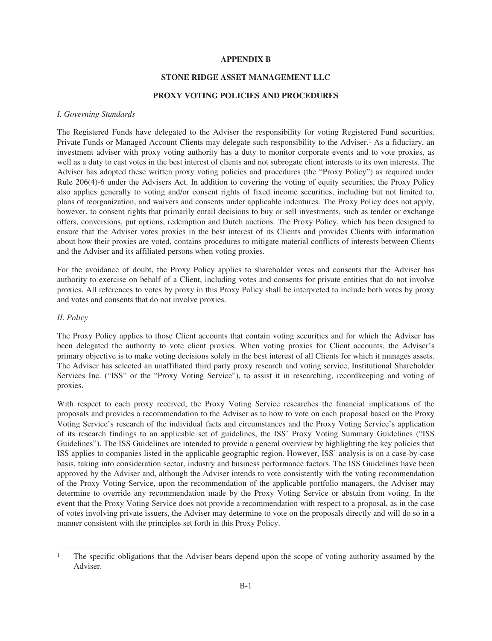## **APPENDIX B**

## **STONE RIDGE ASSET MANAGEMENT LLC**

## **PROXY VOTING POLICIES AND PROCEDURES**

### *I. Governing Standards*

The Registered Funds have delegated to the Adviser the responsibility for voting Registered Fund securities. Private Funds or Managed Account Clients may delegate such responsibility to the Adviser.<sup>1</sup> As a fiduciary, an investment adviser with proxy voting authority has a duty to monitor corporate events and to vote proxies, as well as a duty to cast votes in the best interest of clients and not subrogate client interests to its own interests. The Adviser has adopted these written proxy voting policies and procedures (the "Proxy Policy") as required under Rule 206(4)-6 under the Advisers Act. In addition to covering the voting of equity securities, the Proxy Policy also applies generally to voting and/or consent rights of fixed income securities, including but not limited to, plans of reorganization, and waivers and consents under applicable indentures. The Proxy Policy does not apply, however, to consent rights that primarily entail decisions to buy or sell investments, such as tender or exchange offers, conversions, put options, redemption and Dutch auctions. The Proxy Policy, which has been designed to ensure that the Adviser votes proxies in the best interest of its Clients and provides Clients with information about how their proxies are voted, contains procedures to mitigate material conflicts of interests between Clients and the Adviser and its affiliated persons when voting proxies.

For the avoidance of doubt, the Proxy Policy applies to shareholder votes and consents that the Adviser has authority to exercise on behalf of a Client, including votes and consents for private entities that do not involve proxies. All references to votes by proxy in this Proxy Policy shall be interpreted to include both votes by proxy and votes and consents that do not involve proxies.

### *II. Policy*

The Proxy Policy applies to those Client accounts that contain voting securities and for which the Adviser has been delegated the authority to vote client proxies. When voting proxies for Client accounts, the Adviser's primary objective is to make voting decisions solely in the best interest of all Clients for which it manages assets. The Adviser has selected an unaffiliated third party proxy research and voting service, Institutional Shareholder Services Inc. ("ISS" or the "Proxy Voting Service"), to assist it in researching, recordkeeping and voting of proxies.

With respect to each proxy received, the Proxy Voting Service researches the financial implications of the proposals and provides a recommendation to the Adviser as to how to vote on each proposal based on the Proxy Voting Service's research of the individual facts and circumstances and the Proxy Voting Service's application of its research findings to an applicable set of guidelines, the ISS' Proxy Voting Summary Guidelines ("ISS Guidelines"). The ISS Guidelines are intended to provide a general overview by highlighting the key policies that ISS applies to companies listed in the applicable geographic region. However, ISS' analysis is on a case-by-case basis, taking into consideration sector, industry and business performance factors. The ISS Guidelines have been approved by the Adviser and, although the Adviser intends to vote consistently with the voting recommendation of the Proxy Voting Service, upon the recommendation of the applicable portfolio managers, the Adviser may determine to override any recommendation made by the Proxy Voting Service or abstain from voting. In the event that the Proxy Voting Service does not provide a recommendation with respect to a proposal, as in the case of votes involving private issuers, the Adviser may determine to vote on the proposals directly and will do so in a manner consistent with the principles set forth in this Proxy Policy.

<sup>1</sup> The specific obligations that the Adviser bears depend upon the scope of voting authority assumed by the Adviser.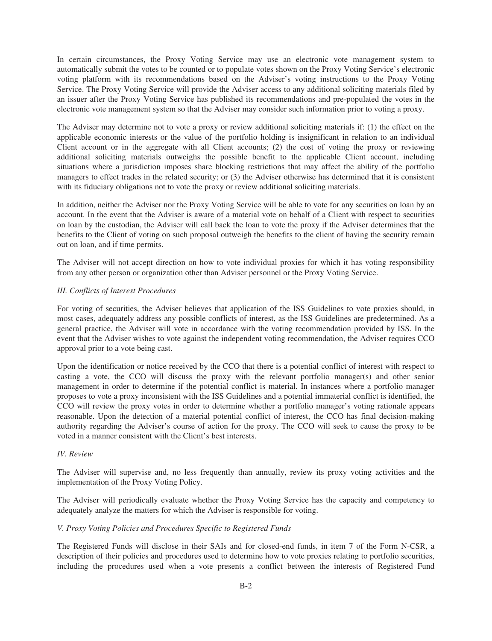In certain circumstances, the Proxy Voting Service may use an electronic vote management system to automatically submit the votes to be counted or to populate votes shown on the Proxy Voting Service's electronic voting platform with its recommendations based on the Adviser's voting instructions to the Proxy Voting Service. The Proxy Voting Service will provide the Adviser access to any additional soliciting materials filed by an issuer after the Proxy Voting Service has published its recommendations and pre-populated the votes in the electronic vote management system so that the Adviser may consider such information prior to voting a proxy.

The Adviser may determine not to vote a proxy or review additional soliciting materials if: (1) the effect on the applicable economic interests or the value of the portfolio holding is insignificant in relation to an individual Client account or in the aggregate with all Client accounts; (2) the cost of voting the proxy or reviewing additional soliciting materials outweighs the possible benefit to the applicable Client account, including situations where a jurisdiction imposes share blocking restrictions that may affect the ability of the portfolio managers to effect trades in the related security; or (3) the Adviser otherwise has determined that it is consistent with its fiduciary obligations not to vote the proxy or review additional soliciting materials.

In addition, neither the Adviser nor the Proxy Voting Service will be able to vote for any securities on loan by an account. In the event that the Adviser is aware of a material vote on behalf of a Client with respect to securities on loan by the custodian, the Adviser will call back the loan to vote the proxy if the Adviser determines that the benefits to the Client of voting on such proposal outweigh the benefits to the client of having the security remain out on loan, and if time permits.

The Adviser will not accept direction on how to vote individual proxies for which it has voting responsibility from any other person or organization other than Adviser personnel or the Proxy Voting Service.

### *III. Conflicts of Interest Procedures*

For voting of securities, the Adviser believes that application of the ISS Guidelines to vote proxies should, in most cases, adequately address any possible conflicts of interest, as the ISS Guidelines are predetermined. As a general practice, the Adviser will vote in accordance with the voting recommendation provided by ISS. In the event that the Adviser wishes to vote against the independent voting recommendation, the Adviser requires CCO approval prior to a vote being cast.

Upon the identification or notice received by the CCO that there is a potential conflict of interest with respect to casting a vote, the CCO will discuss the proxy with the relevant portfolio manager(s) and other senior management in order to determine if the potential conflict is material. In instances where a portfolio manager proposes to vote a proxy inconsistent with the ISS Guidelines and a potential immaterial conflict is identified, the CCO will review the proxy votes in order to determine whether a portfolio manager's voting rationale appears reasonable. Upon the detection of a material potential conflict of interest, the CCO has final decision-making authority regarding the Adviser's course of action for the proxy. The CCO will seek to cause the proxy to be voted in a manner consistent with the Client's best interests.

# *IV. Review*

The Adviser will supervise and, no less frequently than annually, review its proxy voting activities and the implementation of the Proxy Voting Policy.

The Adviser will periodically evaluate whether the Proxy Voting Service has the capacity and competency to adequately analyze the matters for which the Adviser is responsible for voting.

### *V. Proxy Voting Policies and Procedures Specific to Registered Funds*

The Registered Funds will disclose in their SAIs and for closed-end funds, in item 7 of the Form N-CSR, a description of their policies and procedures used to determine how to vote proxies relating to portfolio securities, including the procedures used when a vote presents a conflict between the interests of Registered Fund